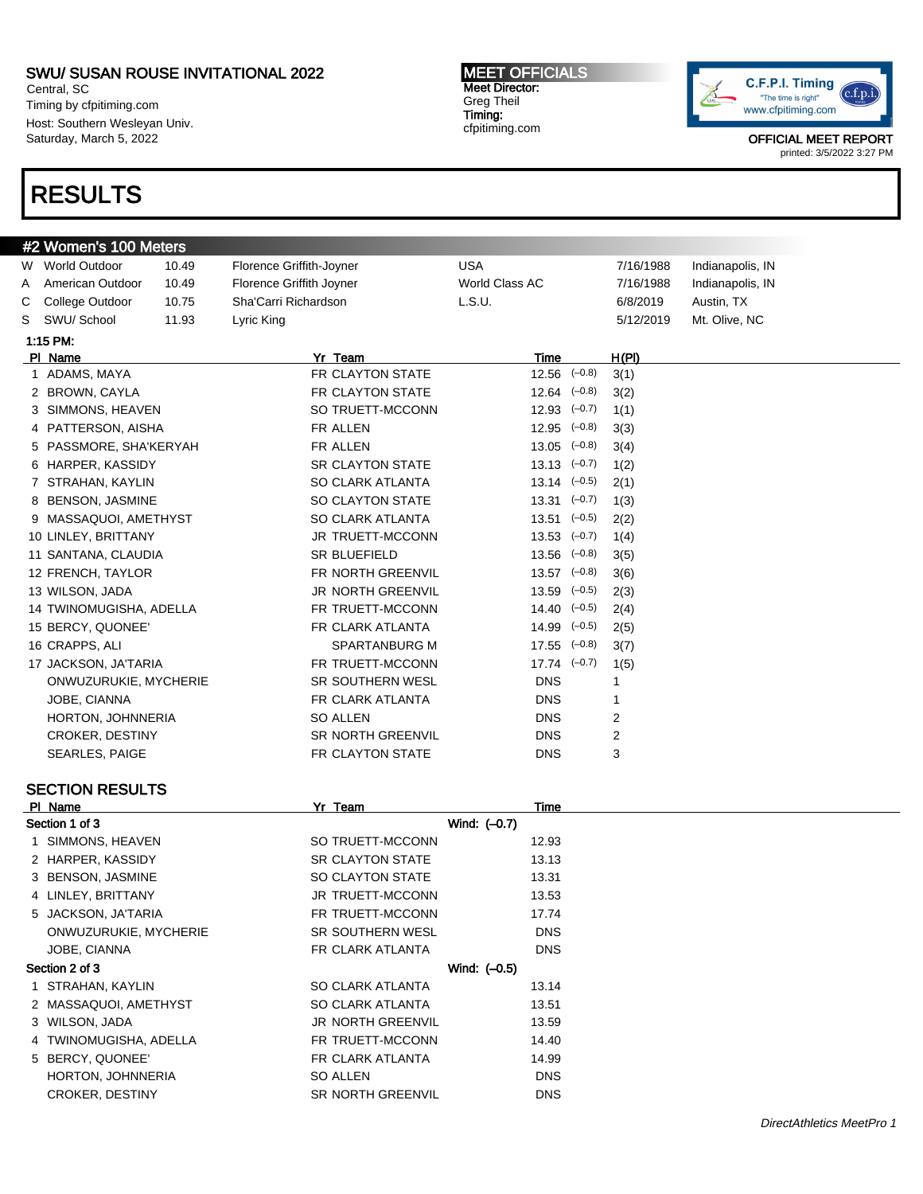Central, SC Timing by cfpitiming.com Host: Southern Wesleyan Univ. Saturday, March 5, 2022

# RESULTS

MEET OFFICIALS Meet Director: Greg Theil Timing: cfpitiming.com



| #2 Women's 100 Meters                              |                         |       |                          |                      |  |           |                  |
|----------------------------------------------------|-------------------------|-------|--------------------------|----------------------|--|-----------|------------------|
|                                                    | W World Outdoor         | 10.49 | Florence Griffith-Joyner | <b>USA</b>           |  | 7/16/1988 | Indianapolis, IN |
| A                                                  | American Outdoor        | 10.49 | Florence Griffith Joyner | World Class AC       |  | 7/16/1988 | Indianapolis, IN |
| С                                                  | College Outdoor         | 10.75 | Sha'Carri Richardson     | L.S.U.               |  | 6/8/2019  | Austin, TX       |
| S                                                  | SWU/ School             | 11.93 | Lyric King               |                      |  | 5/12/2019 | Mt. Olive, NC    |
|                                                    | 1:15 PM:                |       |                          |                      |  |           |                  |
|                                                    | PI Name                 |       | Yr Team                  | Time                 |  | H(PI)     |                  |
|                                                    | 1 ADAMS, MAYA           |       | FR CLAYTON STATE         | $12.56$ $(-0.8)$     |  | 3(1)      |                  |
|                                                    | 2 BROWN, CAYLA          |       | FR CLAYTON STATE         | $12.64$ $(-0.8)$     |  | 3(2)      |                  |
|                                                    | 3 SIMMONS, HEAVEN       |       | SO TRUETT-MCCONN         | $12.93$ $(-0.7)$     |  | 1(1)      |                  |
|                                                    | 4 PATTERSON, AISHA      |       | FR ALLEN                 | $12.95$ $(-0.8)$     |  | 3(3)      |                  |
|                                                    | 5 PASSMORE, SHA'KERYAH  |       | FR ALLEN                 | $13.05$ $(-0.8)$     |  | 3(4)      |                  |
|                                                    | 6 HARPER, KASSIDY       |       | <b>SR CLAYTON STATE</b>  | $13.13$ $(-0.7)$     |  | 1(2)      |                  |
|                                                    | 7 STRAHAN, KAYLIN       |       | SO CLARK ATLANTA         | $13.14 \quad (-0.5)$ |  | 2(1)      |                  |
|                                                    | 8 BENSON, JASMINE       |       | SO CLAYTON STATE         | $13.31$ $(-0.7)$     |  | 1(3)      |                  |
|                                                    | 9 MASSAQUOI, AMETHYST   |       | SO CLARK ATLANTA         | $13.51$ $(-0.5)$     |  | 2(2)      |                  |
|                                                    | 10 LINLEY, BRITTANY     |       | JR TRUETT-MCCONN         | $13.53$ $(-0.7)$     |  | 1(4)      |                  |
|                                                    | 11 SANTANA, CLAUDIA     |       | <b>SR BLUEFIELD</b>      | $13.56$ $(-0.8)$     |  | 3(5)      |                  |
|                                                    | 12 FRENCH, TAYLOR       |       | FR NORTH GREENVIL        | $13.57$ $(-0.8)$     |  | 3(6)      |                  |
|                                                    | 13 WILSON, JADA         |       | JR NORTH GREENVIL        | $13.59$ $(-0.5)$     |  | 2(3)      |                  |
|                                                    | 14 TWINOMUGISHA, ADELLA |       | FR TRUETT-MCCONN         | $14.40 (-0.5)$       |  | 2(4)      |                  |
|                                                    | 15 BERCY, QUONEE'       |       | FR CLARK ATLANTA         | $14.99$ $(-0.5)$     |  | 2(5)      |                  |
|                                                    | 16 CRAPPS, ALI          |       | <b>SPARTANBURG M</b>     | $17.55$ $(-0.8)$     |  | 3(7)      |                  |
|                                                    | 17 JACKSON, JA'TARIA    |       | FR TRUETT-MCCONN         | $17.74$ $(-0.7)$     |  | 1(5)      |                  |
|                                                    | ONWUZURUKIE, MYCHERIE   |       | <b>SR SOUTHERN WESL</b>  | <b>DNS</b>           |  | 1         |                  |
|                                                    | JOBE, CIANNA            |       | FR CLARK ATLANTA         | <b>DNS</b>           |  | 1         |                  |
|                                                    | HORTON, JOHNNERIA       |       | SO ALLEN                 | <b>DNS</b>           |  | 2         |                  |
|                                                    | <b>CROKER, DESTINY</b>  |       | SR NORTH GREENVIL        | <b>DNS</b>           |  | 2         |                  |
|                                                    | <b>SEARLES, PAIGE</b>   |       | FR CLAYTON STATE         | <b>DNS</b>           |  | 3         |                  |
|                                                    |                         |       |                          |                      |  |           |                  |
|                                                    | <b>SECTION RESULTS</b>  |       |                          |                      |  |           |                  |
|                                                    | PI Name                 |       | Yr Team                  | Time                 |  |           |                  |
|                                                    | Section 1 of 3          |       |                          | Wind: (-0.7)         |  |           |                  |
|                                                    | 1 SIMMONS, HEAVEN       |       | SO TRUETT-MCCONN         | 12.93                |  |           |                  |
|                                                    | 2 HARPER, KASSIDY       |       | SR CLAYTON STATE         | 13.13                |  |           |                  |
|                                                    | 3 BENSON, JASMINE       |       | SO CLAYTON STATE         | 13.31                |  |           |                  |
|                                                    | 4 LINLEY, BRITTANY      |       | JR TRUETT-MCCONN         | 13.53                |  |           |                  |
|                                                    | 5 JACKSON, JA'TARIA     |       | FR TRUETT-MCCONN         | 17.74                |  |           |                  |
|                                                    | ONWUZURUKIE, MYCHERIE   |       | SR SOUTHERN WESL         | <b>DNS</b>           |  |           |                  |
|                                                    | JOBE, CIANNA            |       | FR CLARK ATLANTA         | <b>DNS</b>           |  |           |                  |
|                                                    | Section 2 of 3          |       |                          | Wind: (-0.5)         |  |           |                  |
| 1 STRAHAN, KAYLIN<br>SO CLARK ATLANTA<br>13.14     |                         |       |                          |                      |  |           |                  |
| 2 MASSAQUOI, AMETHYST<br>SO CLARK ATLANTA<br>13.51 |                         |       |                          |                      |  |           |                  |
| 3 WILSON, JADA<br>JR NORTH GREENVIL<br>13.59       |                         |       |                          |                      |  |           |                  |
|                                                    | 4 TWINOMUGISHA, ADELLA  |       | FR TRUETT-MCCONN         | 14.40                |  |           |                  |
|                                                    | 5 BERCY, QUONEE'        |       | FR CLARK ATLANTA         | 14.99                |  |           |                  |
|                                                    | HORTON, JOHNNERIA       |       | SO ALLEN                 | <b>DNS</b>           |  |           |                  |
|                                                    | CROKER, DESTINY         |       | SR NORTH GREENVIL        | <b>DNS</b>           |  |           |                  |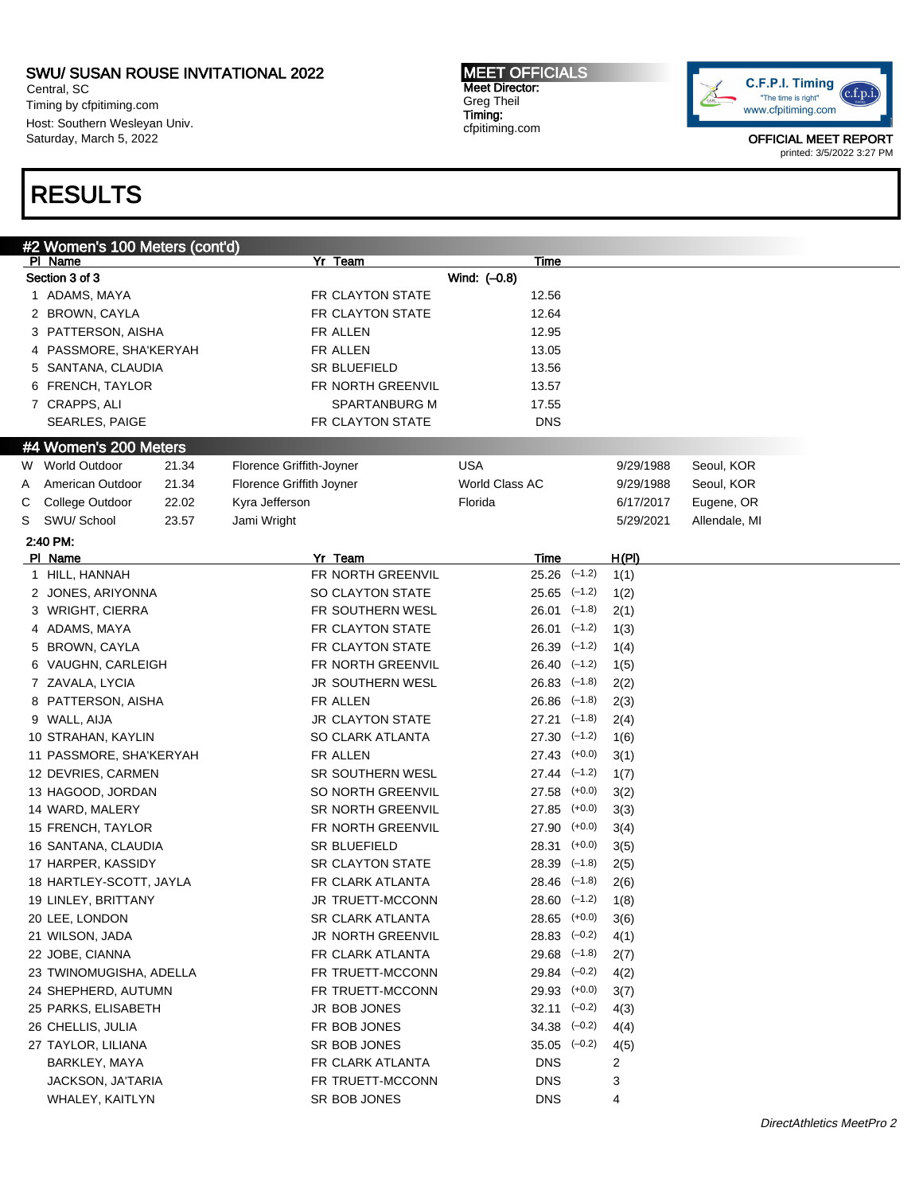Central, SC Timing by cfpitiming.com Host: Southern Wesleyan Univ. Saturday, March 5, 2022

# RESULTS

MEET OFFICIALS Meet Director: Greg Theil Timing: cfpitiming.com



|                                                               | #2 Women's 100 Meters (cont'd) |       |                          |              |                                      |          |           |               |  |
|---------------------------------------------------------------|--------------------------------|-------|--------------------------|--------------|--------------------------------------|----------|-----------|---------------|--|
|                                                               | PI Name                        |       | Yr Team                  |              | <b>Time</b>                          |          |           |               |  |
|                                                               | Section 3 of 3                 |       |                          | Wind: (-0.8) |                                      |          |           |               |  |
|                                                               | 1 ADAMS, MAYA                  |       | FR CLAYTON STATE         |              | 12.56                                |          |           |               |  |
|                                                               | 2 BROWN, CAYLA                 |       | FR CLAYTON STATE         |              | 12.64                                |          |           |               |  |
|                                                               | 3 PATTERSON, AISHA             |       | FR ALLEN                 |              | 12.95                                |          |           |               |  |
|                                                               | 4 PASSMORE, SHA'KERYAH         |       | FR ALLEN                 |              | 13.05                                |          |           |               |  |
|                                                               | 5 SANTANA, CLAUDIA             |       | SR BLUEFIELD             |              | 13.56                                |          |           |               |  |
|                                                               | 6 FRENCH, TAYLOR               |       | FR NORTH GREENVIL        |              | 13.57                                |          |           |               |  |
|                                                               | 7 CRAPPS, ALI                  |       | SPARTANBURG M            |              | 17.55                                |          |           |               |  |
|                                                               | SEARLES, PAIGE                 |       | FR CLAYTON STATE         |              | <b>DNS</b>                           |          |           |               |  |
|                                                               | #4 Women's 200 Meters          |       |                          |              |                                      |          |           |               |  |
|                                                               | W World Outdoor                | 21.34 | Florence Griffith-Joyner | <b>USA</b>   |                                      |          | 9/29/1988 | Seoul, KOR    |  |
| A                                                             | American Outdoor               | 21.34 | Florence Griffith Joyner |              | World Class AC                       |          | 9/29/1988 | Seoul, KOR    |  |
| С                                                             | College Outdoor                | 22.02 | Kyra Jefferson           | Florida      |                                      |          | 6/17/2017 | Eugene, OR    |  |
| S                                                             | SWU/ School                    | 23.57 | Jami Wright              |              |                                      |          | 5/29/2021 | Allendale, MI |  |
|                                                               | 2:40 PM:                       |       |                          |              |                                      |          |           |               |  |
|                                                               | PI Name                        |       | Yr Team                  |              | Time                                 |          | H(PI)     |               |  |
| $\mathbf{1}$                                                  | HILL, HANNAH                   |       | FR NORTH GREENVIL        |              | $25.26$ $(-1.2)$                     |          | 1(1)      |               |  |
|                                                               | 2 JONES, ARIYONNA              |       | SO CLAYTON STATE         |              | $25.65$ $(-1.2)$                     |          | 1(2)      |               |  |
|                                                               | 3 WRIGHT, CIERRA               |       | FR SOUTHERN WESL         |              | $26.01$ $(-1.8)$                     |          | 2(1)      |               |  |
|                                                               | 4 ADAMS, MAYA                  |       | FR CLAYTON STATE         |              | $26.01$ $(-1.2)$                     |          | 1(3)      |               |  |
|                                                               | 5 BROWN, CAYLA                 |       | FR CLAYTON STATE         |              | $26.39$ $(-1.2)$                     |          | 1(4)      |               |  |
|                                                               | 6 VAUGHN, CARLEIGH             |       | FR NORTH GREENVIL        |              | $26.40$ $(-1.2)$                     |          | 1(5)      |               |  |
|                                                               | 7 ZAVALA, LYCIA                |       | JR SOUTHERN WESL         |              | $26.83$ $(-1.8)$                     |          | 2(2)      |               |  |
|                                                               | 8 PATTERSON, AISHA             |       | FR ALLEN                 |              | $26.86$ $(-1.8)$                     |          | 2(3)      |               |  |
|                                                               | 9 WALL, AIJA                   |       | <b>JR CLAYTON STATE</b>  |              | $27.21$ $(-1.8)$                     |          | 2(4)      |               |  |
|                                                               | 10 STRAHAN, KAYLIN             |       | SO CLARK ATLANTA         |              | 27.30                                | $(-1.2)$ | 1(6)      |               |  |
|                                                               | 11 PASSMORE, SHA'KERYAH        |       | FR ALLEN                 |              | 27.43                                | $(+0.0)$ | 3(1)      |               |  |
|                                                               | 12 DEVRIES, CARMEN             |       | SR SOUTHERN WESL         |              | $27.44$ $(-1.2)$                     |          | 1(7)      |               |  |
|                                                               | 13 HAGOOD, JORDAN              |       | SO NORTH GREENVIL        |              | 27.58                                | $(+0.0)$ | 3(2)      |               |  |
|                                                               | 14 WARD, MALERY                |       | SR NORTH GREENVIL        |              | 27.85                                | $(+0.0)$ |           |               |  |
|                                                               | 15 FRENCH, TAYLOR              |       | FR NORTH GREENVIL        |              |                                      | $(+0.0)$ | 3(3)      |               |  |
|                                                               |                                |       | SR BLUEFIELD             |              | 27.90                                | $(+0.0)$ | 3(4)      |               |  |
|                                                               | 16 SANTANA, CLAUDIA            |       | SR CLAYTON STATE         |              | 28.31                                |          | 3(5)      |               |  |
|                                                               | 17 HARPER, KASSIDY             |       | FR CLARK ATLANTA         |              | $28.39$ $(-1.8)$<br>$28.46$ $(-1.8)$ |          | 2(5)      |               |  |
|                                                               | 18 HARTLEY-SCOTT, JAYLA        |       | JR TRUETT-MCCONN         |              |                                      |          | 2(6)      |               |  |
|                                                               | 19 LINLEY, BRITTANY            |       |                          |              | $28.60$ $(-1.2)$                     |          | 1(8)      |               |  |
|                                                               | 20 LEE, LONDON                 |       | <b>SR CLARK ATLANTA</b>  |              | 28.65 (+0.0)                         |          | 3(6)      |               |  |
|                                                               | 21 WILSON, JADA                |       | JR NORTH GREENVIL        |              | $28.83$ $(-0.2)$                     |          | 4(1)      |               |  |
|                                                               | 22 JOBE, CIANNA                |       | FR CLARK ATLANTA         |              | $29.68$ $(-1.8)$                     |          | 2(7)      |               |  |
|                                                               | 23 TWINOMUGISHA, ADELLA        |       | FR TRUETT-MCCONN         |              | $29.84$ $(-0.2)$                     |          | 4(2)      |               |  |
|                                                               | 24 SHEPHERD, AUTUMN            |       | FR TRUETT-MCCONN         |              | 29.93 (+0.0)                         |          | 3(7)      |               |  |
|                                                               | 25 PARKS, ELISABETH            |       | JR BOB JONES             |              | $32.11$ $(-0.2)$                     |          | 4(3)      |               |  |
| 26 CHELLIS, JULIA<br>FR BOB JONES<br>$34.38$ $(-0.2)$<br>4(4) |                                |       |                          |              |                                      |          |           |               |  |
|                                                               | 27 TAYLOR, LILIANA             |       | SR BOB JONES             |              | $35.05$ $(-0.2)$                     |          | 4(5)      |               |  |
|                                                               | BARKLEY, MAYA                  |       | FR CLARK ATLANTA         |              | DNS                                  |          | 2         |               |  |
|                                                               | JACKSON, JA'TARIA              |       | FR TRUETT-MCCONN         |              | DNS                                  |          | 3         |               |  |
|                                                               | WHALEY, KAITLYN                |       | SR BOB JONES             |              | <b>DNS</b>                           |          | 4         |               |  |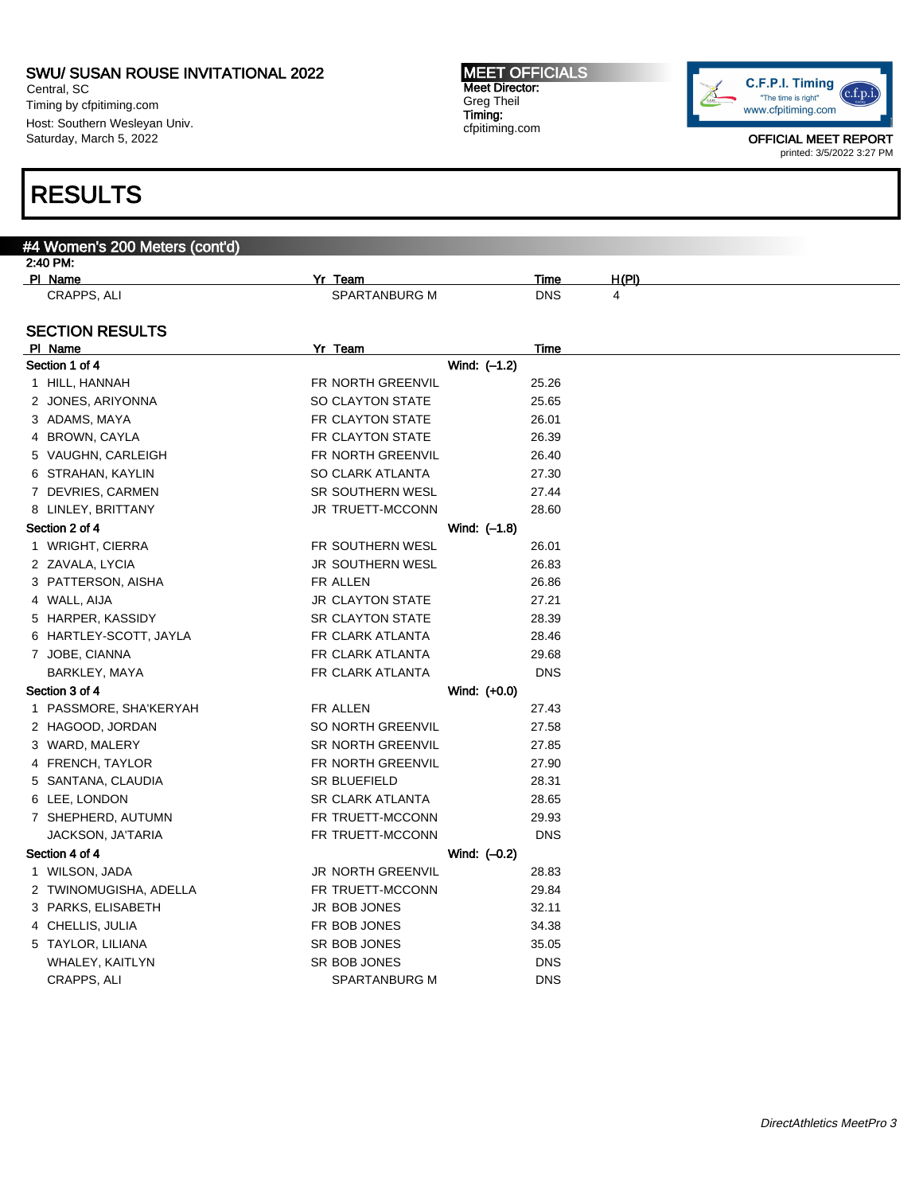Central, SC Timing by cfpitiming.com Host: Southern Wesleyan Univ. Saturday, March 5, 2022

#4 Women's 200 Meters (cont'd)

# RESULTS

#### MEET OFFICIALS Meet Director: Greg Theil Timing: cfpitiming.com



| 2:40 PM:               |                          |             |       |
|------------------------|--------------------------|-------------|-------|
| <b>PI Name</b>         | Yr Team                  | <u>Time</u> | H(PI) |
| CRAPPS, ALI            | SPARTANBURG M            | <b>DNS</b>  | 4     |
|                        |                          |             |       |
| <b>SECTION RESULTS</b> |                          |             |       |
| PI Name                | Yr Team                  | Time        |       |
| Section 1 of 4         | Wind: (-1.2)             |             |       |
| 1 HILL, HANNAH         | FR NORTH GREENVIL        | 25.26       |       |
| 2 JONES, ARIYONNA      | <b>SO CLAYTON STATE</b>  | 25.65       |       |
| 3 ADAMS, MAYA          | FR CLAYTON STATE         | 26.01       |       |
| 4 BROWN, CAYLA         | FR CLAYTON STATE         | 26.39       |       |
| 5 VAUGHN, CARLEIGH     | FR NORTH GREENVIL        | 26.40       |       |
| 6 STRAHAN, KAYLIN      | SO CLARK ATLANTA         | 27.30       |       |
| 7 DEVRIES, CARMEN      | <b>SR SOUTHERN WESL</b>  | 27.44       |       |
| 8 LINLEY, BRITTANY     | JR TRUETT-MCCONN         | 28.60       |       |
| Section 2 of 4         | Wind: (-1.8)             |             |       |
| 1 WRIGHT, CIERRA       | FR SOUTHERN WESL         | 26.01       |       |
| 2 ZAVALA, LYCIA        | JR SOUTHERN WESL         | 26.83       |       |
| 3 PATTERSON, AISHA     | FR ALLEN                 | 26.86       |       |
| 4 WALL, AIJA           | <b>JR CLAYTON STATE</b>  | 27.21       |       |
| 5 HARPER, KASSIDY      | <b>SR CLAYTON STATE</b>  | 28.39       |       |
| 6 HARTLEY-SCOTT, JAYLA | FR CLARK ATLANTA         | 28.46       |       |
| 7 JOBE, CIANNA         | FR CLARK ATLANTA         | 29.68       |       |
| BARKLEY, MAYA          | FR CLARK ATLANTA         | <b>DNS</b>  |       |
| Section 3 of 4         | Wind: (+0.0)             |             |       |
| 1 PASSMORE, SHA'KERYAH | FR ALLEN                 | 27.43       |       |
| 2 HAGOOD, JORDAN       | SO NORTH GREENVIL        | 27.58       |       |
| 3 WARD, MALERY         | <b>SR NORTH GREENVIL</b> | 27.85       |       |
| 4 FRENCH, TAYLOR       | FR NORTH GREENVIL        | 27.90       |       |
| 5 SANTANA, CLAUDIA     | <b>SR BLUEFIELD</b>      | 28.31       |       |
| 6 LEE, LONDON          | SR CLARK ATLANTA         | 28.65       |       |
| 7 SHEPHERD, AUTUMN     | FR TRUETT-MCCONN         | 29.93       |       |
| JACKSON, JA'TARIA      | FR TRUETT-MCCONN         | <b>DNS</b>  |       |
| Section 4 of 4         | Wind: (-0.2)             |             |       |
| 1 WILSON, JADA         | <b>JR NORTH GREENVIL</b> | 28.83       |       |
| 2 TWINOMUGISHA, ADELLA | FR TRUETT-MCCONN         | 29.84       |       |
| 3 PARKS, ELISABETH     | <b>JR BOB JONES</b>      | 32.11       |       |
| 4 CHELLIS, JULIA       | FR BOB JONES             | 34.38       |       |
| 5 TAYLOR, LILIANA      | SR BOB JONES             | 35.05       |       |
| WHALEY, KAITLYN        | SR BOB JONES             | <b>DNS</b>  |       |
| CRAPPS, ALI            | SPARTANBURG M            | <b>DNS</b>  |       |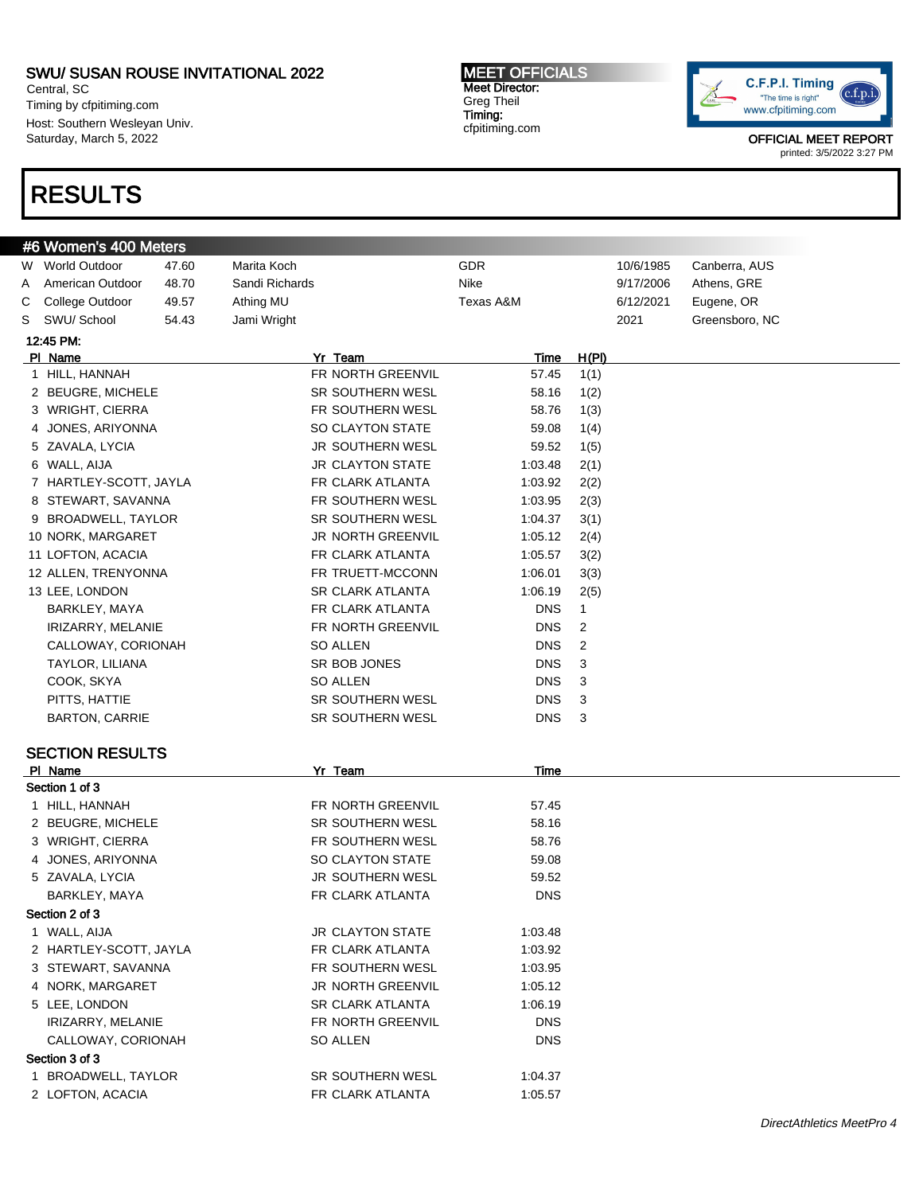Central, SC Timing by cfpitiming.com Host: Southern Wesleyan Univ. Saturday, March 5, 2022

# RESULTS

#### MEET OFFICIALS Meet Director: Greg Theil Timing: cfpitiming.com



|   | #6 Women's 400 Meters     |       |                         |            |              |           |                |                           |
|---|---------------------------|-------|-------------------------|------------|--------------|-----------|----------------|---------------------------|
|   | W World Outdoor           | 47.60 | Marita Koch             | GDR        |              | 10/6/1985 | Canberra, AUS  |                           |
| Α | American Outdoor          | 48.70 | Sandi Richards          | Nike       |              | 9/17/2006 | Athens, GRE    |                           |
| С | College Outdoor           | 49.57 | Athing MU               | Texas A&M  |              | 6/12/2021 | Eugene, OR     |                           |
| S | SWU/ School               | 54.43 | Jami Wright             |            |              | 2021      | Greensboro, NC |                           |
|   | 12:45 PM:                 |       |                         |            |              |           |                |                           |
|   | PI Name                   |       | Yr Team                 | Time       | <u>H(PI)</u> |           |                |                           |
|   | 1 HILL, HANNAH            |       | FR NORTH GREENVIL       | 57.45      | 1(1)         |           |                |                           |
|   | 2 BEUGRE, MICHELE         |       | SR SOUTHERN WESL        | 58.16      | 1(2)         |           |                |                           |
|   | 3 WRIGHT, CIERRA          |       | FR SOUTHERN WESL        | 58.76      | 1(3)         |           |                |                           |
| 4 | JONES, ARIYONNA           |       | SO CLAYTON STATE        | 59.08      | 1(4)         |           |                |                           |
|   | 5 ZAVALA, LYCIA           |       | JR SOUTHERN WESL        | 59.52      | 1(5)         |           |                |                           |
|   | 6 WALL, AIJA              |       | <b>JR CLAYTON STATE</b> | 1:03.48    | 2(1)         |           |                |                           |
|   | 7 HARTLEY-SCOTT, JAYLA    |       | FR CLARK ATLANTA        | 1:03.92    | 2(2)         |           |                |                           |
|   | 8 STEWART, SAVANNA        |       | FR SOUTHERN WESL        | 1:03.95    | 2(3)         |           |                |                           |
|   | 9 BROADWELL, TAYLOR       |       | SR SOUTHERN WESL        | 1:04.37    | 3(1)         |           |                |                           |
|   | 10 NORK, MARGARET         |       | JR NORTH GREENVIL       | 1:05.12    | 2(4)         |           |                |                           |
|   | 11 LOFTON, ACACIA         |       | FR CLARK ATLANTA        | 1:05.57    | 3(2)         |           |                |                           |
|   | 12 ALLEN, TRENYONNA       |       | FR TRUETT-MCCONN        | 1:06.01    | 3(3)         |           |                |                           |
|   | 13 LEE, LONDON            |       | <b>SR CLARK ATLANTA</b> | 1:06.19    | 2(5)         |           |                |                           |
|   | BARKLEY, MAYA             |       | FR CLARK ATLANTA        | <b>DNS</b> | $\mathbf{1}$ |           |                |                           |
|   | IRIZARRY, MELANIE         |       | FR NORTH GREENVIL       | <b>DNS</b> | 2            |           |                |                           |
|   | CALLOWAY, CORIONAH        |       | <b>SO ALLEN</b>         | <b>DNS</b> | 2            |           |                |                           |
|   | TAYLOR, LILIANA           |       | SR BOB JONES            | <b>DNS</b> | 3            |           |                |                           |
|   | COOK, SKYA                |       | <b>SO ALLEN</b>         | <b>DNS</b> | 3            |           |                |                           |
|   | PITTS, HATTIE             |       | SR SOUTHERN WESL        | <b>DNS</b> | 3            |           |                |                           |
|   | <b>BARTON, CARRIE</b>     |       | SR SOUTHERN WESL        | <b>DNS</b> | 3            |           |                |                           |
|   |                           |       |                         |            |              |           |                |                           |
|   | <b>SECTION RESULTS</b>    |       |                         |            |              |           |                |                           |
|   | PI Name<br>Section 1 of 3 |       | Yr Team                 | Time       |              |           |                |                           |
|   | 1 HILL, HANNAH            |       | FR NORTH GREENVIL       | 57.45      |              |           |                |                           |
|   | 2 BEUGRE, MICHELE         |       | <b>SR SOUTHERN WESL</b> | 58.16      |              |           |                |                           |
|   | 3 WRIGHT, CIERRA          |       | FR SOUTHERN WESL        | 58.76      |              |           |                |                           |
|   | 4 JONES, ARIYONNA         |       | SO CLAYTON STATE        | 59.08      |              |           |                |                           |
|   | 5 ZAVALA, LYCIA           |       | <b>JR SOUTHERN WESL</b> | 59.52      |              |           |                |                           |
|   | BARKLEY, MAYA             |       | FR CLARK ATLANTA        | <b>DNS</b> |              |           |                |                           |
|   | Section 2 of 3            |       |                         |            |              |           |                |                           |
|   | 1 WALL, AIJA              |       | <b>JR CLAYTON STATE</b> | 1:03.48    |              |           |                |                           |
|   | 2 HARTLEY-SCOTT, JAYLA    |       | FR CLARK ATLANTA        | 1:03.92    |              |           |                |                           |
|   | 3 STEWART, SAVANNA        |       | FR SOUTHERN WESL        | 1:03.95    |              |           |                |                           |
|   | 4 NORK, MARGARET          |       | JR NORTH GREENVIL       | 1:05.12    |              |           |                |                           |
|   | 5 LEE, LONDON             |       | <b>SR CLARK ATLANTA</b> | 1:06.19    |              |           |                |                           |
|   | IRIZARRY, MELANIE         |       | FR NORTH GREENVIL       | DNS.       |              |           |                |                           |
|   | CALLOWAY, CORIONAH        |       | SO ALLEN                | <b>DNS</b> |              |           |                |                           |
|   | Section 3 of 3            |       |                         |            |              |           |                |                           |
|   | 1 BROADWELL, TAYLOR       |       | SR SOUTHERN WESL        | 1:04.37    |              |           |                |                           |
|   | 2 LOFTON, ACACIA          |       | FR CLARK ATLANTA        | 1:05.57    |              |           |                |                           |
|   |                           |       |                         |            |              |           |                |                           |
|   |                           |       |                         |            |              |           |                | DirectAthletics MeetPro 4 |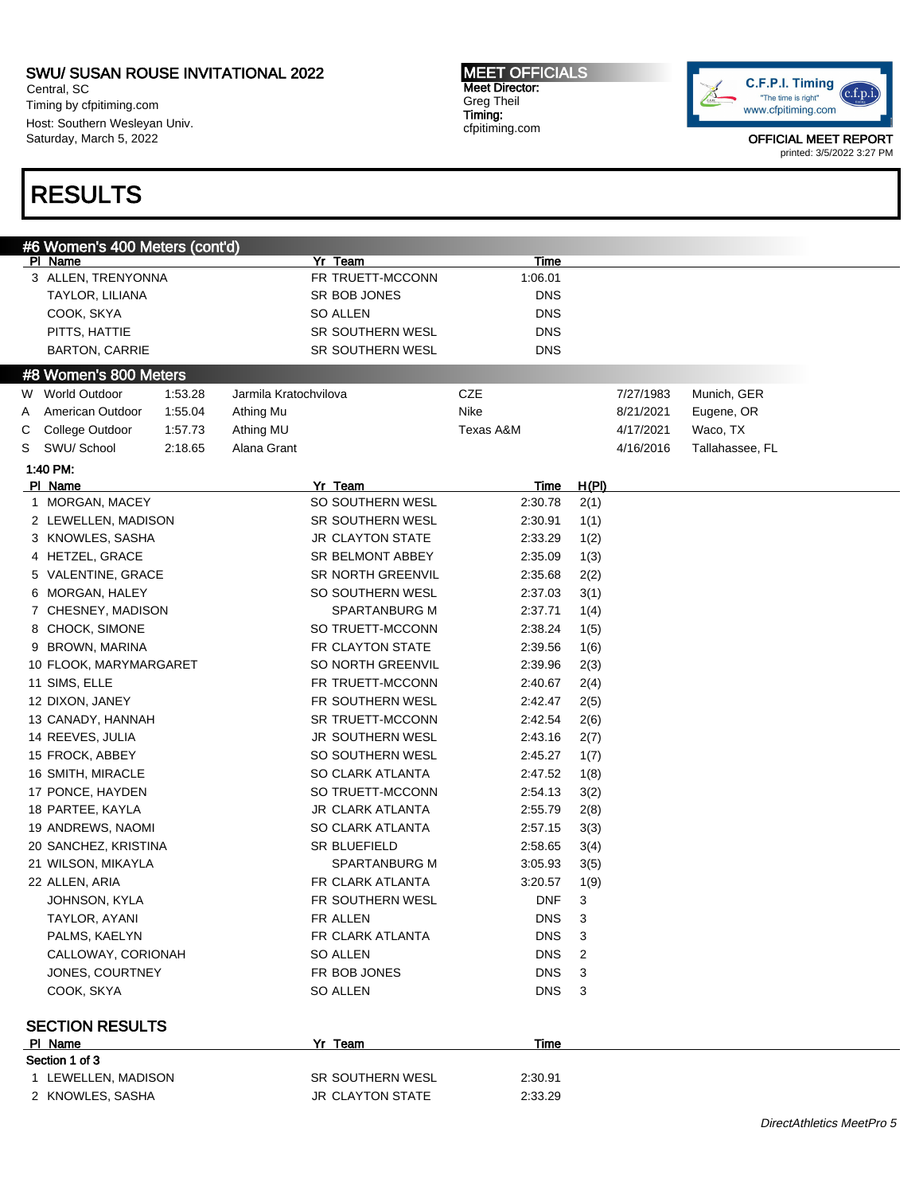Central, SC Timing by cfpitiming.com Host: Southern Wesleyan Univ. Saturday, March 5, 2022

# RESULTS

MEET OFFICIALS Meet Director: Greg Theil Timing: cfpitiming.com



| #6 Women's 400 Meters (cont'd)<br><b>PI Name</b> |         | Yr Team                 | <b>Time</b> |              |           |                 |                                  |
|--------------------------------------------------|---------|-------------------------|-------------|--------------|-----------|-----------------|----------------------------------|
| 3 ALLEN, TRENYONNA                               |         | FR TRUETT-MCCONN        | 1:06.01     |              |           |                 |                                  |
| TAYLOR, LILIANA                                  |         | SR BOB JONES            | <b>DNS</b>  |              |           |                 |                                  |
| COOK, SKYA                                       |         | <b>SO ALLEN</b>         | <b>DNS</b>  |              |           |                 |                                  |
| PITTS, HATTIE                                    |         | SR SOUTHERN WESL        | <b>DNS</b>  |              |           |                 |                                  |
| <b>BARTON, CARRIE</b>                            |         | SR SOUTHERN WESL        | <b>DNS</b>  |              |           |                 |                                  |
|                                                  |         |                         |             |              |           |                 |                                  |
| #8 Women's 800 Meters                            |         |                         |             |              |           |                 |                                  |
| W World Outdoor                                  | 1:53.28 | Jarmila Kratochvilova   | CZE         |              | 7/27/1983 | Munich, GER     |                                  |
| American Outdoor<br>A                            | 1:55.04 | Athing Mu               | Nike        |              | 8/21/2021 | Eugene, OR      |                                  |
| College Outdoor<br>С                             | 1:57.73 | Athing MU               | Texas A&M   |              | 4/17/2021 | Waco, TX        |                                  |
| SWU/ School<br>S                                 | 2:18.65 | Alana Grant             |             |              | 4/16/2016 | Tallahassee, FL |                                  |
| 1:40 PM:                                         |         |                         |             |              |           |                 |                                  |
| PI Name                                          |         | Yr Team                 | <u>Time</u> | <u>H(PI)</u> |           |                 |                                  |
| 1 MORGAN, MACEY                                  |         | SO SOUTHERN WESL        | 2:30.78     | 2(1)         |           |                 |                                  |
| 2 LEWELLEN, MADISON                              |         | SR SOUTHERN WESL        | 2:30.91     | 1(1)         |           |                 |                                  |
| 3 KNOWLES, SASHA                                 |         | <b>JR CLAYTON STATE</b> | 2:33.29     | 1(2)         |           |                 |                                  |
| 4 HETZEL, GRACE                                  |         | SR BELMONT ABBEY        | 2:35.09     | 1(3)         |           |                 |                                  |
| 5 VALENTINE, GRACE                               |         | SR NORTH GREENVIL       | 2:35.68     | 2(2)         |           |                 |                                  |
| 6 MORGAN, HALEY                                  |         | SO SOUTHERN WESL        | 2:37.03     | 3(1)         |           |                 |                                  |
| 7 CHESNEY, MADISON                               |         | SPARTANBURG M           | 2:37.71     | 1(4)         |           |                 |                                  |
| 8 CHOCK, SIMONE                                  |         | SO TRUETT-MCCONN        | 2:38.24     | 1(5)         |           |                 |                                  |
| 9 BROWN, MARINA                                  |         | FR CLAYTON STATE        | 2:39.56     | 1(6)         |           |                 |                                  |
| 10 FLOOK, MARYMARGARET                           |         | SO NORTH GREENVIL       | 2:39.96     | 2(3)         |           |                 |                                  |
| 11 SIMS, ELLE                                    |         | FR TRUETT-MCCONN        | 2:40.67     | 2(4)         |           |                 |                                  |
| 12 DIXON, JANEY                                  |         | FR SOUTHERN WESL        | 2:42.47     | 2(5)         |           |                 |                                  |
| 13 CANADY, HANNAH                                |         | SR TRUETT-MCCONN        | 2:42.54     | 2(6)         |           |                 |                                  |
| 14 REEVES, JULIA                                 |         | JR SOUTHERN WESL        | 2:43.16     | 2(7)         |           |                 |                                  |
| 15 FROCK, ABBEY                                  |         | SO SOUTHERN WESL        | 2:45.27     | 1(7)         |           |                 |                                  |
| 16 SMITH, MIRACLE                                |         | SO CLARK ATLANTA        | 2:47.52     | 1(8)         |           |                 |                                  |
| 17 PONCE, HAYDEN                                 |         | SO TRUETT-MCCONN        | 2:54.13     | 3(2)         |           |                 |                                  |
| 18 PARTEE, KAYLA                                 |         | <b>JR CLARK ATLANTA</b> | 2:55.79     | 2(8)         |           |                 |                                  |
| 19 ANDREWS, NAOMI                                |         | <b>SO CLARK ATLANTA</b> | 2:57.15     | 3(3)         |           |                 |                                  |
| 20 SANCHEZ, KRISTINA                             |         | SR BLUEFIELD            | 2:58.65     | 3(4)         |           |                 |                                  |
| 21 WILSON, MIKAYLA                               |         | SPARTANBURG M           | 3:05.93     | 3(5)         |           |                 |                                  |
| 22 ALLEN, ARIA                                   |         | FR CLARK ATLANTA        | 3:20.57     | 1(9)         |           |                 |                                  |
| JOHNSON, KYLA                                    |         | FR SOUTHERN WESL        | DNF         | 3            |           |                 |                                  |
| TAYLOR, AYANI                                    |         | FR ALLEN                | DNS.        | 3            |           |                 |                                  |
| PALMS, KAELYN                                    |         | FR CLARK ATLANTA        | <b>DNS</b>  | 3            |           |                 |                                  |
| CALLOWAY, CORIONAH                               |         | <b>SO ALLEN</b>         | DNS.        | 2            |           |                 |                                  |
| JONES, COURTNEY                                  |         | FR BOB JONES            | DNS.        | 3            |           |                 |                                  |
| COOK, SKYA                                       |         | SO ALLEN                | DNS         | 3            |           |                 |                                  |
| <b>SECTION RESULTS</b>                           |         |                         |             |              |           |                 |                                  |
| PI Name                                          |         | Yr Team                 | Time        |              |           |                 |                                  |
| Section 1 of 3                                   |         |                         |             |              |           |                 |                                  |
| 1 LEWELLEN, MADISON                              |         | SR SOUTHERN WESL        | 2:30.91     |              |           |                 |                                  |
| 2 KNOWLES, SASHA                                 |         | <b>JR CLAYTON STATE</b> | 2:33.29     |              |           |                 |                                  |
|                                                  |         |                         |             |              |           |                 | <b>DirectAthletics MeetPro 5</b> |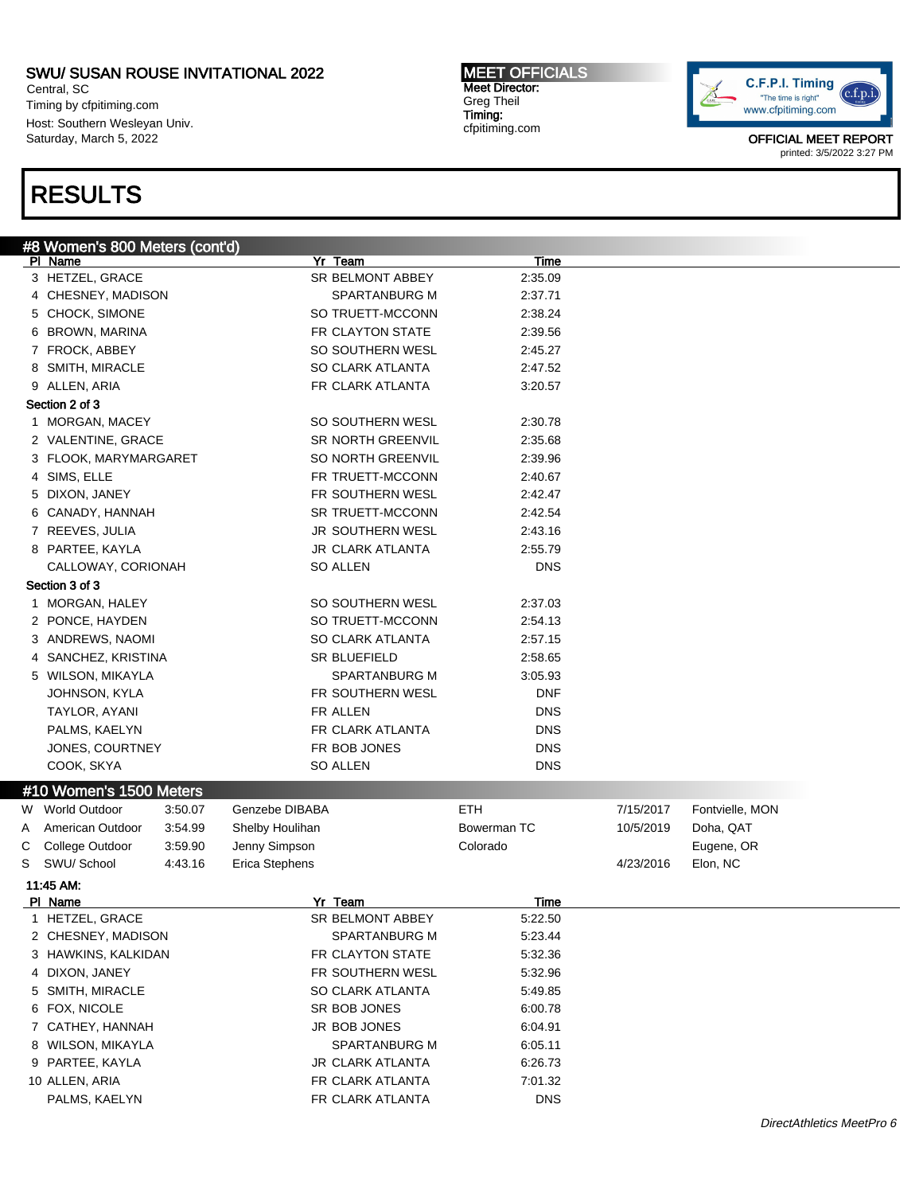Central, SC Timing by cfpitiming.com Host: Southern Wesleyan Univ. Saturday, March 5, 2022

# RESULTS

MEET OFFICIALS Meet Director: Greg Theil Timing: cfpitiming.com



|   | #8 Women's 800 Meters (cont'd) |         |                     |                          |             |           |                 |  |
|---|--------------------------------|---------|---------------------|--------------------------|-------------|-----------|-----------------|--|
|   | PI Name                        |         | Yr Team             |                          | Time        |           |                 |  |
|   | 3 HETZEL, GRACE                |         |                     | SR BELMONT ABBEY         | 2:35.09     |           |                 |  |
|   | 4 CHESNEY, MADISON             |         |                     | SPARTANBURG M            | 2:37.71     |           |                 |  |
|   | 5 CHOCK, SIMONE                |         |                     | SO TRUETT-MCCONN         | 2:38.24     |           |                 |  |
|   | 6 BROWN, MARINA                |         |                     | FR CLAYTON STATE         | 2:39.56     |           |                 |  |
|   | 7 FROCK, ABBEY                 |         |                     | SO SOUTHERN WESL         | 2:45.27     |           |                 |  |
|   | 8 SMITH, MIRACLE               |         |                     | SO CLARK ATLANTA         | 2:47.52     |           |                 |  |
|   | 9 ALLEN, ARIA                  |         |                     | FR CLARK ATLANTA         | 3:20.57     |           |                 |  |
|   | Section 2 of 3                 |         |                     |                          |             |           |                 |  |
|   | 1 MORGAN, MACEY                |         |                     | SO SOUTHERN WESL         | 2:30.78     |           |                 |  |
|   | 2 VALENTINE, GRACE             |         |                     | <b>SR NORTH GREENVIL</b> | 2:35.68     |           |                 |  |
|   | 3 FLOOK, MARYMARGARET          |         |                     | SO NORTH GREENVIL        | 2:39.96     |           |                 |  |
|   | 4 SIMS, ELLE                   |         |                     | FR TRUETT-MCCONN         | 2:40.67     |           |                 |  |
|   | 5 DIXON, JANEY                 |         |                     | FR SOUTHERN WESL         | 2:42.47     |           |                 |  |
|   | 6 CANADY, HANNAH               |         |                     | SR TRUETT-MCCONN         | 2:42.54     |           |                 |  |
|   | 7 REEVES, JULIA                |         |                     | JR SOUTHERN WESL         | 2:43.16     |           |                 |  |
|   | 8 PARTEE, KAYLA                |         |                     | <b>JR CLARK ATLANTA</b>  | 2:55.79     |           |                 |  |
|   | CALLOWAY, CORIONAH             |         | SO ALLEN            |                          | <b>DNS</b>  |           |                 |  |
|   | Section 3 of 3                 |         |                     |                          |             |           |                 |  |
|   | 1 MORGAN, HALEY                |         |                     | SO SOUTHERN WESL         | 2:37.03     |           |                 |  |
|   | 2 PONCE, HAYDEN                |         |                     | SO TRUETT-MCCONN         | 2:54.13     |           |                 |  |
|   | 3 ANDREWS, NAOMI               |         |                     | <b>SO CLARK ATLANTA</b>  | 2:57.15     |           |                 |  |
|   | 4 SANCHEZ, KRISTINA            |         | <b>SR BLUEFIELD</b> |                          | 2:58.65     |           |                 |  |
|   | 5 WILSON, MIKAYLA              |         |                     | SPARTANBURG M            | 3:05.93     |           |                 |  |
|   | JOHNSON, KYLA                  |         |                     | FR SOUTHERN WESL         | <b>DNF</b>  |           |                 |  |
|   | TAYLOR, AYANI                  |         | FR ALLEN            |                          | <b>DNS</b>  |           |                 |  |
|   | PALMS, KAELYN                  |         |                     | FR CLARK ATLANTA         | <b>DNS</b>  |           |                 |  |
|   | JONES, COURTNEY                |         | FR BOB JONES        |                          | <b>DNS</b>  |           |                 |  |
|   | COOK, SKYA                     |         | <b>SO ALLEN</b>     |                          | <b>DNS</b>  |           |                 |  |
|   | #10 Women's 1500 Meters        |         |                     |                          |             |           |                 |  |
|   | W World Outdoor                | 3:50.07 | Genzebe DIBABA      |                          | ETH         | 7/15/2017 | Fontvielle, MON |  |
| Α | American Outdoor               | 3.54.99 | Shelby Houlihan     |                          | Bowerman TC | 10/5/2019 | Doha, QAT       |  |
| С | College Outdoor                | 3:59.90 | Jenny Simpson       |                          | Colorado    |           | Eugene, OR      |  |
| S | SWU/ School                    | 4:43.16 | Erica Stephens      |                          |             | 4/23/2016 | Elon, NC        |  |
|   | 11:45 AM.                      |         |                     |                          |             |           |                 |  |
|   | PI Name                        |         | Yr Team             |                          | Time        |           |                 |  |
|   | 1 HETZEL, GRACE                |         |                     | SR BELMONT ABBEY         | 5:22.50     |           |                 |  |
|   | 2 CHESNEY, MADISON             |         |                     | SPARTANBURG M            | 5:23.44     |           |                 |  |
|   | 3 HAWKINS, KALKIDAN            |         |                     | FR CLAYTON STATE         | 5:32.36     |           |                 |  |
|   | 4 DIXON, JANEY                 |         |                     | FR SOUTHERN WESL         | 5:32.96     |           |                 |  |
|   | 5 SMITH, MIRACLE               |         |                     | SO CLARK ATLANTA         | 5:49.85     |           |                 |  |
|   | 6 FOX, NICOLE                  |         | SR BOB JONES        |                          | 6:00.78     |           |                 |  |
|   | 7 CATHEY, HANNAH               |         | JR BOB JONES        |                          | 6:04.91     |           |                 |  |
|   | 8 WILSON, MIKAYLA              |         |                     | SPARTANBURG M            | 6:05.11     |           |                 |  |
|   | 9 PARTEE, KAYLA                |         |                     | JR CLARK ATLANTA         | 6:26.73     |           |                 |  |
|   | 10 ALLEN, ARIA                 |         |                     | FR CLARK ATLANTA         | 7:01.32     |           |                 |  |
|   | PALMS, KAELYN                  |         |                     | FR CLARK ATLANTA         | <b>DNS</b>  |           |                 |  |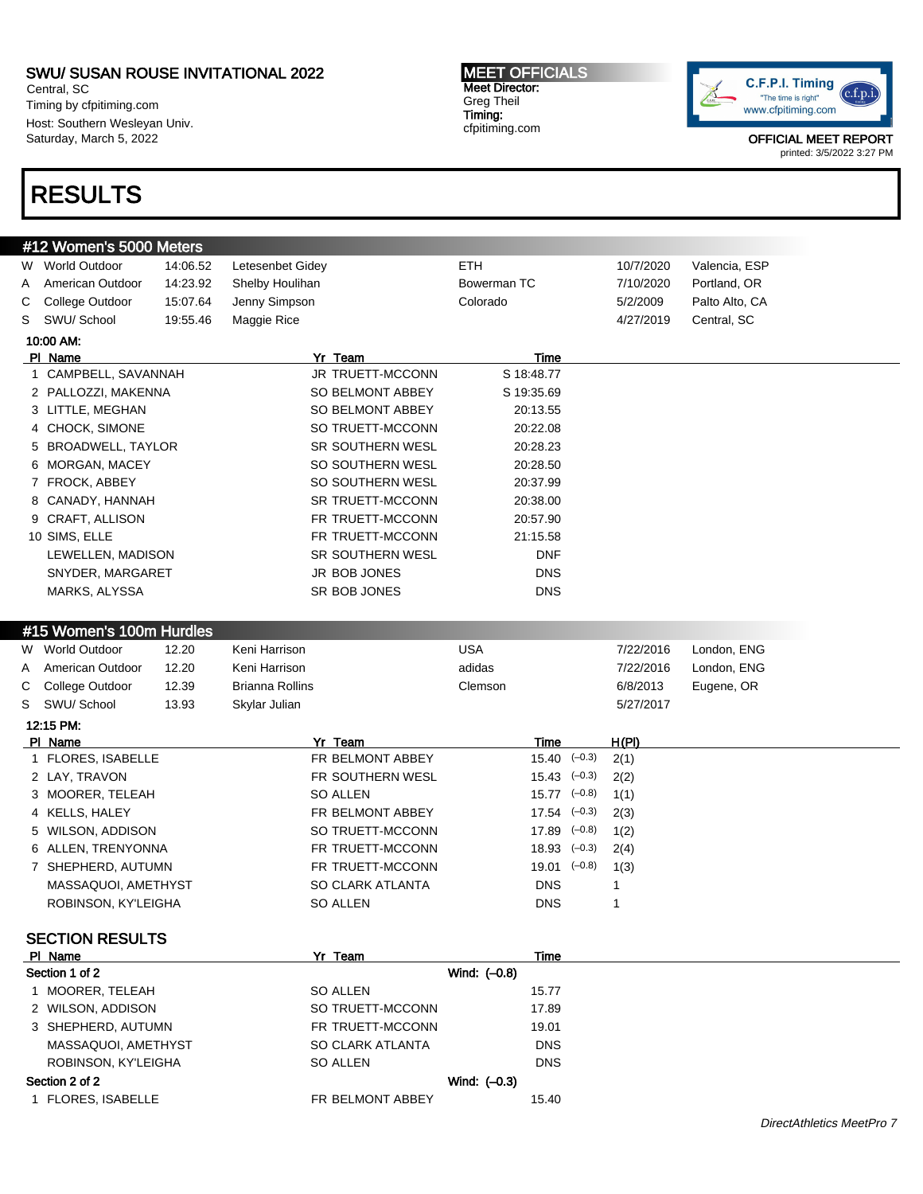Central, SC Timing by cfpitiming.com Host: Southern Wesleyan Univ. Saturday, March 5, 2022

# RESULTS

#### MEET OFFICIALS Meet Director: Greg Theil Timing: cfpitiming.com



|              | #12 Women's 5000 Meters                    |          |                             |                        |              |                |
|--------------|--------------------------------------------|----------|-----------------------------|------------------------|--------------|----------------|
|              | W World Outdoor                            | 14:06.52 | Letesenbet Gidey            | <b>ETH</b>             | 10/7/2020    | Valencia, ESP  |
| A            | American Outdoor                           | 14:23.92 | Shelby Houlihan             | Bowerman TC            | 7/10/2020    | Portland, OR   |
| С            | College Outdoor                            | 15:07.64 | Jenny Simpson               | Colorado               | 5/2/2009     | Palto Alto, CA |
| S            | SWU/ School                                | 19:55.46 | Maggie Rice                 |                        | 4/27/2019    | Central, SC    |
|              | 10:00 AM:                                  |          |                             |                        |              |                |
|              | PI Name                                    |          | Yr Team                     | Time                   |              |                |
| $\mathbf{1}$ | CAMPBELL, SAVANNAH                         |          | JR TRUETT-MCCONN            | S 18:48.77             |              |                |
|              | 2 PALLOZZI, MAKENNA                        |          | SO BELMONT ABBEY            | S 19:35.69             |              |                |
|              | 3 LITTLE, MEGHAN                           |          | SO BELMONT ABBEY            | 20:13.55               |              |                |
|              | 4 CHOCK, SIMONE                            |          | SO TRUETT-MCCONN            | 20:22.08               |              |                |
|              | 5 BROADWELL, TAYLOR                        |          | <b>SR SOUTHERN WESL</b>     | 20:28.23               |              |                |
|              | 6 MORGAN, MACEY                            |          | SO SOUTHERN WESL            | 20:28.50               |              |                |
|              | 7 FROCK, ABBEY                             |          | SO SOUTHERN WESL            | 20:37.99               |              |                |
|              | 8 CANADY, HANNAH                           |          | SR TRUETT-MCCONN            | 20:38.00               |              |                |
|              | 9 CRAFT, ALLISON                           |          | FR TRUETT-MCCONN            | 20:57.90               |              |                |
|              | 10 SIMS, ELLE                              |          | FR TRUETT-MCCONN            | 21:15.58               |              |                |
|              | LEWELLEN, MADISON                          |          | <b>SR SOUTHERN WESL</b>     | <b>DNF</b>             |              |                |
|              | SNYDER, MARGARET                           |          | JR BOB JONES                | <b>DNS</b>             |              |                |
|              | MARKS, ALYSSA                              |          | SR BOB JONES                | <b>DNS</b>             |              |                |
|              |                                            |          |                             |                        |              |                |
|              | #15 Women's 100m Hurdles                   |          |                             |                        |              |                |
|              | W World Outdoor                            | 12.20    | Keni Harrison               | <b>USA</b>             | 7/22/2016    | London, ENG    |
|              |                                            |          |                             |                        |              | London, ENG    |
|              |                                            |          |                             |                        |              |                |
| A            | American Outdoor                           | 12.20    | Keni Harrison               | adidas                 | 7/22/2016    |                |
| С<br>S       | College Outdoor<br>SWU/ School             | 12.39    | <b>Brianna Rollins</b>      | Clemson                | 6/8/2013     | Eugene, OR     |
|              |                                            | 13.93    | Skylar Julian               |                        | 5/27/2017    |                |
|              | 12:15 PM:                                  |          |                             |                        |              |                |
|              | PI Name<br>1 FLORES, ISABELLE              |          | Yr Team<br>FR BELMONT ABBEY | Time<br>$15.40 (-0.3)$ | <u>H(PI)</u> |                |
|              | 2 LAY, TRAVON                              |          | FR SOUTHERN WESL            | $15.43$ $(-0.3)$       | 2(1)<br>2(2) |                |
|              | 3 MOORER, TELEAH                           |          | SO ALLEN                    | $15.77$ $(-0.8)$       | 1(1)         |                |
|              | 4 KELLS, HALEY                             |          | FR BELMONT ABBEY            | $17.54$ $(-0.3)$       | 2(3)         |                |
|              | 5 WILSON, ADDISON                          |          | SO TRUETT-MCCONN            | $17.89$ $(-0.8)$       | 1(2)         |                |
|              | 6 ALLEN, TRENYONNA                         |          | FR TRUETT-MCCONN            | $18.93$ $(-0.3)$       | 2(4)         |                |
|              | 7 SHEPHERD, AUTUMN                         |          | FR TRUETT-MCCONN            | $19.01$ $(-0.8)$       | 1(3)         |                |
|              |                                            |          | SO CLARK ATLANTA            | <b>DNS</b>             | 1            |                |
|              | MASSAQUOI, AMETHYST<br>ROBINSON, KY'LEIGHA |          | SO ALLEN                    | <b>DNS</b>             | 1            |                |
|              |                                            |          |                             |                        |              |                |
|              | <b>SECTION RESULTS</b>                     |          |                             |                        |              |                |
|              | PI Name                                    |          | Yr Team                     | Time                   |              |                |
|              | Section 1 of 2                             |          |                             | Wind: (-0.8)           |              |                |
|              | 1 MOORER, TELEAH                           |          | SO ALLEN                    | 15.77                  |              |                |
|              | 2 WILSON, ADDISON                          |          | SO TRUETT-MCCONN            | 17.89                  |              |                |
|              | 3 SHEPHERD, AUTUMN                         |          | FR TRUETT-MCCONN            | 19.01                  |              |                |
|              | MASSAQUOI, AMETHYST                        |          | SO CLARK ATLANTA            | <b>DNS</b>             |              |                |
|              | ROBINSON, KY'LEIGHA                        |          | SO ALLEN                    | <b>DNS</b>             |              |                |
|              | Section 2 of 2                             |          |                             | Wind: $(-0.3)$         |              |                |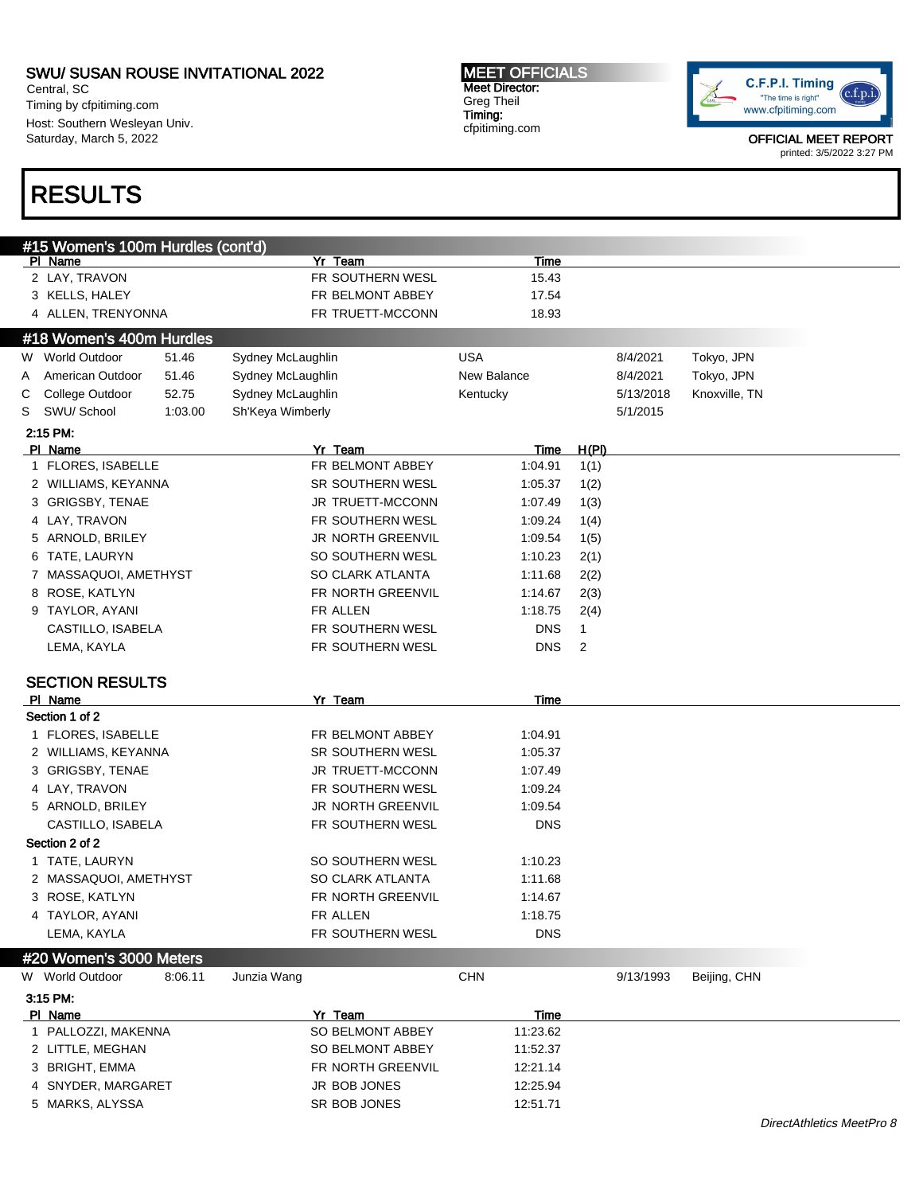Central, SC Timing by cfpitiming.com Host: Southern Wesleyan Univ. Saturday, March 5, 2022

#### MEET OFFICIALS Meet Director: Greg Theil Timing: cfpitiming.com



OFFICIAL MEET REPORT printed: 3/5/2022 3:27 PM

# RESULTS

|   | #15 Women's 100m Hurdles (cont'd)    |         |                   |                                   |                      |              |           |               |  |
|---|--------------------------------------|---------|-------------------|-----------------------------------|----------------------|--------------|-----------|---------------|--|
|   | PI Name<br>2 LAY, TRAVON             |         |                   | Yr Team<br>FR SOUTHERN WESL       | Time<br>15.43        |              |           |               |  |
|   |                                      |         |                   | FR BELMONT ABBEY                  | 17.54                |              |           |               |  |
|   | 3 KELLS, HALEY                       |         |                   | FR TRUETT-MCCONN                  | 18.93                |              |           |               |  |
|   | 4 ALLEN, TRENYONNA                   |         |                   |                                   |                      |              |           |               |  |
|   | #18 Women's 400m Hurdles             |         |                   |                                   |                      |              |           |               |  |
|   | W World Outdoor                      | 51.46   | Sydney McLaughlin |                                   | <b>USA</b>           |              | 8/4/2021  | Tokyo, JPN    |  |
| A | American Outdoor                     | 51.46   | Sydney McLaughlin |                                   | New Balance          |              | 8/4/2021  | Tokyo, JPN    |  |
| С | College Outdoor                      | 52.75   | Sydney McLaughlin |                                   | Kentucky             |              | 5/13/2018 | Knoxville, TN |  |
| S | SWU/ School                          | 1:03.00 | Sh'Keya Wimberly  |                                   |                      |              | 5/1/2015  |               |  |
|   | 2:15 PM:                             |         |                   |                                   |                      |              |           |               |  |
|   | PI Name                              |         |                   | Yr Team<br>FR BELMONT ABBEY       | Time                 | <u>H(PI)</u> |           |               |  |
|   | 1 FLORES, ISABELLE                   |         |                   |                                   | 1:04.91              | 1(1)         |           |               |  |
|   | 2 WILLIAMS, KEYANNA                  |         |                   | SR SOUTHERN WESL                  | 1:05.37              | 1(2)         |           |               |  |
|   | 3 GRIGSBY, TENAE                     |         |                   | JR TRUETT-MCCONN                  | 1:07.49              | 1(3)         |           |               |  |
|   | 4 LAY, TRAVON                        |         |                   | FR SOUTHERN WESL                  | 1:09.24              | 1(4)         |           |               |  |
|   | 5 ARNOLD, BRILEY                     |         |                   | <b>JR NORTH GREENVIL</b>          | 1:09.54              | 1(5)         |           |               |  |
|   | 6 TATE, LAURYN                       |         |                   | SO SOUTHERN WESL                  | 1:10.23              | 2(1)         |           |               |  |
|   | 7 MASSAQUOI, AMETHYST                |         |                   | SO CLARK ATLANTA                  | 1:11.68              | 2(2)         |           |               |  |
|   | 8 ROSE, KATLYN                       |         |                   | FR NORTH GREENVIL                 | 1:14.67              | 2(3)         |           |               |  |
|   | 9 TAYLOR, AYANI                      |         |                   | FR ALLEN                          | 1:18.75              | 2(4)         |           |               |  |
|   | CASTILLO, ISABELA                    |         |                   | FR SOUTHERN WESL                  | <b>DNS</b>           | $\mathbf{1}$ |           |               |  |
|   | LEMA, KAYLA                          |         |                   | FR SOUTHERN WESL                  | <b>DNS</b>           | 2            |           |               |  |
|   |                                      |         |                   |                                   |                      |              |           |               |  |
|   |                                      |         |                   |                                   |                      |              |           |               |  |
|   | <b>SECTION RESULTS</b><br>PI Name    |         |                   | Yr Team                           | Time                 |              |           |               |  |
|   | Section 1 of 2                       |         |                   |                                   |                      |              |           |               |  |
|   | 1 FLORES, ISABELLE                   |         |                   | FR BELMONT ABBEY                  | 1:04.91              |              |           |               |  |
|   | 2 WILLIAMS, KEYANNA                  |         |                   | SR SOUTHERN WESL                  | 1:05.37              |              |           |               |  |
|   | 3 GRIGSBY, TENAE                     |         |                   | <b>JR TRUETT-MCCONN</b>           | 1:07.49              |              |           |               |  |
|   | 4 LAY, TRAVON                        |         |                   | FR SOUTHERN WESL                  | 1:09.24              |              |           |               |  |
|   | 5 ARNOLD, BRILEY                     |         |                   | <b>JR NORTH GREENVIL</b>          | 1:09.54              |              |           |               |  |
|   | CASTILLO, ISABELA                    |         |                   | FR SOUTHERN WESL                  | <b>DNS</b>           |              |           |               |  |
|   | Section 2 of 2                       |         |                   |                                   |                      |              |           |               |  |
|   | 1 TATE, LAURYN                       |         |                   | SO SOUTHERN WESL                  | 1:10.23              |              |           |               |  |
|   | 2 MASSAQUOI, AMETHYST                |         |                   | SO CLARK ATLANTA                  | 1:11.68              |              |           |               |  |
|   | 3 ROSE, KATLYN                       |         |                   | FR NORTH GREENVIL                 | 1:14.67              |              |           |               |  |
|   |                                      |         |                   | FR ALLEN                          | 1:18.75              |              |           |               |  |
|   | 4 TAYLOR, AYANI<br>LEMA, KAYLA       |         |                   | FR SOUTHERN WESL                  | <b>DNS</b>           |              |           |               |  |
|   |                                      |         |                   |                                   |                      |              |           |               |  |
|   | #20 Women's 3000 Meters              |         |                   |                                   |                      |              |           |               |  |
|   | W World Outdoor                      | 8:06.11 | Junzia Wang       |                                   | <b>CHN</b>           |              | 9/13/1993 | Beijing, CHN  |  |
|   | 3:15 PM:                             |         |                   |                                   |                      |              |           |               |  |
|   | PI Name                              |         |                   | Yr Team                           | Time                 |              |           |               |  |
|   | 1 PALLOZZI, MAKENNA                  |         |                   | SO BELMONT ABBEY                  | 11:23.62<br>11:52.37 |              |           |               |  |
|   | 2 LITTLE, MEGHAN                     |         |                   | SO BELMONT ABBEY                  |                      |              |           |               |  |
|   | 3 BRIGHT, EMMA<br>4 SNYDER, MARGARET |         |                   | FR NORTH GREENVIL<br>JR BOB JONES | 12:21.14<br>12:25.94 |              |           |               |  |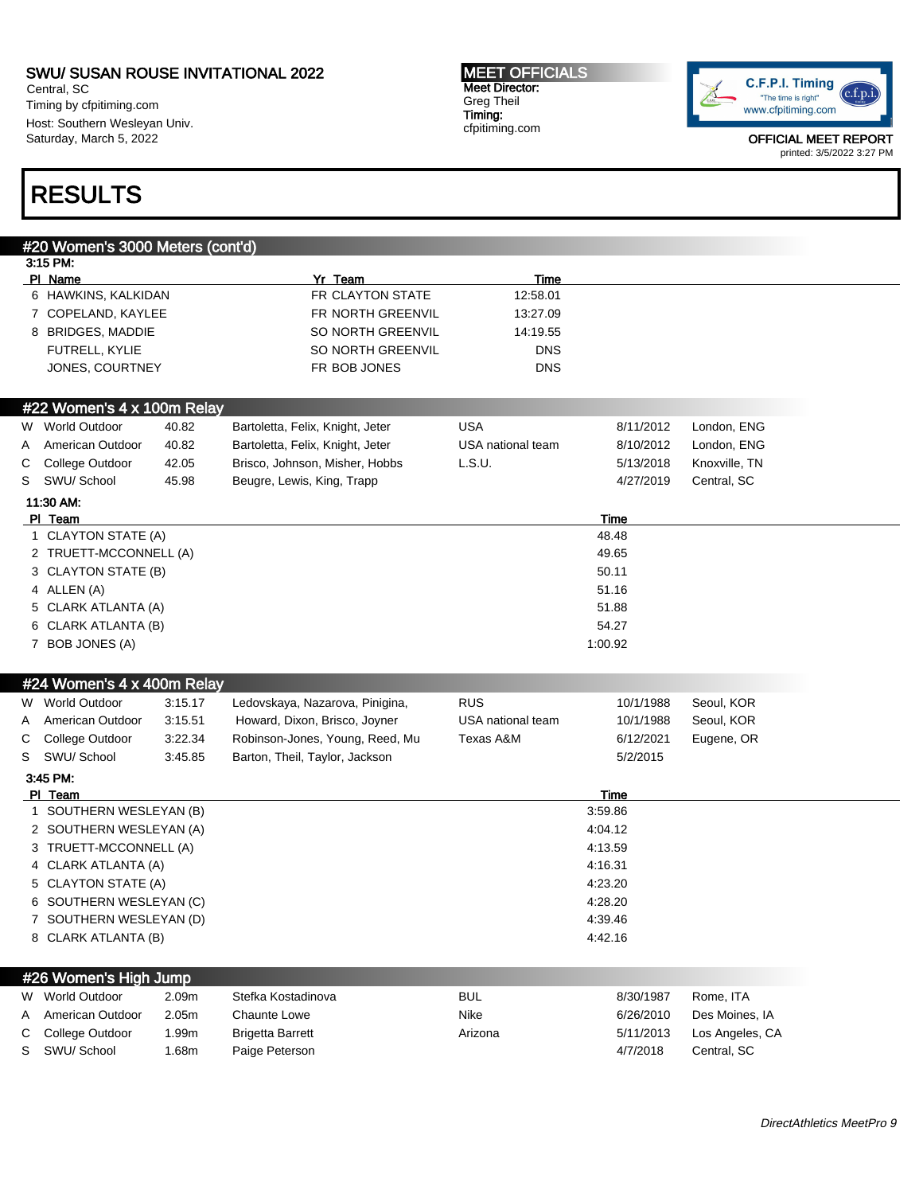Central, SC Timing by cfpitiming.com Host: Southern Wesleyan Univ. Saturday, March 5, 2022

#### MEET OFFICIALS Meet Director: Greg Theil Timing: cfpitiming.com



OFFICIAL MEET REPORT printed: 3/5/2022 3:27 PM

# RESULTS

# #20 Women's 3000 Meters (cont'd) 3:15 PM: Pl Name Yr Team Time 6 HAWKINS, KALKIDAN FR CLAYTON STATE 12:58.01 7 COPELAND, KAYLEE FR NORTH GREENVIL 13:27.09 8 BRIDGES, MADDIE SO NORTH GREENVIL 14:19.55 FUTRELL, KYLIE SO NORTH GREENVIL DNS JONES, COURTNEY GALLERY CONSTRUCTED FRIEGES AND THE BOB JONES #22 Women's 4 x 100m Relay W World Outdoor at 40.82 Bartoletta, Felix, Knight, Jeter USA 8/11/2012 London, ENG A American Outdoor 40.82 Bartoletta, Felix, Knight, Jeter USA national team 8/10/2012 London, ENG C College Outdoor 42.05 Brisco, Johnson, Misher, Hobbs L.S.U. 5/13/2018 Knoxville, TN S SWU/ School 45.98 Beugre, Lewis, King, Trapp 4/27/2019 Central, SC 11:30 AM: Pl Team Time 1 CLAYTON STATE (A) 48.48 2 TRUETT-MCCONNELL (A) 49.65 3 CLAYTON STATE (B) 50.11 4 ALLEN (A) 51.16 5 CLARK ATLANTA (A) 51.88 6 CLARK ATLANTA (B) 54.27 7 BOB JONES (A) 1:00.92 #24 Women's 4 x 400m Relay W World Outdoor 3:15.17 Ledovskaya, Nazarova, Pinigina, RUS 10/1/1988 Seoul, KOR A American Outdoor 3:15.51 Howard, Dixon, Brisco, Joyner USA national team 10/1/1988 Seoul, KOR C College Outdoor 3:22.34 Robinson-Jones, Young, Reed, Mu Texas A&M 6/12/2021 Eugene, OR S SWU/ School 3:45.85 Barton, Theil, Taylor, Jackson 5/2/2015 3:45 PM: Pl Team Time 1 SOUTHERN WESLEYAN (B) 3:59.86 2 SOUTHERN WESLEYAN (A) 4:04.12 3 TRUETT-MCCONNELL (A) 4:13.59 4 CLARK ATLANTA (A) 4:16.31 5 CLAYTON STATE (A) 4:23.20 6 SOUTHERN WESLEYAN (C) 4:28.20 7 SOUTHERN WESLEYAN (D) 4:39.46 8 CLARK ATLANTA (B) 4:42.16 #26 Women's High Jump W World Outdoor a 2.09m Stefka Kostadinova **BUL BUL 8/30/1987** Rome, ITA A American Outdoor 2.05m Chaunte Lowe Nike Nike Nike 6/26/2010 Des Moines, IA C College Outdoor 1.99m Brigetta Barrett Arizona Arizona 5/11/2013 Los Angeles, CA S SWU/ School 1.68m Paige Peterson 4/7/2018 Central, SC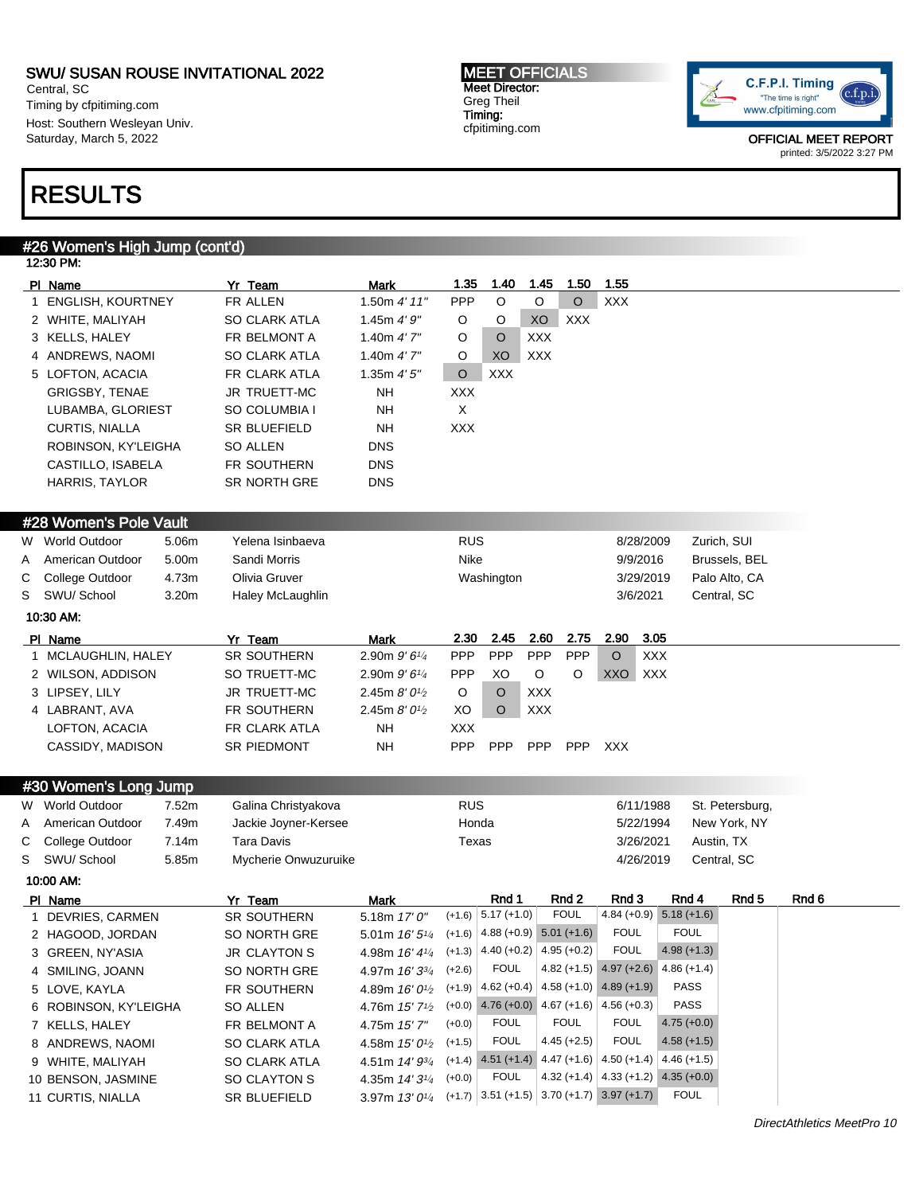Central, SC Timing by cfpitiming.com Host: Southern Wesleyan Univ. Saturday, March 5, 2022

# RESULTS

# #26 Women's High Jump (cont'd)

|              | 12:30 PM:                |       |                      |                                                               |            |                                      |            |               |                                              |                           |                 |       |  |
|--------------|--------------------------|-------|----------------------|---------------------------------------------------------------|------------|--------------------------------------|------------|---------------|----------------------------------------------|---------------------------|-----------------|-------|--|
|              | PI Name                  |       | Yr Team              | Mark                                                          | 1.35       | 1.40                                 | 1.45       | 1.50          | 1.55                                         |                           |                 |       |  |
| $\mathbf{1}$ | <b>ENGLISH, KOURTNEY</b> |       | FR ALLEN             | 1.50 $4'$ 11"                                                 | PPP        | $\circ$                              | O          | $\circ$       | <b>XXX</b>                                   |                           |                 |       |  |
|              | 2 WHITE, MALIYAH         |       | <b>SO CLARK ATLA</b> | 1.45m $4'9''$                                                 | O          | O                                    | XO         | <b>XXX</b>    |                                              |                           |                 |       |  |
|              | 3 KELLS, HALEY           |       | FR BELMONT A         | 1.40m $4'7''$                                                 | O          | O                                    | <b>XXX</b> |               |                                              |                           |                 |       |  |
|              | 4 ANDREWS, NAOMI         |       | <b>SO CLARK ATLA</b> | 1.40m $4'$ 7"                                                 | O          | XO                                   | <b>XXX</b> |               |                                              |                           |                 |       |  |
|              | 5 LOFTON, ACACIA         |       | FR CLARK ATLA        | 1.35m $4'5''$                                                 | $\circ$    | <b>XXX</b>                           |            |               |                                              |                           |                 |       |  |
|              | GRIGSBY, TENAE           |       | JR TRUETT-MC         | NΗ                                                            | XXX        |                                      |            |               |                                              |                           |                 |       |  |
|              | LUBAMBA, GLORIEST        |       | SO COLUMBIA I        | NΗ                                                            | $\times$   |                                      |            |               |                                              |                           |                 |       |  |
|              | <b>CURTIS, NIALLA</b>    |       | <b>SR BLUEFIELD</b>  | NΗ                                                            | <b>XXX</b> |                                      |            |               |                                              |                           |                 |       |  |
|              | ROBINSON, KY'LEIGHA      |       | SO ALLEN             | <b>DNS</b>                                                    |            |                                      |            |               |                                              |                           |                 |       |  |
|              | CASTILLO, ISABELA        |       | <b>FR SOUTHERN</b>   | <b>DNS</b>                                                    |            |                                      |            |               |                                              |                           |                 |       |  |
|              | <b>HARRIS, TAYLOR</b>    |       | <b>SR NORTH GRE</b>  | <b>DNS</b>                                                    |            |                                      |            |               |                                              |                           |                 |       |  |
|              |                          |       |                      |                                                               |            |                                      |            |               |                                              |                           |                 |       |  |
|              | #28 Women's Pole Vault   |       |                      |                                                               |            |                                      |            |               |                                              |                           |                 |       |  |
|              | W World Outdoor          | 5.06m | Yelena Isinbaeva     |                                                               | <b>RUS</b> |                                      |            |               | 8/28/2009                                    |                           | Zurich, SUI     |       |  |
| A            | American Outdoor         | 5.00m | Sandi Morris         |                                                               | Nike       |                                      |            |               | 9/9/2016                                     |                           | Brussels, BEL   |       |  |
| С            | College Outdoor          | 4.73m | Olivia Gruver        |                                                               |            | Washington                           |            |               | 3/29/2019                                    |                           | Palo Alto, CA   |       |  |
| S            | SWU/ School              | 3.20m | Haley McLaughlin     |                                                               |            |                                      |            |               | 3/6/2021                                     |                           | Central, SC     |       |  |
|              | 10:30 AM:                |       |                      |                                                               |            |                                      |            |               |                                              |                           |                 |       |  |
|              | PI Name                  |       | Yr Team              | <b>Mark</b>                                                   | 2.30       | 2.45                                 | 2.60       | 2.75          | 2.90                                         | 3.05                      |                 |       |  |
|              | 1 MCLAUGHLIN, HALEY      |       | SR SOUTHERN          | 2.90m 9'6 <sup>1/4</sup>                                      | PPP        | PPP                                  | PPP        | PPP           | $\circ$                                      | <b>XXX</b>                |                 |       |  |
|              | 2 WILSON, ADDISON        |       | SO TRUETT-MC         | 2.90m $9'6\frac{1}{4}$                                        | <b>PPP</b> | XO                                   | O          | O             | XXO XXX                                      |                           |                 |       |  |
|              | 3 LIPSEY, LILY           |       | JR TRUETT-MC         | 2.45m $8'0\frac{1}{2}$                                        | O          | O                                    | <b>XXX</b> |               |                                              |                           |                 |       |  |
|              | 4 LABRANT, AVA           |       | FR SOUTHERN          | 2.45m 8' 0 <sup>1/2</sup>                                     | XO         | $\circ$                              | <b>XXX</b> |               |                                              |                           |                 |       |  |
|              | LOFTON, ACACIA           |       | FR CLARK ATLA        | <b>NH</b>                                                     | XXX        |                                      |            |               |                                              |                           |                 |       |  |
|              | CASSIDY, MADISON         |       | <b>SR PIEDMONT</b>   | NΗ                                                            | <b>PPP</b> | <b>PPP</b>                           | <b>PPP</b> | <b>PPP</b>    | XXX                                          |                           |                 |       |  |
|              |                          |       |                      |                                                               |            |                                      |            |               |                                              |                           |                 |       |  |
|              | #30 Women's Long Jump    |       |                      |                                                               |            |                                      |            |               |                                              |                           |                 |       |  |
|              | W World Outdoor          | 7.52m | Galina Christyakova  |                                                               | <b>RUS</b> |                                      |            |               | 6/11/1988                                    |                           | St. Petersburg, |       |  |
| A            | American Outdoor         | 7.49m | Jackie Joyner-Kersee |                                                               | Honda      |                                      |            |               | 5/22/1994                                    |                           | New York, NY    |       |  |
| С            | College Outdoor          | 7.14m | <b>Tara Davis</b>    |                                                               | Texas      |                                      |            |               | 3/26/2021                                    |                           | Austin, TX      |       |  |
| S            | SWU/ School              | 5.85m | Mycherie Onwuzuruike |                                                               |            |                                      |            |               | 4/26/2019                                    |                           | Central, SC     |       |  |
|              | 10:00 AM:                |       |                      |                                                               |            |                                      |            |               |                                              |                           |                 |       |  |
|              | PI Name                  |       | Yr Team              | Mark                                                          |            | Rnd 1                                |            | Rnd 2         | Rnd 3                                        | Rnd 4                     | Rnd 5           | Rnd 6 |  |
|              | 1 DEVRIES, CARMEN        |       | <b>SR SOUTHERN</b>   | 5.18m 17' 0"                                                  |            | $(+1.6)$ 5.17 $(+1.0)$               |            | <b>FOUL</b>   |                                              | $4.84 (+0.9) 5.18 (+1.6)$ |                 |       |  |
|              | 2 HAGOOD, JORDAN         |       | SO NORTH GRE         | 5.01 m $16'5^{1/4}$ (+1.6) 4.88 (+0.9) 5.01 (+1.6)            |            |                                      |            |               | <b>FOUL</b>                                  | <b>FOUL</b>               |                 |       |  |
|              | 3 GREEN, NY'ASIA         |       | <b>JR CLAYTON S</b>  | 4.98m $16'$ 4 <sup>1/4</sup> (+1.3) 4.40 (+0.2) 4.95 (+0.2)   |            |                                      |            |               | <b>FOUL</b>                                  | $4.98 (+1.3)$             |                 |       |  |
|              | 4 SMILING, JOANN         |       | SO NORTH GRE         | 4.97m 16′ 3¾                                                  | $(+2.6)$   | <b>FOUL</b>                          |            |               | $4.82 (+1.5) 4.97 (+2.6)$                    | $4.86 (+1.4)$             |                 |       |  |
|              | 5 LOVE, KAYLA            |       | FR SOUTHERN          | 4.89m <i>16' 01</i> / <sub>2</sub>                            |            |                                      |            |               | $(+1.9)$ 4.62 (+0.4) 4.58 (+1.0) 4.89 (+1.9) | PASS                      |                 |       |  |
|              | 6 ROBINSON, KY'LEIGHA    |       | SO ALLEN             | 4.76m 15' 7 <sup>1</sup> / <sub>2</sub>                       |            | $(+0.0)$ 4.76 $(+0.0)$ 4.67 $(+1.6)$ |            |               | $4.56 (+0.3)$                                | PASS                      |                 |       |  |
|              | 7 KELLS, HALEY           |       | FR BELMONT A         | 4.75m 15'7"                                                   | $(+0.0)$   | <b>FOUL</b>                          |            | <b>FOUL</b>   | <b>FOUL</b>                                  | $4.75 (+0.0)$             |                 |       |  |
|              | 8 ANDREWS, NAOMI         |       | SO CLARK ATLA        | 4.58m $15'0\%$                                                | $(+1.5)$   | <b>FOUL</b>                          |            | $4.45 (+2.5)$ | <b>FOUL</b>                                  | $4.58 (+1.5)$             |                 |       |  |
|              | 9 WHITE, MALIYAH         |       | SO CLARK ATLA        | 4.51m 14' 93/4                                                |            | $(+1.4)$ 4.51 $(+1.4)$               |            |               | 4.47 (+1.6) $ 4.50$ (+1.4)                   | $4.46 (+1.5)$             |                 |       |  |
|              | 10 BENSON, JASMINE       |       | SO CLAYTON S         | 4.35m $14'3\frac{1}{4}$                                       | $(+0.0)$   | <b>FOUL</b>                          |            |               | 4.32 (+1.4) $ 4.33$ (+1.2)                   | $4.35 (+0.0)$             |                 |       |  |
|              | 11 CURTIS, NIALLA        |       | SR BLUEFIELD         | 3.97m $13'0^{1/4}$ (+1.7) 3.51 (+1.5) 3.70 (+1.7) 3.97 (+1.7) |            |                                      |            |               |                                              | <b>FOUL</b>               |                 |       |  |



OFFICIAL MEET REPORT printed: 3/5/2022 3:27 PM

#### MEET OFFICIALS Meet Director: Greg Theil Timing: cfpitiming.com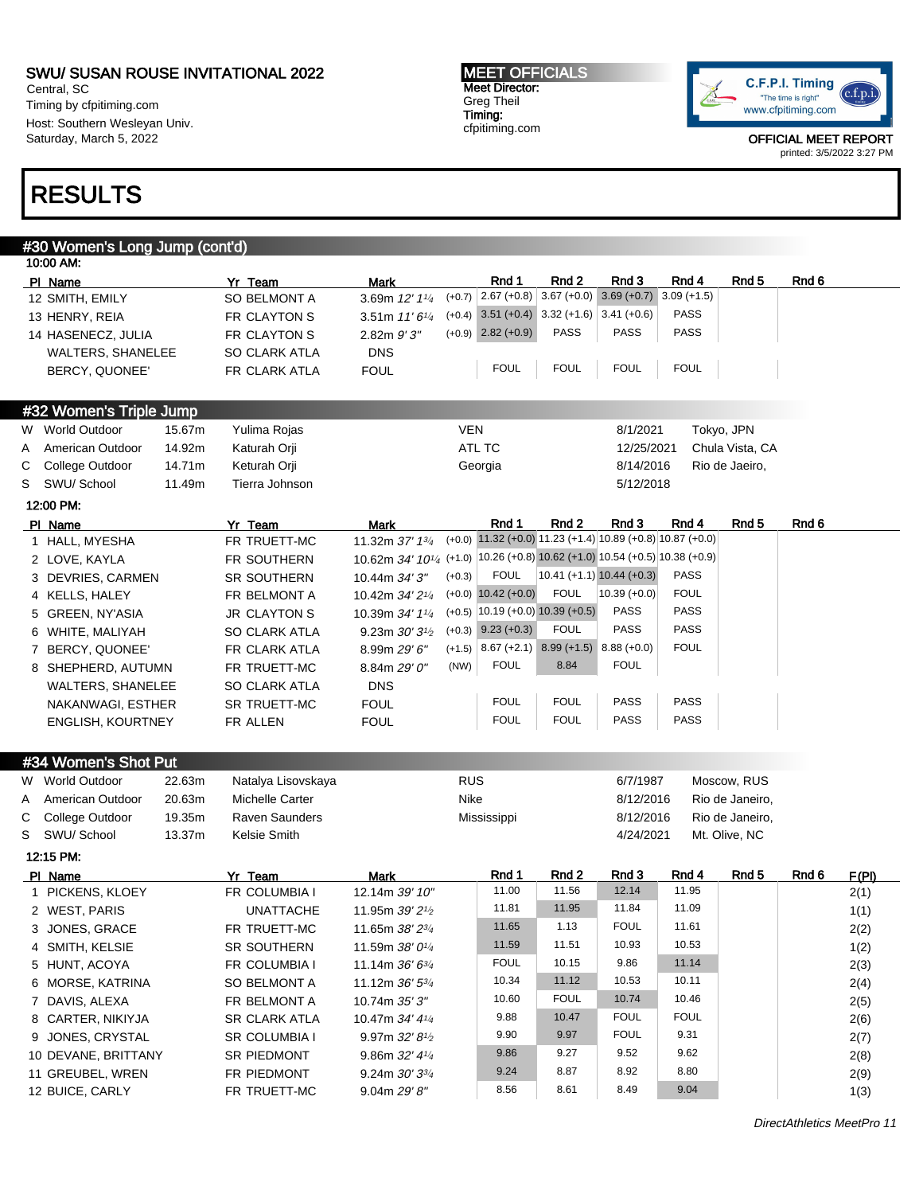Central, SC Timing by cfpitiming.com Host: Southern Wesleyan Univ. Saturday, March 5, 2022

#### MEET OFFICIALS Meet Director: Greg Theil Timing: cfpitiming.com



OFFICIAL MEET REPORT printed: 3/5/2022 3:27 PM

# RESULTS

|           | #30 Women's Long Jump (cont'd) |        |                      |                                                                                         |            |                                              |                |                                                                      |                |                  |       |  |
|-----------|--------------------------------|--------|----------------------|-----------------------------------------------------------------------------------------|------------|----------------------------------------------|----------------|----------------------------------------------------------------------|----------------|------------------|-------|--|
| 10:00 AM: |                                |        |                      |                                                                                         |            |                                              |                |                                                                      |                |                  |       |  |
| PI Name   |                                |        | Yr Team              | <b>Mark</b>                                                                             |            | Rnd 1                                        | Rnd 2          | Rnd 3                                                                | Rnd 4          | Rnd <sub>5</sub> | Rnd 6 |  |
|           | 12 SMITH, EMILY                |        | SO BELMONT A         | 3.69m 12' 11/4                                                                          | $(+0.7)$   | $2.67 (+0.8)$                                |                | $3.67 (+0.0) 3.69 (+0.7)$                                            | $3.09 (+1.5)$  |                  |       |  |
|           | 13 HENRY, REIA                 |        | FR CLAYTON S         | 3.51m $11'6''$                                                                          |            | $(+0.4)$ 3.51 $(+0.4)$ 3.32 $(+1.6)$         |                | $3.41 (+0.6)$                                                        | <b>PASS</b>    |                  |       |  |
|           | 14 HASENECZ, JULIA             |        | FR CLAYTON S         | $2.82m$ $9'3''$                                                                         |            | $(+0.9)$ 2.82 $(+0.9)$                       | <b>PASS</b>    | <b>PASS</b>                                                          | PASS           |                  |       |  |
|           | <b>WALTERS, SHANELEE</b>       |        | SO CLARK ATLA        | <b>DNS</b>                                                                              |            |                                              |                |                                                                      |                |                  |       |  |
|           | BERCY, QUONEE'                 |        | FR CLARK ATLA        | <b>FOUL</b>                                                                             |            | <b>FOUL</b>                                  | <b>FOUL</b>    | <b>FOUL</b>                                                          | <b>FOUL</b>    |                  |       |  |
|           | #32 Women's Triple Jump        |        |                      |                                                                                         |            |                                              |                |                                                                      |                |                  |       |  |
|           | W World Outdoor                | 15.67m | Yulima Rojas         |                                                                                         | <b>VEN</b> |                                              |                | 8/1/2021                                                             |                | Tokyo, JPN       |       |  |
| A         | American Outdoor               | 14.92m | Katurah Orji         |                                                                                         |            | ATL TC                                       |                | 12/25/2021                                                           |                | Chula Vista, CA  |       |  |
| С         | College Outdoor                | 14.71m | Keturah Orji         |                                                                                         |            | Georgia                                      |                | 8/14/2016                                                            |                | Rio de Jaeiro,   |       |  |
| S         | SWU/ School                    | 11.49m | Tierra Johnson       |                                                                                         |            |                                              |                | 5/12/2018                                                            |                |                  |       |  |
| 12:00 PM: |                                |        |                      |                                                                                         |            |                                              |                |                                                                      |                |                  |       |  |
| PI Name   |                                |        | Yr Team              | Mark                                                                                    |            | Rnd 1                                        | Rnd 2          | Rnd 3                                                                | Rnd 4          | Rnd 5            | Rnd 6 |  |
|           | 1 HALL, MYESHA                 |        | FR TRUETT-MC         | 11.32m 37' 13/4                                                                         |            |                                              |                | $(+0.0)$ 11.32 $(+0.0)$ 11.23 $(+1.4)$ 10.89 $(+0.8)$ 10.87 $(+0.0)$ |                |                  |       |  |
|           | 2 LOVE, KAYLA                  |        | FR SOUTHERN          | 10.62m 34' 10 <sup>1/4</sup> (+1.0) 10.26 (+0.8) 10.62 (+1.0) 10.54 (+0.5) 10.38 (+0.9) |            |                                              |                |                                                                      |                |                  |       |  |
|           | 3 DEVRIES, CARMEN              |        | <b>SR SOUTHERN</b>   | 10.44m 34' 3"                                                                           | $(+0.3)$   | <b>FOUL</b>                                  |                | $10.41 (+1.1) 10.44 (+0.3)$                                          | <b>PASS</b>    |                  |       |  |
|           | 4 KELLS, HALEY                 |        | FR BELMONT A         | 10.42m 34' 21/4                                                                         |            | $(+0.0)$ 10.42 $(+0.0)$                      | <b>FOUL</b>    | $10.39 (+0.0)$                                                       | <b>FOUL</b>    |                  |       |  |
|           | 5 GREEN, NY'ASIA               |        | <b>JR CLAYTON S</b>  | 10.39m 34' 11/4                                                                         |            | $(+0.5)$ 10.19 $(+0.0)$ 10.39 $(+0.5)$       |                | <b>PASS</b>                                                          | <b>PASS</b>    |                  |       |  |
|           | 6 WHITE, MALIYAH               |        | <b>SO CLARK ATLA</b> | 9.23m $30'3^{1/2}$                                                                      |            | $(+0.3)$ 9.23 $(+0.3)$                       | <b>FOUL</b>    | <b>PASS</b>                                                          | <b>PASS</b>    |                  |       |  |
|           | 7 BERCY, QUONEE'               |        | FR CLARK ATLA        | 8.99m 29' 6"                                                                            |            | $(+1.5)$ 8.67 (+2.1) 8.99 (+1.5) 8.88 (+0.0) |                |                                                                      | <b>FOUL</b>    |                  |       |  |
|           | 8 SHEPHERD, AUTUMN             |        | FR TRUETT-MC         | 8.84m 29' 0"                                                                            | (NW)       | <b>FOUL</b>                                  | 8.84           | <b>FOUL</b>                                                          |                |                  |       |  |
|           | <b>WALTERS, SHANELEE</b>       |        | <b>SO CLARK ATLA</b> | <b>DNS</b>                                                                              |            |                                              |                |                                                                      |                |                  |       |  |
|           | NAKANWAGI, ESTHER              |        | SR TRUETT-MC         | <b>FOUL</b>                                                                             |            | <b>FOUL</b>                                  | <b>FOUL</b>    | <b>PASS</b>                                                          | <b>PASS</b>    |                  |       |  |
|           | <b>ENGLISH, KOURTNEY</b>       |        | FR ALLEN             | <b>FOUL</b>                                                                             |            | <b>FOUL</b>                                  | <b>FOUL</b>    | <b>PASS</b>                                                          | PASS           |                  |       |  |
|           | #34 Women's Shot Put           |        |                      |                                                                                         |            |                                              |                |                                                                      |                |                  |       |  |
|           | W World Outdoor                | 22.63m | Natalya Lisovskaya   |                                                                                         | <b>RUS</b> |                                              |                | 6/7/1987                                                             |                | Moscow, RUS      |       |  |
| A         | American Outdoor               | 20.63m | Michelle Carter      |                                                                                         | Nike       |                                              |                | 8/12/2016                                                            |                | Rio de Janeiro,  |       |  |
| С         | College Outdoor                | 19.35m | Raven Saunders       |                                                                                         |            | Mississippi                                  |                | 8/12/2016                                                            |                | Rio de Janeiro,  |       |  |
| S         | SWU/ School                    | 13.37m | Kelsie Smith         |                                                                                         |            |                                              |                | 4/24/2021                                                            |                | Mt. Olive, NC    |       |  |
| 12:15 PM: |                                |        |                      |                                                                                         |            |                                              |                |                                                                      |                |                  |       |  |
| PI Name   |                                |        | Yr Team              | Mark                                                                                    |            | Rnd 1<br>11.00                               | Rnd 2<br>11.56 | Rnd 3<br>12.14                                                       | Rnd 4<br>11.95 | Rnd <sub>5</sub> | Rnd 6 |  |
|           | 1 PICKENS, KLOEY               |        | FR COLUMBIA I        | 12.14m 39' 10"                                                                          |            |                                              |                |                                                                      | 11.09          |                  |       |  |
|           | 2 WEST, PARIS                  |        | <b>UNATTACHE</b>     | 11.95m 39' 2 <sup>1</sup> / <sub>2</sub>                                                |            | 11.81                                        | 11.95          | 11.84                                                                |                |                  |       |  |
|           | 3 JONES, GRACE                 |        | FR TRUETT-MC         | 11.65m 38' 2 <sup>3/4</sup>                                                             |            | 11.65                                        | 1.13           | <b>FOUL</b>                                                          | 11.61          |                  |       |  |
|           | 4 SMITH, KELSIE                |        | SR SOUTHERN          | 11.59m 38' 0 <sup>1/4</sup>                                                             |            | 11.59                                        | 11.51          | 10.93                                                                | 10.53          |                  |       |  |
|           | 5 HUNT, ACOYA                  |        | FR COLUMBIA I        | 11.14m $36'6^{3/4}$                                                                     |            | <b>FOUL</b>                                  | 10.15          | 9.86                                                                 | 11.14          |                  |       |  |
|           | 6 MORSE, KATRINA               |        | SO BELMONT A         | 11.12m 36' 5 <sup>3/4</sup>                                                             |            | 10.34                                        | 11.12          | 10.53                                                                | 10.11          |                  |       |  |
|           | 7 DAVIS, ALEXA                 |        | FR BELMONT A         | 10.74m 35' 3"                                                                           |            | 10.60                                        | <b>FOUL</b>    | 10.74                                                                | 10.46          |                  |       |  |
|           | 8 CARTER, NIKIYJA              |        | SR CLARK ATLA        | 10.47m 34' 41/4                                                                         |            | 9.88                                         | 10.47          | <b>FOUL</b>                                                          | <b>FOUL</b>    |                  |       |  |
|           | 9 JONES, CRYSTAL               |        | SR COLUMBIA I        | 9.97m 32' 8 <sup>1</sup> /2                                                             |            | 9.90                                         | 9.97           | <b>FOUL</b>                                                          | 9.31           |                  |       |  |
|           | 10 DEVANE, BRITTANY            |        | SR PIEDMONT          | 9.86m $32'$ 4 $\frac{1}{4}$                                                             |            | 9.86                                         | 9.27           | 9.52                                                                 | 9.62           |                  |       |  |
|           | 11 GREUBEL, WREN               |        | FR PIEDMONT          | 9.24m $30'3^{3}/4$                                                                      |            | 9.24                                         | 8.87           | 8.92                                                                 | 8.80           |                  |       |  |
|           | 12 BUICE, CARLY                |        | FR TRUETT-MC         | 9.04m 29' 8"                                                                            |            | 8.56                                         | 8.61           | 8.49                                                                 | 9.04           |                  |       |  |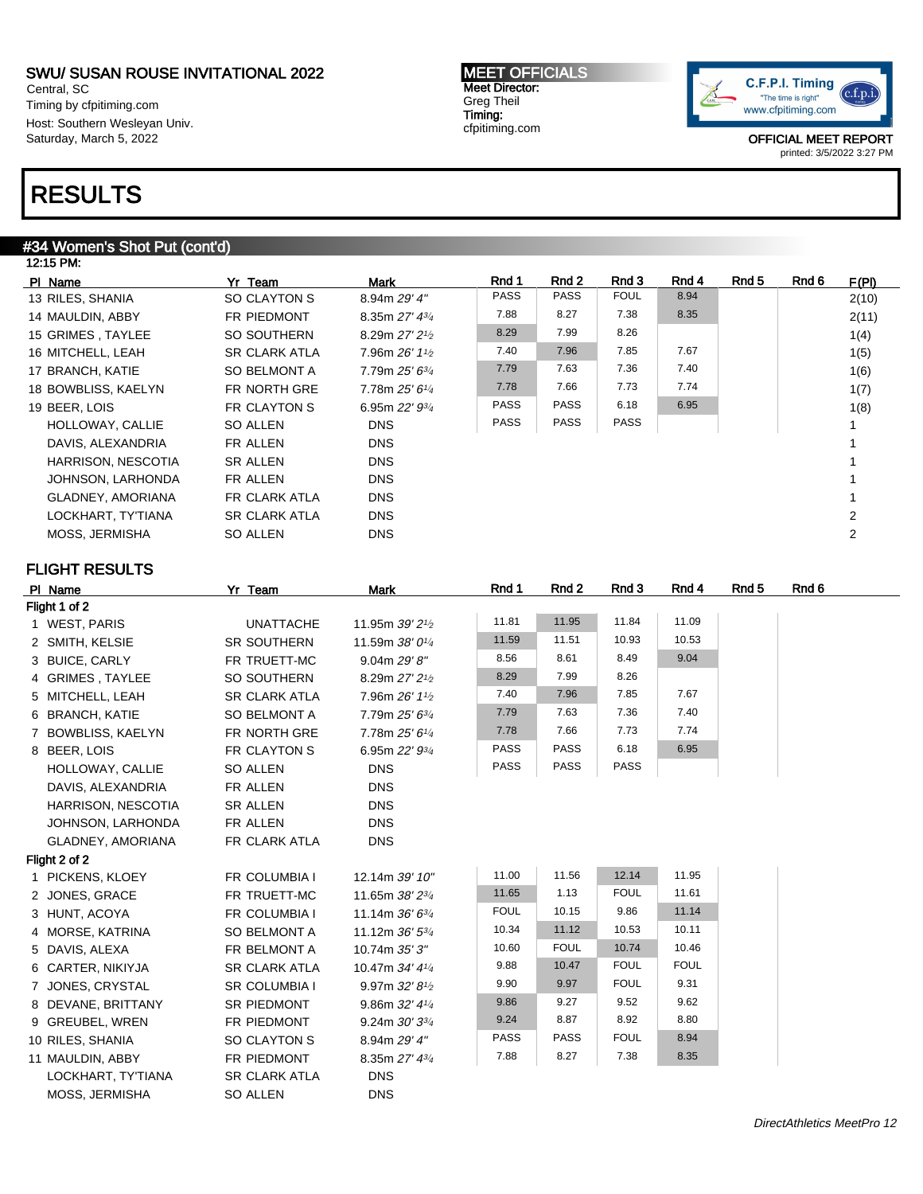Central, SC Timing by cfpitiming.com Host: Southern Wesleyan Univ. Saturday, March 5, 2022

# RESULTS

### #34 Women's Shot Put (cont'd)

| 12:15 PM:           |                      |                              |             |             |             |       |       |       |       |  |
|---------------------|----------------------|------------------------------|-------------|-------------|-------------|-------|-------|-------|-------|--|
| PI Name             | Yr Team              | Mark                         | Rnd 1       | Rnd 2       | Rnd 3       | Rnd 4 | Rnd 5 | Rnd 6 | F(PI) |  |
| 13 RILES, SHANIA    | SO CLAYTON S         | 8.94m 29' 4"                 | PASS        | <b>PASS</b> | <b>FOUL</b> | 8.94  |       |       | 2(10) |  |
| 14 MAULDIN, ABBY    | FR PIEDMONT          | 8.35m $27'$ 4 $\frac{3}{4}$  | 7.88        | 8.27        | 7.38        | 8.35  |       |       | 2(11) |  |
| 15 GRIMES, TAYLEE   | SO SOUTHERN          | 8.29m $27'2\frac{1}{2}$      | 8.29        | 7.99        | 8.26        |       |       |       | 1(4)  |  |
| 16 MITCHELL, LEAH   | <b>SR CLARK ATLA</b> | 7.96m $26'$ 1 <sup>1/2</sup> | 7.40        | 7.96        | 7.85        | 7.67  |       |       | 1(5)  |  |
| 17 BRANCH, KATIE    | <b>SO BELMONT A</b>  | $7.79m 25' 6\frac{3}{4}$     | 7.79        | 7.63        | 7.36        | 7.40  |       |       | 1(6)  |  |
| 18 BOWBLISS, KAELYN | FR NORTH GRE         | 7.78m 25' 61/4               | 7.78        | 7.66        | 7.73        | 7.74  |       |       | 1(7)  |  |
| 19 BEER, LOIS       | FR CLAYTON S         | 6.95m $22'$ $9\frac{3}{4}$   | PASS        | <b>PASS</b> | 6.18        | 6.95  |       |       | 1(8)  |  |
| HOLLOWAY, CALLIE    | SO ALLEN             | <b>DNS</b>                   | <b>PASS</b> | <b>PASS</b> | <b>PASS</b> |       |       |       |       |  |
| DAVIS, ALEXANDRIA   | FR ALLEN             | <b>DNS</b>                   |             |             |             |       |       |       |       |  |
| HARRISON, NESCOTIA  | <b>SR ALLEN</b>      | <b>DNS</b>                   |             |             |             |       |       |       |       |  |
| JOHNSON, LARHONDA   | FR ALLEN             | <b>DNS</b>                   |             |             |             |       |       |       |       |  |
| GLADNEY, AMORIANA   | FR CLARK ATLA        | <b>DNS</b>                   |             |             |             |       |       |       |       |  |
| LOCKHART, TY'TIANA  | <b>SR CLARK ATLA</b> | <b>DNS</b>                   |             |             |             |       |       |       | 2     |  |
| MOSS, JERMISHA      | SO ALLEN             | <b>DNS</b>                   |             |             |             |       |       |       | 2     |  |
|                     |                      |                              |             |             |             |       |       |       |       |  |

MEET OFFICIALS Meet Director: Greg Theil Timing: cfpitiming.com

### FLIGHT RESULTS

| PI Name            | Yr Team              | <b>Mark</b>                              | Rnd 1       | Rnd 2       | Rnd 3       | Rnd 4       | Rnd <sub>5</sub> | Rnd 6 |
|--------------------|----------------------|------------------------------------------|-------------|-------------|-------------|-------------|------------------|-------|
| Flight 1 of 2      |                      |                                          |             |             |             |             |                  |       |
| 1 WEST, PARIS      | <b>UNATTACHE</b>     | 11.95m 39' 2 <sup>1</sup> / <sub>2</sub> | 11.81       | 11.95       | 11.84       | 11.09       |                  |       |
| 2 SMITH, KELSIE    | SR SOUTHERN          | 11.59m 38' 01/4                          | 11.59       | 11.51       | 10.93       | 10.53       |                  |       |
| 3 BUICE, CARLY     | FR TRUETT-MC         | 9.04m 29' 8"                             | 8.56        | 8.61        | 8.49        | 9.04        |                  |       |
| 4 GRIMES, TAYLEE   | SO SOUTHERN          | 8.29m 27' 2 <sup>1/2</sup>               | 8.29        | 7.99        | 8.26        |             |                  |       |
| 5 MITCHELL, LEAH   | <b>SR CLARK ATLA</b> | 7.96m 26' 11/2                           | 7.40        | 7.96        | 7.85        | 7.67        |                  |       |
| 6 BRANCH, KATIE    | SO BELMONT A         | 7.79m 25' 63/4                           | 7.79        | 7.63        | 7.36        | 7.40        |                  |       |
| 7 BOWBLISS, KAELYN | FR NORTH GRE         | 7.78m 25' 61/4                           | 7.78        | 7.66        | 7.73        | 7.74        |                  |       |
| 8 BEER, LOIS       | FR CLAYTON S         | 6.95m 22' 93/4                           | <b>PASS</b> | <b>PASS</b> | 6.18        | 6.95        |                  |       |
| HOLLOWAY, CALLIE   | <b>SO ALLEN</b>      | <b>DNS</b>                               | <b>PASS</b> | <b>PASS</b> | <b>PASS</b> |             |                  |       |
| DAVIS, ALEXANDRIA  | FR ALLEN             | <b>DNS</b>                               |             |             |             |             |                  |       |
| HARRISON, NESCOTIA | <b>SR ALLEN</b>      | <b>DNS</b>                               |             |             |             |             |                  |       |
| JOHNSON, LARHONDA  | FR ALLEN             | <b>DNS</b>                               |             |             |             |             |                  |       |
| GLADNEY, AMORIANA  | FR CLARK ATLA        | <b>DNS</b>                               |             |             |             |             |                  |       |
| Flight 2 of 2      |                      |                                          |             |             |             |             |                  |       |
| 1 PICKENS, KLOEY   | FR COLUMBIA I        | 12.14m 39' 10"                           | 11.00       | 11.56       | 12.14       | 11.95       |                  |       |
| 2 JONES, GRACE     | FR TRUETT-MC         | 11.65m 38' 23/4                          | 11.65       | 1.13        | <b>FOUL</b> | 11.61       |                  |       |
| 3 HUNT, ACOYA      | FR COLUMBIA I        | 11.14m 36' 63/4                          | <b>FOUL</b> | 10.15       | 9.86        | 11.14       |                  |       |
| 4 MORSE, KATRINA   | SO BELMONT A         | 11.12m 36' 53/4                          | 10.34       | 11.12       | 10.53       | 10.11       |                  |       |
| 5 DAVIS, ALEXA     | FR BELMONT A         | 10.74m 35' 3"                            | 10.60       | <b>FOUL</b> | 10.74       | 10.46       |                  |       |
| 6 CARTER, NIKIYJA  | <b>SR CLARK ATLA</b> | 10.47m 34' 41/4                          | 9.88        | 10.47       | <b>FOUL</b> | <b>FOUL</b> |                  |       |
| 7 JONES, CRYSTAL   | <b>SR COLUMBIA I</b> | 9.97m $32'8'$                            | 9.90        | 9.97        | <b>FOUL</b> | 9.31        |                  |       |
| 8 DEVANE, BRITTANY | SR PIEDMONT          | 9.86m 32' 41/4                           | 9.86        | 9.27        | 9.52        | 9.62        |                  |       |
| 9 GREUBEL, WREN    | FR PIEDMONT          | 9.24m $30'3^{3/4}$                       | 9.24        | 8.87        | 8.92        | 8.80        |                  |       |
| 10 RILES, SHANIA   | SO CLAYTON S         | 8.94m 29' 4"                             | <b>PASS</b> | <b>PASS</b> | <b>FOUL</b> | 8.94        |                  |       |
| 11 MAULDIN, ABBY   | FR PIEDMONT          | 8.35m 27' 43/4                           | 7.88        | 8.27        | 7.38        | 8.35        |                  |       |
| LOCKHART, TY'TIANA | <b>SR CLARK ATLA</b> | <b>DNS</b>                               |             |             |             |             |                  |       |
| MOSS, JERMISHA     | <b>SO ALLEN</b>      | <b>DNS</b>                               |             |             |             |             |                  |       |

C.F.P.I. Timing  $(c.f.p.i$ "The time is right" www.cfpitiming.com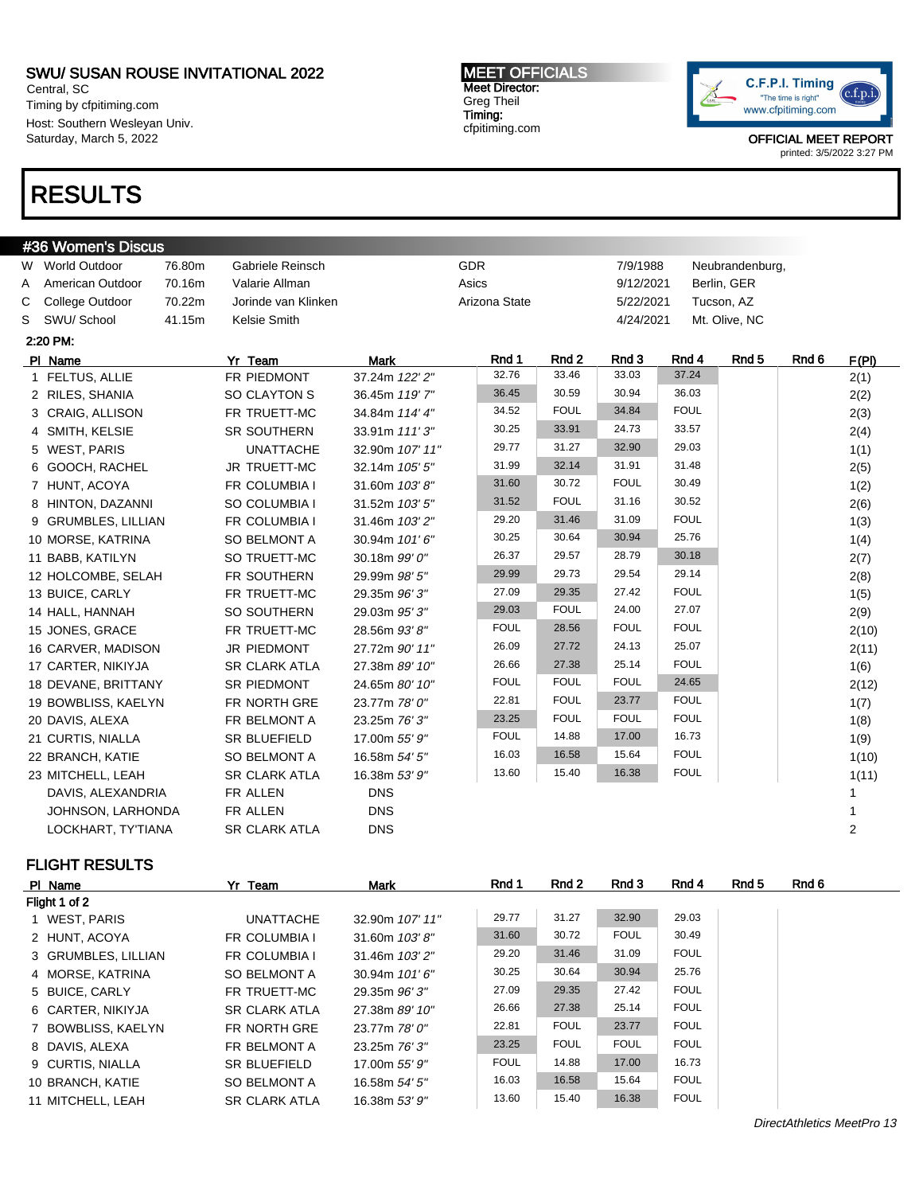Central, SC Timing by cfpitiming.com Host: Southern Wesleyan Univ. Saturday, March 5, 2022

# RESULTS

#### MEET OFFICIALS Meet Director: Greg Theil Timing: cfpitiming.com



OFFICIAL MEET REPORT printed: 3/5/2022 3:27 PM

|   | #36 Women's Discus    |        |                      |                 |               |             |             |             |                  |       |                |
|---|-----------------------|--------|----------------------|-----------------|---------------|-------------|-------------|-------------|------------------|-------|----------------|
|   | W World Outdoor       | 76.80m | Gabriele Reinsch     |                 | GDR           |             | 7/9/1988    |             | Neubrandenburg,  |       |                |
| Α | American Outdoor      | 70.16m | Valarie Allman       |                 | Asics         |             | 9/12/2021   |             | Berlin, GER      |       |                |
| С | College Outdoor       | 70.22m | Jorinde van Klinken  |                 | Arizona State |             | 5/22/2021   |             | Tucson, AZ       |       |                |
| S | SWU/ School           | 41.15m | Kelsie Smith         |                 |               |             | 4/24/2021   |             | Mt. Olive, NC    |       |                |
|   | 2:20 PM:              |        |                      |                 |               |             |             |             |                  |       |                |
|   | PI Name               |        | Yr Team              | <b>Mark</b>     | Rnd 1         | Rnd 2       | Rnd 3       | Rnd 4       | Rnd <sub>5</sub> | Rnd 6 | F(PI)          |
|   | 1 FELTUS, ALLIE       |        | FR PIEDMONT          | 37.24m 122' 2"  | 32.76         | 33.46       | 33.03       | 37.24       |                  |       | 2(1)           |
|   | 2 RILES, SHANIA       |        | SO CLAYTON S         | 36.45m 119' 7"  | 36.45         | 30.59       | 30.94       | 36.03       |                  |       | 2(2)           |
|   | 3 CRAIG, ALLISON      |        | FR TRUETT-MC         | 34.84m 114' 4"  | 34.52         | <b>FOUL</b> | 34.84       | <b>FOUL</b> |                  |       | 2(3)           |
|   | 4 SMITH, KELSIE       |        | SR SOUTHERN          | 33.91m 111'3"   | 30.25         | 33.91       | 24.73       | 33.57       |                  |       | 2(4)           |
|   | 5 WEST, PARIS         |        | <b>UNATTACHE</b>     | 32.90m 107' 11" | 29.77         | 31.27       | 32.90       | 29.03       |                  |       | 1(1)           |
|   | 6 GOOCH, RACHEL       |        | <b>JR TRUETT-MC</b>  | 32.14m 105' 5"  | 31.99         | 32.14       | 31.91       | 31.48       |                  |       | 2(5)           |
|   | 7 HUNT, ACOYA         |        | FR COLUMBIA I        | 31.60m 103'8"   | 31.60         | 30.72       | <b>FOUL</b> | 30.49       |                  |       | 1(2)           |
|   | 8 HINTON, DAZANNI     |        | SO COLUMBIA I        | 31.52m 103' 5"  | 31.52         | <b>FOUL</b> | 31.16       | 30.52       |                  |       | 2(6)           |
|   | 9 GRUMBLES, LILLIAN   |        | FR COLUMBIA I        | 31.46m 103' 2"  | 29.20         | 31.46       | 31.09       | <b>FOUL</b> |                  |       | 1(3)           |
|   | 10 MORSE, KATRINA     |        | SO BELMONT A         | 30.94m 101'6"   | 30.25         | 30.64       | 30.94       | 25.76       |                  |       | 1(4)           |
|   | 11 BABB, KATILYN      |        | SO TRUETT-MC         | 30.18m 99' 0"   | 26.37         | 29.57       | 28.79       | 30.18       |                  |       | 2(7)           |
|   | 12 HOLCOMBE, SELAH    |        | FR SOUTHERN          | 29.99m 98' 5"   | 29.99         | 29.73       | 29.54       | 29.14       |                  |       | 2(8)           |
|   | 13 BUICE, CARLY       |        | FR TRUETT-MC         | 29.35m 96' 3"   | 27.09         | 29.35       | 27.42       | <b>FOUL</b> |                  |       | 1(5)           |
|   | 14 HALL, HANNAH       |        | SO SOUTHERN          | 29.03m 95'3"    | 29.03         | <b>FOUL</b> | 24.00       | 27.07       |                  |       | 2(9)           |
|   | 15 JONES, GRACE       |        | FR TRUETT-MC         | 28.56m 93' 8"   | <b>FOUL</b>   | 28.56       | <b>FOUL</b> | <b>FOUL</b> |                  |       | 2(10)          |
|   | 16 CARVER, MADISON    |        | <b>JR PIEDMONT</b>   | 27.72m 90' 11"  | 26.09         | 27.72       | 24.13       | 25.07       |                  |       | 2(11)          |
|   | 17 CARTER, NIKIYJA    |        | <b>SR CLARK ATLA</b> | 27.38m 89' 10"  | 26.66         | 27.38       | 25.14       | <b>FOUL</b> |                  |       | 1(6)           |
|   | 18 DEVANE, BRITTANY   |        | <b>SR PIEDMONT</b>   | 24.65m 80' 10"  | <b>FOUL</b>   | <b>FOUL</b> | <b>FOUL</b> | 24.65       |                  |       | 2(12)          |
|   | 19 BOWBLISS, KAELYN   |        | FR NORTH GRE         | 23.77m 78' 0"   | 22.81         | <b>FOUL</b> | 23.77       | <b>FOUL</b> |                  |       | 1(7)           |
|   | 20 DAVIS, ALEXA       |        | FR BELMONT A         | 23.25m 76' 3"   | 23.25         | <b>FOUL</b> | <b>FOUL</b> | <b>FOUL</b> |                  |       | 1(8)           |
|   | 21 CURTIS, NIALLA     |        | <b>SR BLUEFIELD</b>  | 17.00m 55' 9"   | <b>FOUL</b>   | 14.88       | 17.00       | 16.73       |                  |       | 1(9)           |
|   | 22 BRANCH, KATIE      |        | <b>SO BELMONT A</b>  | 16.58m 54' 5"   | 16.03         | 16.58       | 15.64       | <b>FOUL</b> |                  |       | 1(10)          |
|   | 23 MITCHELL, LEAH     |        | <b>SR CLARK ATLA</b> | 16.38m 53' 9"   | 13.60         | 15.40       | 16.38       | <b>FOUL</b> |                  |       | 1(11)          |
|   | DAVIS, ALEXANDRIA     |        | FR ALLEN             | <b>DNS</b>      |               |             |             |             |                  |       | 1              |
|   | JOHNSON, LARHONDA     |        | FR ALLEN             | <b>DNS</b>      |               |             |             |             |                  |       | 1              |
|   | LOCKHART, TY'TIANA    |        | <b>SR CLARK ATLA</b> | <b>DNS</b>      |               |             |             |             |                  |       | $\overline{2}$ |
|   | <b>FLIGHT RESULTS</b> |        |                      |                 |               |             |             |             |                  |       |                |
|   | PI Name               |        | Yr Team              | <b>Mark</b>     | Rnd 1         | Rnd 2       | Rnd 3       | Rnd 4       | Rnd <sub>5</sub> | Rnd 6 |                |
|   | Flight 1 of 2         |        |                      |                 |               |             |             |             |                  |       |                |

| .                   |                      |                  |             |             |             |             |
|---------------------|----------------------|------------------|-------------|-------------|-------------|-------------|
| Flight 1 of 2       |                      |                  |             |             |             |             |
| 1 WEST, PARIS       | <b>UNATTACHE</b>     | 32.90m 107' 11"  | 29.77       | 31.27       | 32.90       | 29.03       |
| 2 HUNT, ACOYA       | <b>FR COLUMBIA I</b> | 31.60m $103'8''$ | 31.60       | 30.72       | <b>FOUL</b> | 30.49       |
| 3 GRUMBLES, LILLIAN | <b>FR COLUMBIA I</b> | 31.46m 103' 2"   | 29.20       | 31.46       | 31.09       | <b>FOUL</b> |
| 4 MORSE, KATRINA    | SO BELMONT A         | 30.94m 101'6"    | 30.25       | 30.64       | 30.94       | 25.76       |
| 5 BUICE, CARLY      | FR TRUETT-MC         | 29.35m 96' 3"    | 27.09       | 29.35       | 27.42       | <b>FOUL</b> |
| 6 CARTER, NIKIYJA   | <b>SR CLARK ATLA</b> | 27.38m 89' 10"   | 26.66       | 27.38       | 25.14       | <b>FOUL</b> |
| 7 BOWBLISS, KAELYN  | FR NORTH GRE         | 23.77m 78' 0"    | 22.81       | <b>FOUL</b> | 23.77       | <b>FOUL</b> |
| 8 DAVIS, ALEXA      | FR BELMONT A         | 23.25m 76' 3"    | 23.25       | <b>FOUL</b> | <b>FOUL</b> | <b>FOUL</b> |
| 9 CURTIS, NIALLA    | <b>SR BLUEFIELD</b>  | 17.00m 55' 9"    | <b>FOUL</b> | 14.88       | 17.00       | 16.73       |
| 10 BRANCH, KATIE    | SO BELMONT A         | 16.58m 54' 5"    | 16.03       | 16.58       | 15.64       | <b>FOUL</b> |
| 11 MITCHELL, LEAH   | <b>SR CLARK ATLA</b> | 16.38m 53' 9"    | 13.60       | 15.40       | 16.38       | <b>FOUL</b> |

DirectAthletics MeetPro 13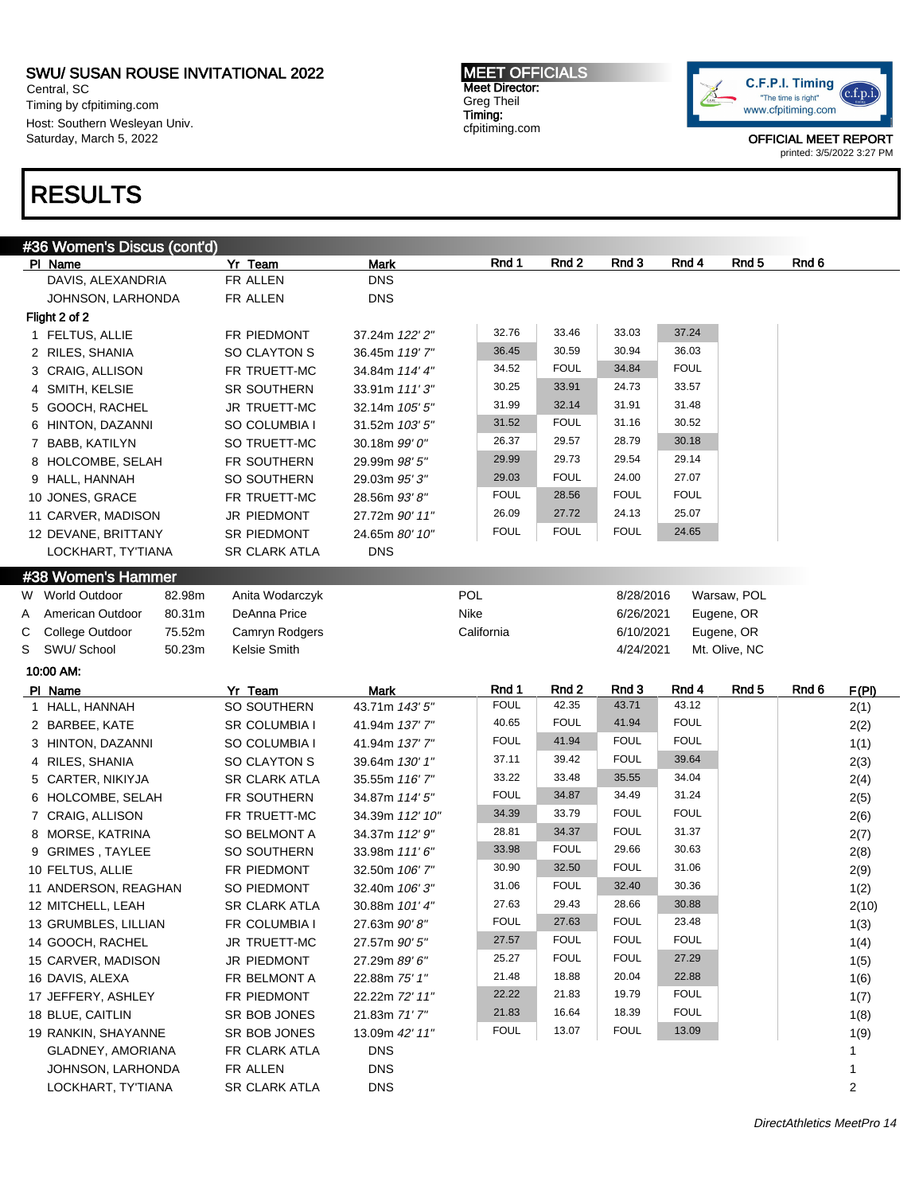Central, SC Timing by cfpitiming.com Host: Southern Wesleyan Univ. Saturday, March 5, 2022

# RESULTS

MEET OFFICIALS Meet Director: Greg Theil Timing: cfpitiming.com



|   | #36 Women's Discus (cont'd)             |                           |                              |             |             |             |             |                  |       |           |
|---|-----------------------------------------|---------------------------|------------------------------|-------------|-------------|-------------|-------------|------------------|-------|-----------|
|   | PI Name                                 | Yr Team                   | Mark                         | Rnd 1       | Rnd 2       | Rnd 3       | Rnd 4       | Rnd 5            | Rnd 6 |           |
|   | DAVIS, ALEXANDRIA                       | FR ALLEN                  | <b>DNS</b>                   |             |             |             |             |                  |       |           |
|   | JOHNSON, LARHONDA                       | FR ALLEN                  | <b>DNS</b>                   |             |             |             |             |                  |       |           |
|   | Flight 2 of 2                           |                           |                              |             |             |             |             |                  |       |           |
|   | 1 FELTUS, ALLIE                         | FR PIEDMONT               | 37.24m 122' 2"               | 32.76       | 33.46       | 33.03       | 37.24       |                  |       |           |
|   | 2 RILES, SHANIA                         | SO CLAYTON S              | 36.45m 119'7"                | 36.45       | 30.59       | 30.94       | 36.03       |                  |       |           |
|   | 3 CRAIG, ALLISON                        | FR TRUETT-MC              | 34.84m 114' 4"               | 34.52       | <b>FOUL</b> | 34.84       | <b>FOUL</b> |                  |       |           |
|   | 4 SMITH, KELSIE                         | SR SOUTHERN               | 33.91m 111'3"                | 30.25       | 33.91       | 24.73       | 33.57       |                  |       |           |
|   | 5 GOOCH, RACHEL                         | JR TRUETT-MC              | 32.14m 105' 5"               | 31.99       | 32.14       | 31.91       | 31.48       |                  |       |           |
|   | 6 HINTON, DAZANNI                       | SO COLUMBIA I             | 31.52m 103' 5"               | 31.52       | <b>FOUL</b> | 31.16       | 30.52       |                  |       |           |
|   | 7 BABB, KATILYN                         | SO TRUETT-MC              | 30.18m 99' 0"                | 26.37       | 29.57       | 28.79       | 30.18       |                  |       |           |
|   | 8 HOLCOMBE, SELAH                       | FR SOUTHERN               | 29.99m 98' 5"                | 29.99       | 29.73       | 29.54       | 29.14       |                  |       |           |
|   | 9 HALL, HANNAH                          | SO SOUTHERN               | 29.03m 95'3"                 | 29.03       | <b>FOUL</b> | 24.00       | 27.07       |                  |       |           |
|   | 10 JONES, GRACE                         | FR TRUETT-MC              | 28.56m 93'8"                 | <b>FOUL</b> | 28.56       | <b>FOUL</b> | <b>FOUL</b> |                  |       |           |
|   | 11 CARVER, MADISON                      | JR PIEDMONT               | 27.72m 90' 11"               | 26.09       | 27.72       | 24.13       | 25.07       |                  |       |           |
|   | 12 DEVANE, BRITTANY                     | SR PIEDMONT               | 24.65m 80' 10"               | <b>FOUL</b> | <b>FOUL</b> | <b>FOUL</b> | 24.65       |                  |       |           |
|   | LOCKHART, TY'TIANA                      | <b>SR CLARK ATLA</b>      | <b>DNS</b>                   |             |             |             |             |                  |       |           |
|   | #38 Women's Hammer                      |                           |                              |             |             |             |             |                  |       |           |
|   | 82.98m<br>W World Outdoor               | Anita Wodarczyk           |                              | POL         |             | 8/28/2016   |             | Warsaw, POL      |       |           |
| Α | American Outdoor<br>80.31m              | DeAnna Price              |                              | Nike        |             | 6/26/2021   |             | Eugene, OR       |       |           |
| С | 75.52m<br>College Outdoor               | Camryn Rodgers            |                              | California  |             | 6/10/2021   |             | Eugene, OR       |       |           |
|   | S SWU/School<br>50.23m                  | Kelsie Smith              |                              |             |             | 4/24/2021   |             | Mt. Olive, NC    |       |           |
|   | 10:00 AM:                               |                           |                              |             |             |             |             |                  |       |           |
|   | PI Name                                 | Yr Team                   | <b>Mark</b>                  | Rnd 1       | Rnd 2       | Rnd 3       | Rnd 4       | Rnd <sub>5</sub> | Rnd 6 | F(PI)     |
|   | 1 HALL, HANNAH                          | SO SOUTHERN               | 43.71m 143' 5"               | <b>FOUL</b> | 42.35       | 43.71       | 43.12       |                  |       | 2(1)      |
|   | 2 BARBEE, KATE                          | <b>SR COLUMBIA I</b>      | 41.94m 137' 7"               | 40.65       | <b>FOUL</b> | 41.94       | <b>FOUL</b> |                  |       | 2(2)      |
|   | 3 HINTON, DAZANNI                       | SO COLUMBIA I             | 41.94m 137' 7"               | <b>FOUL</b> | 41.94       | <b>FOUL</b> | <b>FOUL</b> |                  |       | 1(1)      |
|   | 4 RILES, SHANIA                         | SO CLAYTON S              | 39.64m 130' 1"               | 37.11       | 39.42       | <b>FOUL</b> | 39.64       |                  |       | 2(3)      |
|   | 5 CARTER, NIKIYJA                       | <b>SR CLARK ATLA</b>      | 35.55m 116' 7"               | 33.22       | 33.48       | 35.55       | 34.04       |                  |       | 2(4)      |
|   | 6 HOLCOMBE, SELAH                       | FR SOUTHERN               | 34.87m 114' 5"               | <b>FOUL</b> | 34.87       | 34.49       | 31.24       |                  |       | 2(5)      |
|   | 7 CRAIG, ALLISON                        | FR TRUETT-MC              | 34.39m 112' 10"              | 34.39       |             |             |             |                  |       |           |
|   |                                         |                           |                              |             | 33.79       | <b>FOUL</b> | <b>FOUL</b> |                  |       | 2(6)      |
|   | 8 MORSE, KATRINA                        | SO BELMONT A              | 34.37m 112' 9"               | 28.81       | 34.37       | <b>FOUL</b> | 31.37       |                  |       | 2(7)      |
|   | 9 GRIMES, TAYLEE                        | SO SOUTHERN               | 33.98m 111' 6"               | 33.98       | <b>FOUL</b> | 29.66       | 30.63       |                  |       | 2(8)      |
|   | 10 FELTUS, ALLIE                        | FR PIEDMONT               | 32.50m 106' 7"               | 30.90       | 32.50       | <b>FOUL</b> | 31.06       |                  |       | 2(9)      |
|   | 11 ANDERSON, REAGHAN                    | SO PIEDMONT               | 32.40m 106'3"                | 31.06       | <b>FOUL</b> | 32.40       | 30.36       |                  |       | 1(2)      |
|   | 12 MITCHELL, LEAH                       | <b>SR CLARK ATLA</b>      | 30.88m 101' 4"               | 27.63       | 29.43       | 28.66       | 30.88       |                  |       | 2(10)     |
|   | 13 GRUMBLES, LILLIAN                    | FR COLUMBIA I             | 27.63m 90'8"                 | FOUL        | 27.63       | <b>FOUL</b> | 23.48       |                  |       | 1(3)      |
|   | 14 GOOCH, RACHEL                        | JR TRUETT-MC              | 27.57m 90' 5"                | 27.57       | <b>FOUL</b> | <b>FOUL</b> | <b>FOUL</b> |                  |       | 1(4)      |
|   | 15 CARVER, MADISON                      | JR PIEDMONT               | 27.29m 89' 6"                | 25.27       | <b>FOUL</b> | <b>FOUL</b> | 27.29       |                  |       | 1(5)      |
|   | 16 DAVIS, ALEXA                         | FR BELMONT A              | 22.88m 75' 1"                | 21.48       | 18.88       | 20.04       | 22.88       |                  |       | 1(6)      |
|   | 17 JEFFERY, ASHLEY                      | FR PIEDMONT               | 22.22m 72' 11"               | 22.22       | 21.83       | 19.79       | <b>FOUL</b> |                  |       |           |
|   | 18 BLUE, CAITLIN                        |                           |                              | 21.83       | 16.64       | 18.39       | <b>FOUL</b> |                  |       | 1(7)      |
|   |                                         | SR BOB JONES              | 21.83m 71'7"                 | <b>FOUL</b> | 13.07       | <b>FOUL</b> | 13.09       |                  |       | 1(8)      |
|   | 19 RANKIN, SHAYANNE                     | SR BOB JONES              | 13.09m 42' 11"<br><b>DNS</b> |             |             |             |             |                  |       | 1(9)<br>1 |
|   | GLADNEY, AMORIANA                       | FR CLARK ATLA             |                              |             |             |             |             |                  |       |           |
|   | JOHNSON, LARHONDA<br>LOCKHART, TY'TIANA | FR ALLEN<br>SR CLARK ATLA | <b>DNS</b><br><b>DNS</b>     |             |             |             |             |                  |       | 1<br>2    |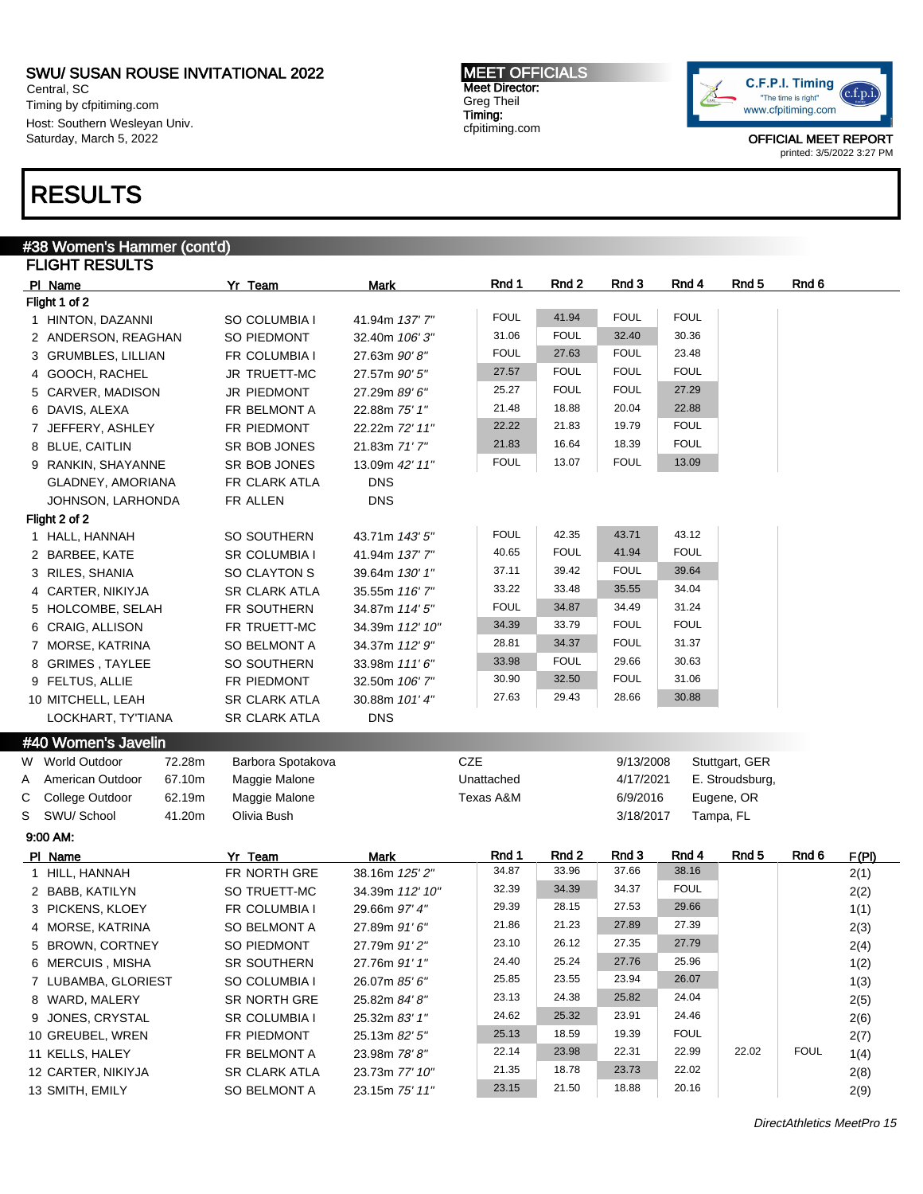Central, SC Timing by cfpitiming.com Host: Southern Wesleyan Univ. Saturday, March 5, 2022

# RESULTS

#### MEET OFFICIALS Meet Director: Greg Theil Timing: cfpitiming.com



|   | #38 Women's Hammer (cont'd) |                         |                               |             |             |             |             |                  |             |       |
|---|-----------------------------|-------------------------|-------------------------------|-------------|-------------|-------------|-------------|------------------|-------------|-------|
|   | <b>FLIGHT RESULTS</b>       |                         |                               |             |             |             |             |                  |             |       |
|   | PI Name                     | Yr Team                 | <b>Mark</b>                   | Rnd 1       | Rnd 2       | Rnd 3       | Rnd 4       | Rnd <sub>5</sub> | Rnd 6       |       |
|   | Flight 1 of 2               |                         |                               |             |             |             |             |                  |             |       |
|   | 1 HINTON, DAZANNI           | SO COLUMBIA I           | 41.94m 137' 7"                | <b>FOUL</b> | 41.94       | <b>FOUL</b> | <b>FOUL</b> |                  |             |       |
|   | 2 ANDERSON, REAGHAN         | SO PIEDMONT             | 32.40m 106'3"                 | 31.06       | <b>FOUL</b> | 32.40       | 30.36       |                  |             |       |
|   | 3 GRUMBLES, LILLIAN         | FR COLUMBIA I           | 27.63m 90'8"                  | <b>FOUL</b> | 27.63       | <b>FOUL</b> | 23.48       |                  |             |       |
|   | 4 GOOCH, RACHEL             | JR TRUETT-MC            | 27.57m 90' 5"                 | 27.57       | <b>FOUL</b> | <b>FOUL</b> | <b>FOUL</b> |                  |             |       |
|   | 5 CARVER, MADISON           | JR PIEDMONT             | 27.29m 89' 6"                 | 25.27       | <b>FOUL</b> | <b>FOUL</b> | 27.29       |                  |             |       |
|   | 6 DAVIS, ALEXA              | FR BELMONT A            | 22.88m 75' 1"                 | 21.48       | 18.88       | 20.04       | 22.88       |                  |             |       |
|   | 7 JEFFERY, ASHLEY           | FR PIEDMONT             | 22.22m 72' 11"                | 22.22       | 21.83       | 19.79       | <b>FOUL</b> |                  |             |       |
|   | 8 BLUE, CAITLIN             | SR BOB JONES            | 21.83m 71'7"                  | 21.83       | 16.64       | 18.39       | <b>FOUL</b> |                  |             |       |
|   | 9 RANKIN, SHAYANNE          | SR BOB JONES            | 13.09m 42' 11"                | <b>FOUL</b> | 13.07       | <b>FOUL</b> | 13.09       |                  |             |       |
|   | GLADNEY, AMORIANA           | FR CLARK ATLA           | <b>DNS</b>                    |             |             |             |             |                  |             |       |
|   | JOHNSON, LARHONDA           | FR ALLEN                | <b>DNS</b>                    |             |             |             |             |                  |             |       |
|   | Flight 2 of 2               |                         |                               |             |             |             |             |                  |             |       |
|   | 1 HALL, HANNAH              | SO SOUTHERN             | 43.71m 143' 5"                | <b>FOUL</b> | 42.35       | 43.71       | 43.12       |                  |             |       |
|   | 2 BARBEE, KATE              | <b>SR COLUMBIA I</b>    | 41.94m 137'7"                 | 40.65       | <b>FOUL</b> | 41.94       | <b>FOUL</b> |                  |             |       |
|   | 3 RILES, SHANIA             | SO CLAYTON S            | 39.64m 130' 1"                | 37.11       | 39.42       | <b>FOUL</b> | 39.64       |                  |             |       |
|   | 4 CARTER, NIKIYJA           | <b>SR CLARK ATLA</b>    | 35.55m 116' 7"                | 33.22       | 33.48       | 35.55       | 34.04       |                  |             |       |
|   | 5 HOLCOMBE, SELAH           | FR SOUTHERN             | 34.87m 114' 5"                | <b>FOUL</b> | 34.87       | 34.49       | 31.24       |                  |             |       |
|   |                             |                         |                               | 34.39       | 33.79       | <b>FOUL</b> | <b>FOUL</b> |                  |             |       |
|   | 6 CRAIG, ALLISON            | FR TRUETT-MC            | 34.39m 112' 10"               | 28.81       | 34.37       | <b>FOUL</b> | 31.37       |                  |             |       |
|   | 7 MORSE, KATRINA            | <b>SO BELMONT A</b>     | 34.37m 112' 9"                |             | <b>FOUL</b> |             |             |                  |             |       |
|   | 8 GRIMES, TAYLEE            | SO SOUTHERN             | 33.98m 111'6"                 | 33.98       |             | 29.66       | 30.63       |                  |             |       |
|   | 9 FELTUS, ALLIE             | FR PIEDMONT             | 32.50m 106' 7"                | 30.90       | 32.50       | <b>FOUL</b> | 31.06       |                  |             |       |
|   | 10 MITCHELL, LEAH           | <b>SR CLARK ATLA</b>    | 30.88m 101' 4"                | 27.63       | 29.43       | 28.66       | 30.88       |                  |             |       |
|   | LOCKHART, TY'TIANA          | <b>SR CLARK ATLA</b>    | <b>DNS</b>                    |             |             |             |             |                  |             |       |
|   | #40 Women's Javelin         |                         |                               |             |             |             |             |                  |             |       |
|   | W World Outdoor<br>72.28m   | Barbora Spotakova       |                               | <b>CZE</b>  |             | 9/13/2008   |             | Stuttgart, GER   |             |       |
| A | 67.10m<br>American Outdoor  | Maggie Malone           |                               | Unattached  |             | 4/17/2021   |             | E. Stroudsburg,  |             |       |
| С | College Outdoor<br>62.19m   | Maggie Malone           |                               | Texas A&M   |             | 6/9/2016    |             | Eugene, OR       |             |       |
| S | SWU/ School<br>41.20m       | Olivia Bush             |                               |             |             | 3/18/2017   |             | Tampa, FL        |             |       |
|   | 9:00 AM:                    |                         |                               |             |             |             |             |                  |             |       |
|   |                             |                         |                               | Rnd 1       | Rnd 2       | Rnd 3       | Rnd 4       | Rnd <sub>5</sub> | Rnd 6       |       |
|   | PI Name                     | Yr Team<br>FR NORTH GRE | <b>Mark</b><br>38.16m 125' 2" | 34.87       | 33.96       | 37.66       | 38.16       |                  |             | F(PI) |
|   | 1 HILL, HANNAH              | SO TRUETT-MC            |                               | 32.39       | 34.39       | 34.37       | <b>FOUL</b> |                  |             | 2(1)  |
|   | 2 BABB, KATILYN             |                         | 34.39m 112' 10"               | 29.39       | 28.15       | 27.53       | 29.66       |                  |             | 2(2)  |
|   | 3 PICKENS, KLOEY            | FR COLUMBIA I           | 29.66m 97' 4"                 |             |             |             |             |                  |             | 1(1)  |
|   | 4 MORSE, KATRINA            | SO BELMONT A            | 27.89m 91'6"                  | 21.86       | 21.23       | 27.89       | 27.39       |                  |             | 2(3)  |
|   | 5 BROWN, CORTNEY            | SO PIEDMONT             | 27.79m 91'2"                  | 23.10       | 26.12       | 27.35       | 27.79       |                  |             | 2(4)  |
|   | 6 MERCUIS, MISHA            | SR SOUTHERN             | 27.76m 91'1"                  | 24.40       | 25.24       | 27.76       | 25.96       |                  |             | 1(2)  |
|   | 7 LUBAMBA, GLORIEST         | SO COLUMBIA I           | 26.07m 85' 6"                 | 25.85       | 23.55       | 23.94       | 26.07       |                  |             | 1(3)  |
|   | 8 WARD, MALERY              | SR NORTH GRE            | 25.82m 84'8"                  | 23.13       | 24.38       | 25.82       | 24.04       |                  |             | 2(5)  |
|   | 9 JONES, CRYSTAL            | SR COLUMBIA I           | 25.32m 83' 1"                 | 24.62       | 25.32       | 23.91       | 24.46       |                  |             | 2(6)  |
|   | 10 GREUBEL, WREN            | FR PIEDMONT             | 25.13m 82' 5"                 | 25.13       | 18.59       | 19.39       | <b>FOUL</b> |                  |             | 2(7)  |
|   | 11 KELLS, HALEY             | FR BELMONT A            | 23.98m 78'8"                  | 22.14       | 23.98       | 22.31       | 22.99       | 22.02            | <b>FOUL</b> | 1(4)  |
|   | 12 CARTER, NIKIYJA          | SR CLARK ATLA           | 23.73m 77' 10"                | 21.35       | 18.78       | 23.73       | 22.02       |                  |             | 2(8)  |
|   | 13 SMITH, EMILY             | SO BELMONT A            | 23.15m 75' 11"                | 23.15       | 21.50       | 18.88       | 20.16       |                  |             | 2(9)  |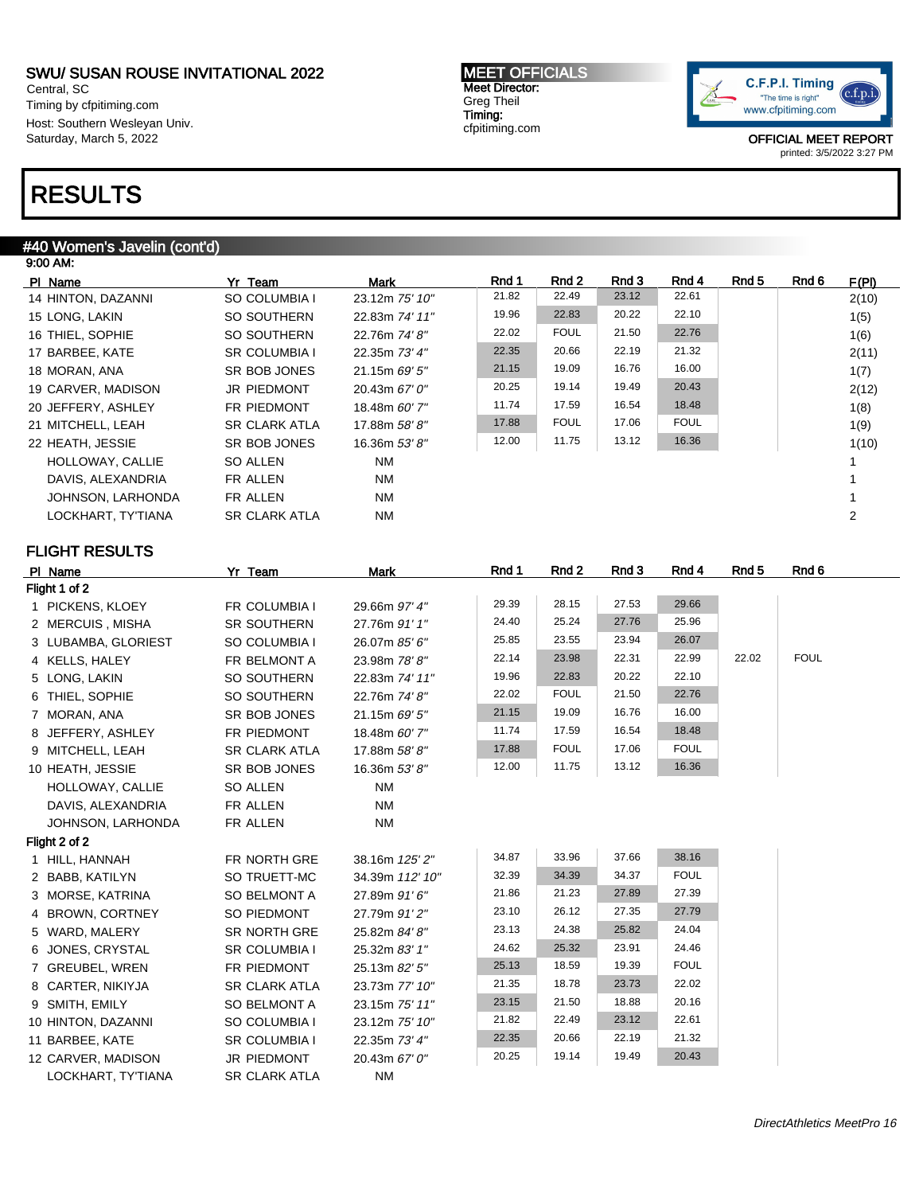Central, SC Timing by cfpitiming.com Host: Southern Wesleyan Univ. Saturday, March 5, 2022

# RESULTS

### #40 Women's Javelin (cont'd)

| 9:00 AM:           |                      |                |       |             |       |             |       |       |       |
|--------------------|----------------------|----------------|-------|-------------|-------|-------------|-------|-------|-------|
| PI Name            | Yr Team              | Mark           | Rnd 1 | Rnd 2       | Rnd 3 | Rnd 4       | Rnd 5 | Rnd 6 | F(PI) |
| 14 HINTON, DAZANNI | SO COLUMBIA I        | 23.12m 75' 10" | 21.82 | 22.49       | 23.12 | 22.61       |       |       | 2(10) |
| 15 LONG, LAKIN     | SO SOUTHERN          | 22.83m 74' 11" | 19.96 | 22.83       | 20.22 | 22.10       |       |       | 1(5)  |
| 16 THIEL, SOPHIE   | SO SOUTHERN          | 22.76m 74' 8"  | 22.02 | <b>FOUL</b> | 21.50 | 22.76       |       |       | 1(6)  |
| 17 BARBEE, KATE    | <b>SR COLUMBIA I</b> | 22.35m 73' 4"  | 22.35 | 20.66       | 22.19 | 21.32       |       |       | 2(11) |
| 18 MORAN, ANA      | SR BOB JONES         | 21.15m 69' 5"  | 21.15 | 19.09       | 16.76 | 16.00       |       |       | 1(7)  |
| 19 CARVER, MADISON | <b>JR PIEDMONT</b>   | 20.43m 67' 0"  | 20.25 | 19.14       | 19.49 | 20.43       |       |       | 2(12) |
| 20 JEFFERY, ASHLEY | <b>FR PIEDMONT</b>   | 18.48m 60' 7"  | 11.74 | 17.59       | 16.54 | 18.48       |       |       | 1(8)  |
| 21 MITCHELL, LEAH  | <b>SR CLARK ATLA</b> | 17.88m 58'8"   | 17.88 | <b>FOUL</b> | 17.06 | <b>FOUL</b> |       |       | 1(9)  |
| 22 HEATH, JESSIE   | SR BOB JONES         | 16.36m 53' 8"  | 12.00 | 11.75       | 13.12 | 16.36       |       |       | 1(10) |
| HOLLOWAY, CALLIE   | SO ALLEN             | NM             |       |             |       |             |       |       |       |
| DAVIS, ALEXANDRIA  | FR ALLEN             | NM             |       |             |       |             |       |       |       |
| JOHNSON, LARHONDA  | FR ALLEN             | <b>NM</b>      |       |             |       |             |       |       |       |
| LOCKHART, TY'TIANA | <b>SR CLARK ATLA</b> | NM             |       |             |       |             |       |       | 2     |

### FLIGHT RESULTS

| PI Name             | Yr Team              | Mark            | Rnd 1 | Rnd 2       | Rnd 3 | Rnd 4       | Rnd <sub>5</sub> | Rnd 6       |
|---------------------|----------------------|-----------------|-------|-------------|-------|-------------|------------------|-------------|
| Flight 1 of 2       |                      |                 |       |             |       |             |                  |             |
| 1 PICKENS, KLOEY    | FR COLUMBIA I        | 29.66m 97' 4"   | 29.39 | 28.15       | 27.53 | 29.66       |                  |             |
| 2 MERCUIS, MISHA    | <b>SR SOUTHERN</b>   | 27.76m 91' 1"   | 24.40 | 25.24       | 27.76 | 25.96       |                  |             |
| 3 LUBAMBA, GLORIEST | SO COLUMBIA I        | 26.07m 85' 6"   | 25.85 | 23.55       | 23.94 | 26.07       |                  |             |
| 4 KELLS, HALEY      | FR BELMONT A         | 23.98m 78'8"    | 22.14 | 23.98       | 22.31 | 22.99       | 22.02            | <b>FOUL</b> |
| 5 LONG, LAKIN       | SO SOUTHERN          | 22.83m 74' 11"  | 19.96 | 22.83       | 20.22 | 22.10       |                  |             |
| 6 THIEL, SOPHIE     | SO SOUTHERN          | 22.76m 74' 8"   | 22.02 | <b>FOUL</b> | 21.50 | 22.76       |                  |             |
| 7 MORAN, ANA        | SR BOB JONES         | 21.15m 69' 5"   | 21.15 | 19.09       | 16.76 | 16.00       |                  |             |
| 8 JEFFERY, ASHLEY   | FR PIEDMONT          | 18.48m 60' 7"   | 11.74 | 17.59       | 16.54 | 18.48       |                  |             |
| 9 MITCHELL, LEAH    | <b>SR CLARK ATLA</b> | 17.88m 58' 8"   | 17.88 | <b>FOUL</b> | 17.06 | <b>FOUL</b> |                  |             |
| 10 HEATH, JESSIE    | SR BOB JONES         | 16.36m 53' 8"   | 12.00 | 11.75       | 13.12 | 16.36       |                  |             |
| HOLLOWAY, CALLIE    | SO ALLEN             | <b>NM</b>       |       |             |       |             |                  |             |
| DAVIS, ALEXANDRIA   | FR ALLEN             | <b>NM</b>       |       |             |       |             |                  |             |
| JOHNSON, LARHONDA   | FR ALLEN             | <b>NM</b>       |       |             |       |             |                  |             |
| Flight 2 of 2       |                      |                 |       |             |       |             |                  |             |
| 1 HILL, HANNAH      | FR NORTH GRE         | 38.16m 125' 2"  | 34.87 | 33.96       | 37.66 | 38.16       |                  |             |
| 2 BABB, KATILYN     | SO TRUETT-MC         | 34.39m 112' 10" | 32.39 | 34.39       | 34.37 | <b>FOUL</b> |                  |             |
| 3 MORSE, KATRINA    | <b>SO BELMONT A</b>  | 27.89m 91'6"    | 21.86 | 21.23       | 27.89 | 27.39       |                  |             |
| 4 BROWN, CORTNEY    | SO PIEDMONT          | 27.79m 91'2"    | 23.10 | 26.12       | 27.35 | 27.79       |                  |             |
| 5 WARD, MALERY      | <b>SR NORTH GRE</b>  | 25.82m 84' 8"   | 23.13 | 24.38       | 25.82 | 24.04       |                  |             |
| 6 JONES, CRYSTAL    | <b>SR COLUMBIA I</b> | 25.32m 83' 1"   | 24.62 | 25.32       | 23.91 | 24.46       |                  |             |
| 7 GREUBEL, WREN     | FR PIEDMONT          | 25.13m 82' 5"   | 25.13 | 18.59       | 19.39 | <b>FOUL</b> |                  |             |
| 8 CARTER, NIKIYJA   | <b>SR CLARK ATLA</b> | 23.73m 77' 10"  | 21.35 | 18.78       | 23.73 | 22.02       |                  |             |
| 9 SMITH, EMILY      | SO BELMONT A         | 23.15m 75' 11"  | 23.15 | 21.50       | 18.88 | 20.16       |                  |             |
| 10 HINTON, DAZANNI  | SO COLUMBIA I        | 23.12m 75' 10"  | 21.82 | 22.49       | 23.12 | 22.61       |                  |             |
| 11 BARBEE, KATE     | <b>SR COLUMBIA I</b> | 22.35m 73' 4"   | 22.35 | 20.66       | 22.19 | 21.32       |                  |             |
| 12 CARVER, MADISON  | JR PIEDMONT          | 20.43m 67' 0"   | 20.25 | 19.14       | 19.49 | 20.43       |                  |             |
| LOCKHART, TY'TIANA  | <b>SR CLARK ATLA</b> | <b>NM</b>       |       |             |       |             |                  |             |

MEET OFFICIALS Meet Director: Greg Theil Timing: cfpitiming.com

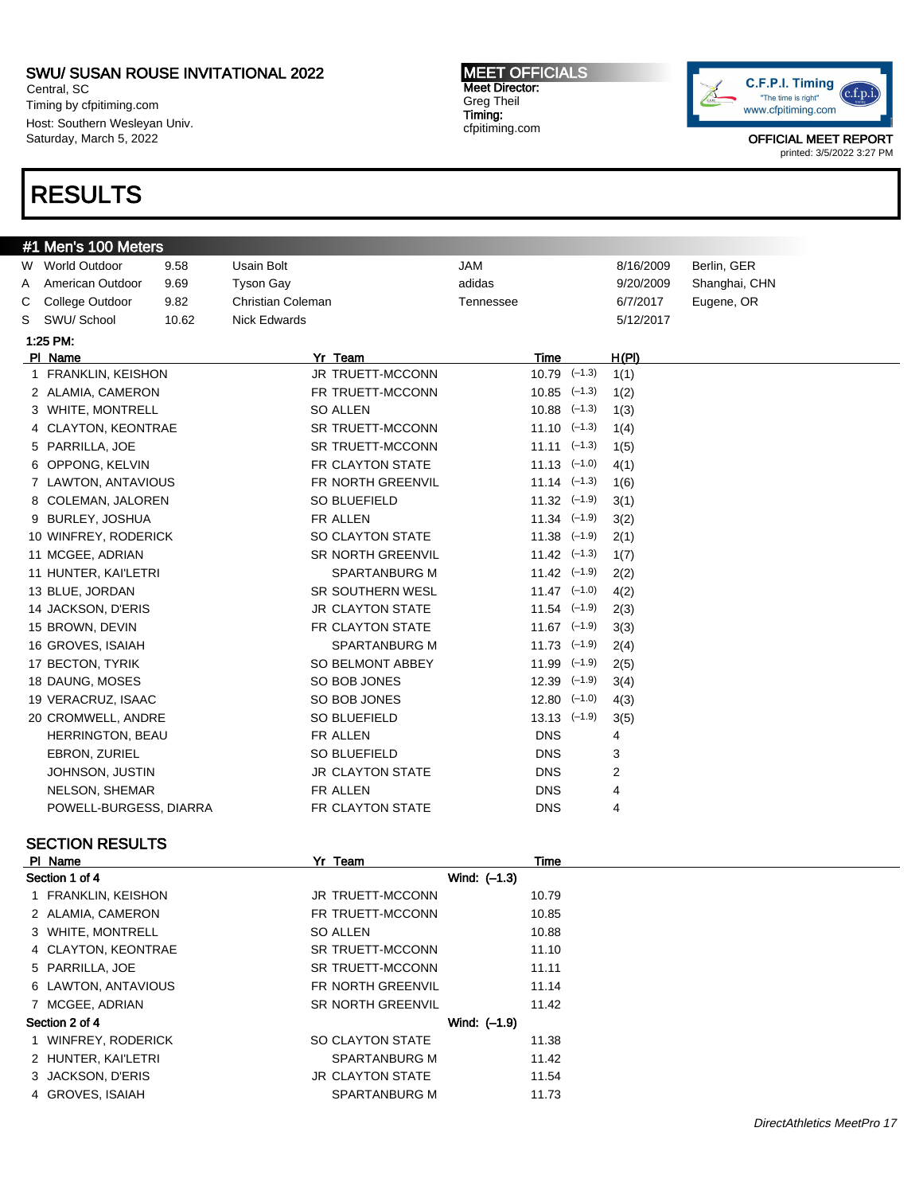Central, SC Timing by cfpitiming.com Host: Southern Wesleyan Univ. Saturday, March 5, 2022

# RESULTS

#1 Men's 100 Meters

MEET OFFICIALS Meet Director: Greg Theil Timing: cfpitiming.com



OFFICIAL MEET REPORT printed: 3/5/2022 3:27 PM

| w | <b>World Outdoor</b>    | 9.58  | Usain Bolt               | JAM       |                  |                             | 8/16/2009 | Berlin, GER   |
|---|-------------------------|-------|--------------------------|-----------|------------------|-----------------------------|-----------|---------------|
| A | American Outdoor        | 9.69  | <b>Tyson Gay</b>         | adidas    |                  |                             | 9/20/2009 | Shanghai, CHN |
| С | College Outdoor         | 9.82  | <b>Christian Coleman</b> | Tennessee |                  |                             | 6/7/2017  | Eugene, OR    |
| S | SWU/ School             | 10.62 | <b>Nick Edwards</b>      |           |                  |                             | 5/12/2017 |               |
|   | 1:25 PM:                |       |                          |           |                  |                             |           |               |
|   | PI Name                 |       | Yr Team                  |           | Time             |                             | H(PI)     |               |
|   | 1 FRANKLIN, KEISHON     |       | JR TRUETT-MCCONN         |           | $10.79$ $(-1.3)$ |                             | 1(1)      |               |
|   | 2 ALAMIA, CAMERON       |       | FR TRUETT-MCCONN         |           |                  | $10.85$ $(-1.3)$            | 1(2)      |               |
|   | 3 WHITE, MONTRELL       |       | SO ALLEN                 |           |                  | $10.88$ $(-1.3)$            | 1(3)      |               |
|   | 4 CLAYTON, KEONTRAE     |       | <b>SR TRUETT-MCCONN</b>  |           |                  | $11.10 \left( -1.3 \right)$ | 1(4)      |               |
|   | 5 PARRILLA, JOE         |       | SR TRUETT-MCCONN         |           |                  | $11.11$ $(-1.3)$            | 1(5)      |               |
|   | 6 OPPONG, KELVIN        |       | FR CLAYTON STATE         |           |                  | $11.13$ $(-1.0)$            | 4(1)      |               |
|   | 7 LAWTON, ANTAVIOUS     |       | FR NORTH GREENVIL        |           |                  | $11.14$ $(-1.3)$            | 1(6)      |               |
|   | 8 COLEMAN, JALOREN      |       | SO BLUEFIELD             |           |                  | $11.32$ $(-1.9)$            | 3(1)      |               |
|   | 9 BURLEY, JOSHUA        |       | FR ALLEN                 |           |                  | $11.34$ $(-1.9)$            | 3(2)      |               |
|   | 10 WINFREY, RODERICK    |       | SO CLAYTON STATE         |           |                  | $11.38$ $(-1.9)$            | 2(1)      |               |
|   | 11 MCGEE, ADRIAN        |       | <b>SR NORTH GREENVIL</b> |           |                  | $11.42$ $(-1.3)$            | 1(7)      |               |
|   | 11 HUNTER, KAI'LETRI    |       | SPARTANBURG M            |           |                  | $11.42$ $(-1.9)$            | 2(2)      |               |
|   | 13 BLUE, JORDAN         |       | SR SOUTHERN WESL         |           |                  | $11.47$ $(-1.0)$            | 4(2)      |               |
|   | 14 JACKSON, D'ERIS      |       | <b>JR CLAYTON STATE</b>  |           |                  | $11.54$ $(-1.9)$            | 2(3)      |               |
|   | 15 BROWN, DEVIN         |       | FR CLAYTON STATE         |           |                  | $11.67$ $(-1.9)$            | 3(3)      |               |
|   | 16 GROVES, ISAIAH       |       | <b>SPARTANBURG M</b>     |           |                  | $11.73$ $(-1.9)$            | 2(4)      |               |
|   | 17 BECTON, TYRIK        |       | SO BELMONT ABBEY         |           |                  | $11.99$ $(-1.9)$            | 2(5)      |               |
|   | 18 DAUNG, MOSES         |       | SO BOB JONES             |           |                  | $12.39$ $(-1.9)$            | 3(4)      |               |
|   | 19 VERACRUZ, ISAAC      |       | SO BOB JONES             |           |                  | $12.80$ $(-1.0)$            | 4(3)      |               |
|   | 20 CROMWELL, ANDRE      |       | SO BLUEFIELD             |           | $13.13$ $(-1.9)$ |                             | 3(5)      |               |
|   | <b>HERRINGTON, BEAU</b> |       | FR ALLEN                 |           | <b>DNS</b>       |                             | 4         |               |
|   | <b>EBRON, ZURIEL</b>    |       | SO BLUEFIELD             |           | <b>DNS</b>       |                             | 3         |               |
|   | JOHNSON, JUSTIN         |       | <b>JR CLAYTON STATE</b>  |           | <b>DNS</b>       |                             | 2         |               |
|   | NELSON, SHEMAR          |       | FR ALLEN                 |           | <b>DNS</b>       |                             | 4         |               |
|   | POWELL-BURGESS, DIARRA  |       | FR CLAYTON STATE         |           | <b>DNS</b>       |                             | 4         |               |
|   |                         |       |                          |           |                  |                             |           |               |
|   | <b>SECTION RESULTS</b>  |       |                          |           |                  |                             |           |               |

### PI Name Time Section 1 of 4 Wind:  $(-1.3)$ 1 FRANKLIN, KEISHON JR TRUETT-MCCONN 10.79 2 ALAMIA, CAMERON **FR TRUETT-MCCONN** 10.85 3 WHITE, MONTRELL SO ALLEN SO ALLEN 10.88 4 CLAYTON, KEONTRAE SR TRUETT-MCCONN 11.10 5 PARRILLA, JOE SR TRUETT-MCCONN 11.11 6 LAWTON, ANTAVIOUS FR NORTH GREENVIL 11.14 7 MCGEE, ADRIAN SR NORTH GREENVIL 11.42 Section 2 of 4 Wind: (–1.9) 1 WINFREY, RODERICK SO CLAYTON STATE 11.38 2 HUNTER, KAI'LETRI SPARTANBURG M 11.42 3 JACKSON, D'ERIS JR CLAYTON STATE 11.54 4 GROVES, ISAIAH SPARTANBURG M 11.73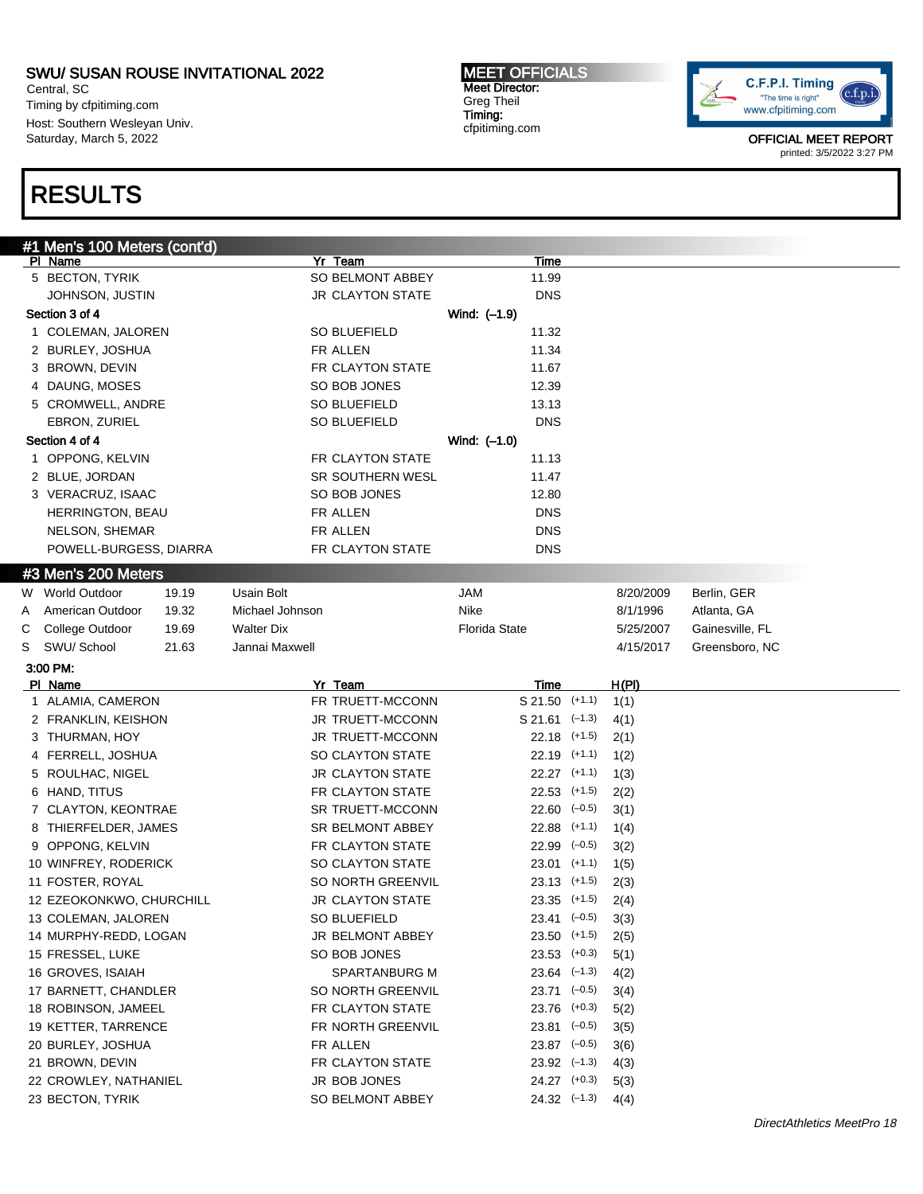Central, SC Timing by cfpitiming.com Host: Southern Wesleyan Univ. Saturday, March 5, 2022

# RESULTS

MEET OFFICIALS Meet Director: Greg Theil Timing: cfpitiming.com



|   | #1 Men's 100 Meters (cont'd) |                         |                            |               |                 |
|---|------------------------------|-------------------------|----------------------------|---------------|-----------------|
|   | PI Name                      | Yr Team                 | <b>Time</b>                |               |                 |
|   | 5 BECTON, TYRIK              | SO BELMONT ABBEY        | 11.99                      |               |                 |
|   | JOHNSON, JUSTIN              | <b>JR CLAYTON STATE</b> | <b>DNS</b>                 |               |                 |
|   | Section 3 of 4               |                         | Wind: (-1.9)               |               |                 |
|   | 1 COLEMAN, JALOREN           | SO BLUEFIELD            | 11.32                      |               |                 |
|   | 2 BURLEY, JOSHUA             | FR ALLEN                | 11.34                      |               |                 |
|   | 3 BROWN, DEVIN               | FR CLAYTON STATE        | 11.67                      |               |                 |
|   | 4 DAUNG, MOSES               | SO BOB JONES            | 12.39                      |               |                 |
|   | 5 CROMWELL, ANDRE            | SO BLUEFIELD            | 13.13                      |               |                 |
|   | EBRON, ZURIEL                | SO BLUEFIELD            | <b>DNS</b>                 |               |                 |
|   | Section 4 of 4               |                         | Wind: $(-1.0)$             |               |                 |
|   |                              | FR CLAYTON STATE        |                            |               |                 |
|   | 1 OPPONG, KELVIN             |                         | 11.13                      |               |                 |
|   | 2 BLUE, JORDAN               | SR SOUTHERN WESL        | 11.47                      |               |                 |
|   | 3 VERACRUZ, ISAAC            | SO BOB JONES            | 12.80                      |               |                 |
|   | <b>HERRINGTON, BEAU</b>      | FR ALLEN                | <b>DNS</b>                 |               |                 |
|   | NELSON, SHEMAR               | FR ALLEN                | <b>DNS</b>                 |               |                 |
|   | POWELL-BURGESS, DIARRA       | FR CLAYTON STATE        | <b>DNS</b>                 |               |                 |
|   | #3 Men's 200 Meters          |                         |                            |               |                 |
|   | W World Outdoor<br>19.19     | Usain Bolt              | <b>JAM</b>                 | 8/20/2009     | Berlin, GER     |
| A | American Outdoor<br>19.32    | Michael Johnson         | Nike                       | 8/1/1996      | Atlanta, GA     |
| С | College Outdoor<br>19.69     | <b>Walter Dix</b>       | <b>Florida State</b>       | 5/25/2007     | Gainesville, FL |
| S | SWU/ School<br>21.63         | Jannai Maxwell          |                            | 4/15/2017     | Greensboro, NC  |
|   | 3:00 PM:                     |                         |                            |               |                 |
|   |                              |                         |                            |               |                 |
|   |                              | Yr Team                 |                            |               |                 |
|   | PI Name<br>1 ALAMIA, CAMERON | FR TRUETT-MCCONN        | Time<br>$S$ 21.50 $(+1.1)$ | H(PI)<br>1(1) |                 |
|   |                              | JR TRUETT-MCCONN        | $S$ 21.61 $(-1.3)$         |               |                 |
|   | 2 FRANKLIN, KEISHON          |                         |                            | 4(1)          |                 |
|   | 3 THURMAN, HOY               | JR TRUETT-MCCONN        | $22.18$ (+1.5)             | 2(1)          |                 |
|   | 4 FERRELL, JOSHUA            | SO CLAYTON STATE        | $22.19$ (+1.1)             | 1(2)          |                 |
|   | 5 ROULHAC, NIGEL             | <b>JR CLAYTON STATE</b> | $22.27$ (+1.1)             | 1(3)          |                 |
|   | 6 HAND, TITUS                | FR CLAYTON STATE        | $22.53$ (+1.5)             | 2(2)          |                 |
|   | 7 CLAYTON, KEONTRAE          | SR TRUETT-MCCONN        | $22.60$ $(-0.5)$           | 3(1)          |                 |
|   | 8 THIERFELDER, JAMES         | SR BELMONT ABBEY        | $22.88$ (+1.1)             | 1(4)          |                 |
|   | 9 OPPONG, KELVIN             | FR CLAYTON STATE        | $22.99$ $(-0.5)$           | 3(2)          |                 |
|   | 10 WINFREY, RODERICK         | SO CLAYTON STATE        | $23.01$ (+1.1)             | 1(5)          |                 |
|   | 11 FOSTER, ROYAL             | SO NORTH GREENVIL       | $23.13$ (+1.5)             | 2(3)          |                 |
|   | 12 EZEOKONKWO, CHURCHILL     | <b>JR CLAYTON STATE</b> | $23.35$ (+1.5)             | 2(4)          |                 |
|   | 13 COLEMAN, JALOREN          | SO BLUEFIELD            | $23.41 \left(-0.5\right)$  | 3(3)          |                 |
|   | 14 MURPHY-REDD, LOGAN        | JR BELMONT ABBEY        | $23.50$ (+1.5)             | 2(5)          |                 |
|   | 15 FRESSEL, LUKE             | SO BOB JONES            | $23.53$ (+0.3)             | 5(1)          |                 |
|   | 16 GROVES, ISAIAH            | SPARTANBURG M           | $23.64$ $(-1.3)$           | 4(2)          |                 |
|   | 17 BARNETT, CHANDLER         | SO NORTH GREENVIL       | $23.71$ $(-0.5)$           | 3(4)          |                 |
|   | 18 ROBINSON, JAMEEL          | FR CLAYTON STATE        | 23.76 (+0.3)               | 5(2)          |                 |
|   | 19 KETTER, TARRENCE          | FR NORTH GREENVIL       | $23.81$ $(-0.5)$           | 3(5)          |                 |
|   | 20 BURLEY, JOSHUA            | FR ALLEN                | $23.87$ $(-0.5)$           | 3(6)          |                 |
|   | 21 BROWN, DEVIN              | FR CLAYTON STATE        | $23.92 \quad (-1.3)$       | 4(3)          |                 |
|   | 22 CROWLEY, NATHANIEL        | JR BOB JONES            | $24.27$ (+0.3)             | 5(3)          |                 |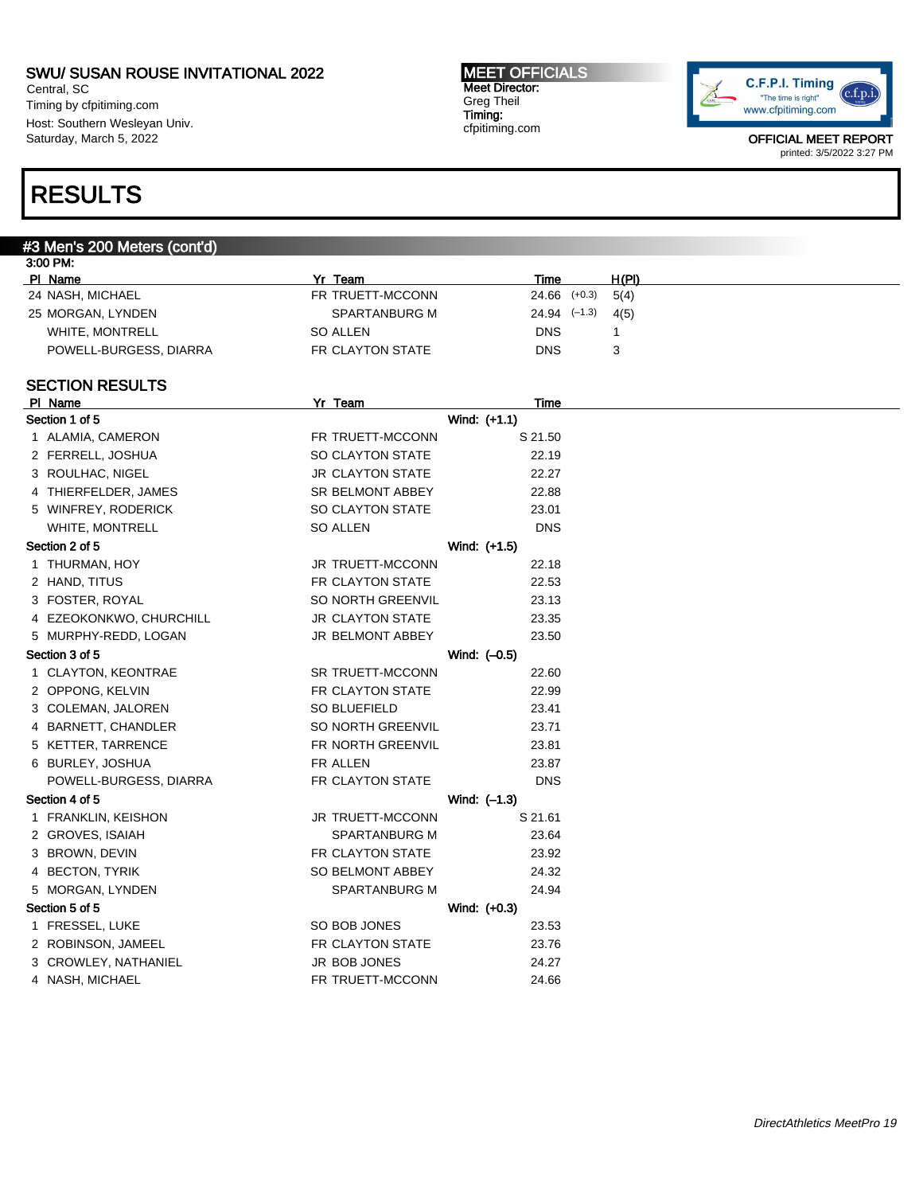Central, SC Timing by cfpitiming.com Host: Southern Wesleyan Univ. Saturday, March 5, 2022

#### MEET OFFICIALS Meet Director: Greg Theil Timing: cfpitiming.com



OFFICIAL MEET REPORT printed: 3/5/2022 3:27 PM

# RESULTS

### #3 Men's 200 Meters (cont'd)

| Yr<br>Team       | Time             | H(PI) |
|------------------|------------------|-------|
| FR TRUETT-MCCONN | $24.66$ $(+0.3)$ | 5(4)  |
| SPARTANBURG M    | $24.94$ $(-1.3)$ | 4(5)  |
| SO ALLEN         | DNS              |       |
| FR CLAYTON STATE | DNS              | 3     |
|                  |                  |       |

# SECTION RESULTS

| PI Name                 | Yr Team                 | Time         |
|-------------------------|-------------------------|--------------|
| Section 1 of 5          |                         | Wind: (+1.1) |
| 1 ALAMIA, CAMERON       | FR TRUETT-MCCONN        | S 21.50      |
| 2 FERRELL, JOSHUA       | SO CLAYTON STATE        | 22.19        |
| 3 ROULHAC, NIGEL        | <b>JR CLAYTON STATE</b> | 22.27        |
| 4 THIERFELDER, JAMES    | SR BELMONT ABBEY        | 22.88        |
| 5 WINFREY, RODERICK     | <b>SO CLAYTON STATE</b> | 23.01        |
| WHITE, MONTRELL         | SO ALLEN                | <b>DNS</b>   |
| Section 2 of 5          |                         | Wind: (+1.5) |
| 1 THURMAN, HOY          | <b>JR TRUETT-MCCONN</b> | 22.18        |
| 2 HAND, TITUS           | FR CLAYTON STATE        | 22.53        |
| 3 FOSTER, ROYAL         | SO NORTH GREENVIL       | 23.13        |
| 4 EZEOKONKWO, CHURCHILL | <b>JR CLAYTON STATE</b> | 23.35        |
| 5 MURPHY-REDD, LOGAN    | JR BELMONT ABBEY        | 23.50        |
| Section 3 of 5          |                         | Wind: (-0.5) |
| 1 CLAYTON, KEONTRAE     | <b>SR TRUETT-MCCONN</b> | 22.60        |
| 2 OPPONG, KELVIN        | FR CLAYTON STATE        | 22.99        |
| 3 COLEMAN, JALOREN      | SO BLUEFIELD            | 23.41        |
| 4 BARNETT, CHANDLER     | SO NORTH GREENVIL       | 23.71        |
| 5 KETTER, TARRENCE      | FR NORTH GREENVIL       | 23.81        |
| 6 BURLEY, JOSHUA        | FR ALLEN                | 23.87        |
| POWELL-BURGESS, DIARRA  | FR CLAYTON STATE        | <b>DNS</b>   |
| Section 4 of 5          |                         | Wind: (-1.3) |
| 1 FRANKLIN, KEISHON     | <b>JR TRUETT-MCCONN</b> | S 21.61      |
| 2 GROVES, ISAIAH        | SPARTANBURG M           | 23.64        |
| 3 BROWN, DEVIN          | FR CLAYTON STATE        | 23.92        |
| 4 BECTON, TYRIK         | SO BELMONT ABBEY        | 24.32        |
| 5 MORGAN, LYNDEN        | <b>SPARTANBURG M</b>    | 24.94        |
| Section 5 of 5          |                         | Wind: (+0.3) |
| 1 FRESSEL, LUKE         | SO BOB JONES            | 23.53        |
| 2 ROBINSON, JAMEEL      | FR CLAYTON STATE        | 23.76        |
| 3 CROWLEY, NATHANIEL    | JR BOB JONES            | 24.27        |
| 4 NASH, MICHAEL         | FR TRUETT-MCCONN        | 24.66        |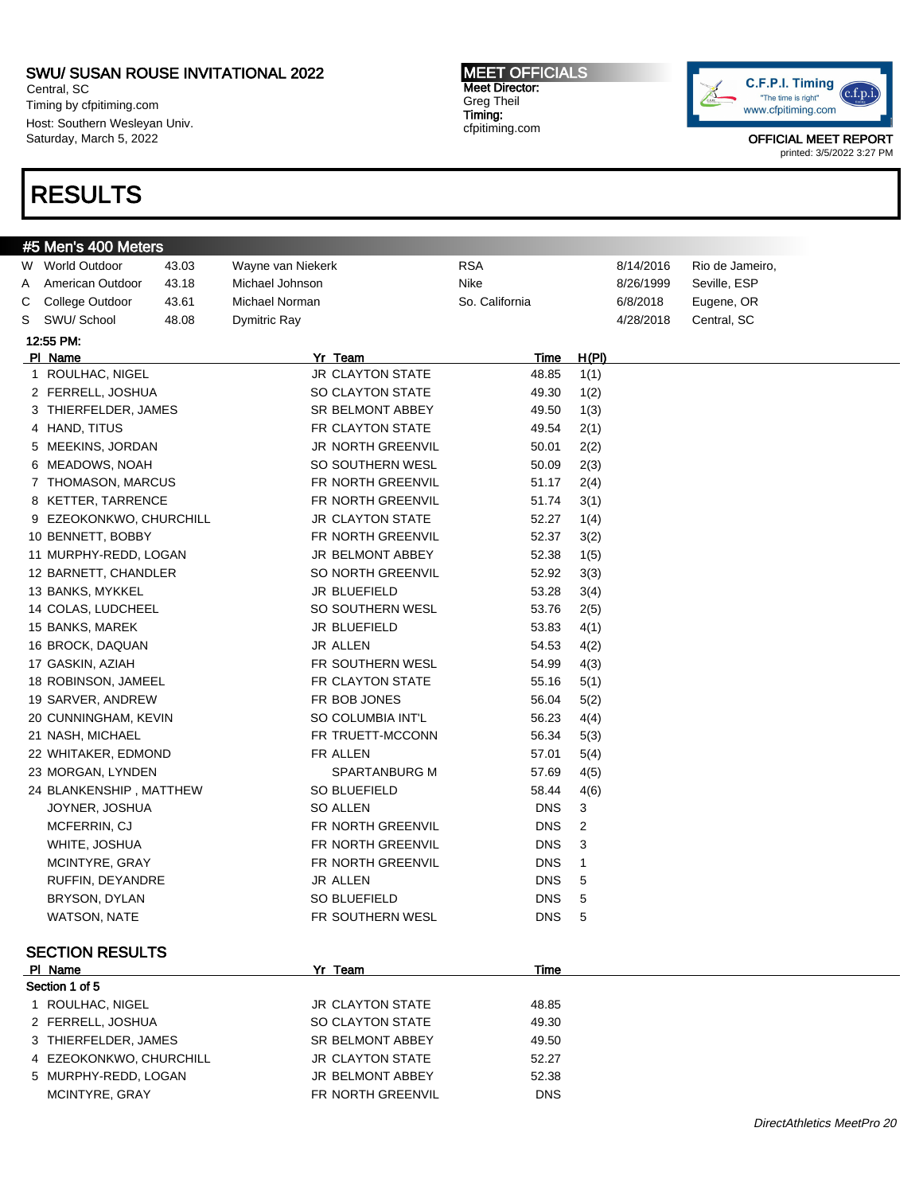Central, SC Timing by cfpitiming.com Host: Southern Wesleyan Univ. Saturday, March 5, 2022

# RESULTS

#5 Men's 400 Meters

#### MEET OFFICIALS Meet Director: Greg Theil Timing: cfpitiming.com

W World Outdoor  $\overline{a}$  43.03 Wayne van Niekerk RSA RSA 8/14/2016 Rio de Jameiro, A American Outdoor 43.18 Michael Johnson Nike Nike 8/26/1999 Seville, ESP C College Outdoor 43.61 Michael Norman So. California 6/8/2018 Eugene, OR S SWU/ School 48.08 Dymitric Ray 46.08 And the state of the 4/28/2018 Central, SC

Pl Name Yr Team Time H(Pl) 1 ROULHAC, NIGEL 11 1 1 2 3 3 48.85 1(1) 2 FERRELL, JOSHUA SO CLAYTON STATE 49.30 1(2) 3 THIERFELDER, JAMES SR BELMONT ABBEY 49.50 1(3) 4 HAND, TITUS **FR CLAYTON STATE** 49.54 2(1) 5 MEEKINS, JORDAN JR NORTH GREENVIL 50.01 2(2) 6 MEADOWS, NOAH SO SOUTHERN WESL 50.09 2(3) 7 THOMASON, MARCUS FR NORTH GREENVIL 51.17 2(4) 8 KETTER, TARRENCE FR NORTH GREENVIL 51.74 3(1) 9 EZEOKONKWO, CHURCHILL JR CLAYTON STATE 52.27 1(4) 10 BENNETT, BOBBY FR NORTH GREENVIL 52.37 3(2) 11 MURPHY-REDD, LOGAN JR BELMONT ABBEY 52.38 1(5) 12 BARNETT, CHANDLER SO NORTH GREENVIL 52.92 3(3) 13 BANKS, MYKKEL **13 BANKS, MYKKEL** JR BLUEFIELD 53.28 3(4) 14 COLAS, LUDCHEEL SO SOUTHERN WESL 53.76 2(5) 15 BANKS, MAREK **JR BLUEFIELD** 53.83 4(1) 16 BROCK, DAQUAN JR ALLEN 54.53 4(2) 17 GASKIN, AZIAH **FR SOUTHERN WESL** 54.99 4(3) 18 ROBINSON, JAMEEL FR CLAYTON STATE 55.16 5(1) 19 SARVER, ANDREW FR BOB JONES 56.04 5(2) 20 CUNNINGHAM, KEVIN SO COLUMBIA INT'L 56.23 4(4) 21 NASH, MICHAEL **FR TRUETT-MCCONN** 56.34 5(3) 22 WHITAKER, EDMOND FR ALLEN 57.01 5(4) 23 MORGAN, LYNDEN SPARTANBURG M 57.69 4(5) 24 BLANKENSHIP , MATTHEW SO BLUEFIELD 58.44 4(6) JOYNER, JOSHUA SO ALLEN DNS 3 MCFERRIN, CJ FR NORTH GREENVIL DNS 2 WHITE, JOSHUA **FR NORTH GREENVIL** DNS 3 MCINTYRE, GRAY FR NORTH GREENVIL DNS 1 RUFFIN, DEYANDRE SALLEN URALLEN DINS 5



OFFICIAL MEET REPORT printed: 3/5/2022 3:27 PM

# BRYSON, DYLAN SO BLUEFIELD DNS 5 WATSON, NATE THE RESOLT FRISOUTHERN WESL THE SOLT ONS 5 SECTION RESULTS Pl Name Yr Team Time Section 1 of 5 1 ROULHAC, NIGEL **1 1 ACCLAYTON STATE** 48.85 2 FERRELL, JOSHUA SO CLAYTON STATE 49.30 3 THIERFELDER, JAMES SR BELMONT ABBEY 49.50 4 EZEOKONKWO, CHURCHILL JR CLAYTON STATE 52.27 5 MURPHY-REDD, LOGAN JR BELMONT ABBEY 52.38 MCINTYRE, GRAY **FR NORTH GREENVIL** DNS

12:55 PM: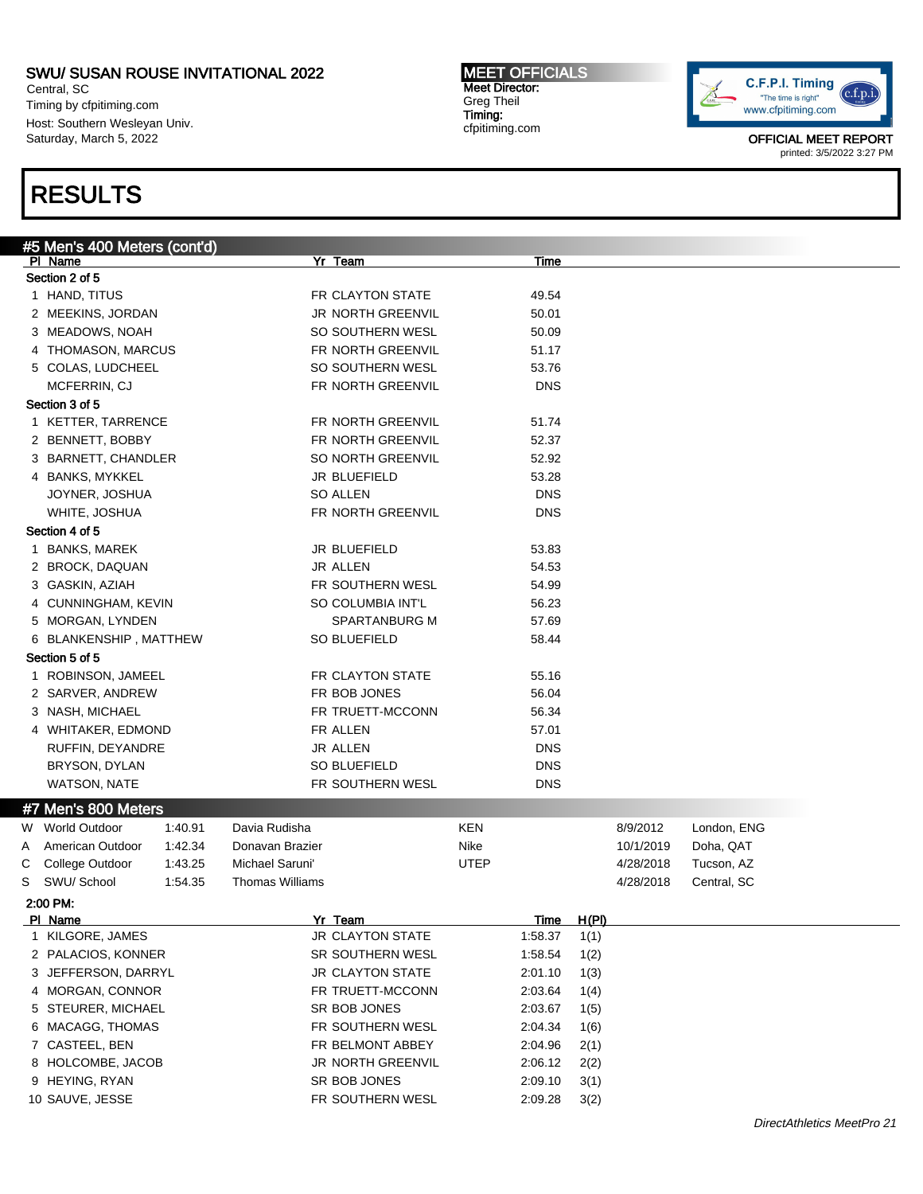Central, SC Timing by cfpitiming.com Host: Southern Wesleyan Univ. Saturday, March 5, 2022

# RESULTS

### #5 Men's 400 Meters (cont'd) Pl Name Yr Team Time Section 2 of 5 1 HAND, TITUS 69.54 2 MEEKINS, JORDAN JR NORTH GREENVIL 50.01 3 MEADOWS, NOAH SO SOUTHERN WESL 50.09 4 THOMASON, MARCUS FR NORTH GREENVIL 51.17 5 COLAS, LUDCHEEL SO SOUTHERN WESL 53.76 MCFERRIN, CJ FR NORTH GREENVIL DNS Section 3 of 5 1 KETTER, TARRENCE FR NORTH GREENVIL 51.74 2 BENNETT, BOBBY FR NORTH GREENVIL 52.37 3 BARNETT, CHANDLER SO NORTH GREENVIL 52.92 4 BANKS, MYKKEL 33.28 JOYNER, JOSHUA SO ALLEN DNS WHITE, JOSHUA FR NORTH GREENVIL DNS Section 4 of 5 1 BANKS, MAREK 33.83 2 BROCK, DAQUAN JR ALLEN 54.53 3 GASKIN, AZIAH FR SOUTHERN WESL 54.99 4 CUNNINGHAM, KEVIN SO COLUMBIA INT'L 56.23 5 MORGAN, LYNDEN SPARTANBURG M 57.69 6 BLANKENSHIP , MATTHEW SO BLUEFIELD 58.44 Section 5 of 5 1 ROBINSON, JAMEEL **FR CLAYTON STATE** 55.16 2 SARVER, ANDREW FR BOB JONES 56.04 3 NASH, MICHAEL **FR TRUETT-MCCONN** 56.34 4 WHITAKER, EDMOND FR ALLEN 57.01 RUFFIN, DEYANDRE THE GROUP ON SALLEN DISCHARGE THE SERVICE OF SALLEN DISCHARGE THE DISCHARGE OF DISCHARGE THE ST BRYSON, DYLAN DISCONSINE SO BLUEFIELD DISCONSING THE USE OF SALUE FIELD WATSON, NATE FR SOUTHERN WESL DNS #7 Men's 800 Meters W World Outdoor 1:40.91 Davia Rudisha KEN 8/9/2012 London, ENG A American Outdoor 1:42.34 Donavan Brazier Nike Nike 10/1/2019 Doha, QAT C College Outdoor 1:43.25 Michael Saruni' UTEP 4/28/2018 Tucson, AZ S SWU/ School 1:54.35 Thomas Williams 1.54.35 Thomas A/28/2018 Central, SC 2:00 PM: Pl Name Yr Team Time H(Pl) 1 KILGORE, JAMES JR CLAYTON STATE 1:58.37 1(1) 2 PALACIOS, KONNER SR SOUTHERN WESL 1:58.54 1(2) 3 JEFFERSON, DARRYL JR CLAYTON STATE 2:01.10 1(3) 4 MORGAN, CONNOR FR TRUETT-MCCONN 2:03.64 1(4) 5 STEURER, MICHAEL SR BOB JONES 2:03.67 1(5) 6 MACAGG, THOMAS FR SOUTHERN WESL 2:04.34 1(6) 7 CASTEEL, BEN FR BELMONT ABBEY 2:04.96 2(1) 8 HOLCOMBE, JACOB JR NORTH GREENVIL 2:06.12 2(2) 9 HEYING, RYAN SR BOB JONES 2:09.10 3(1)



OFFICIAL MEET REPORT printed: 3/5/2022 3:27 PM



MEET OFFICIALS Meet Director: Greg Theil Timing: cfpitiming.com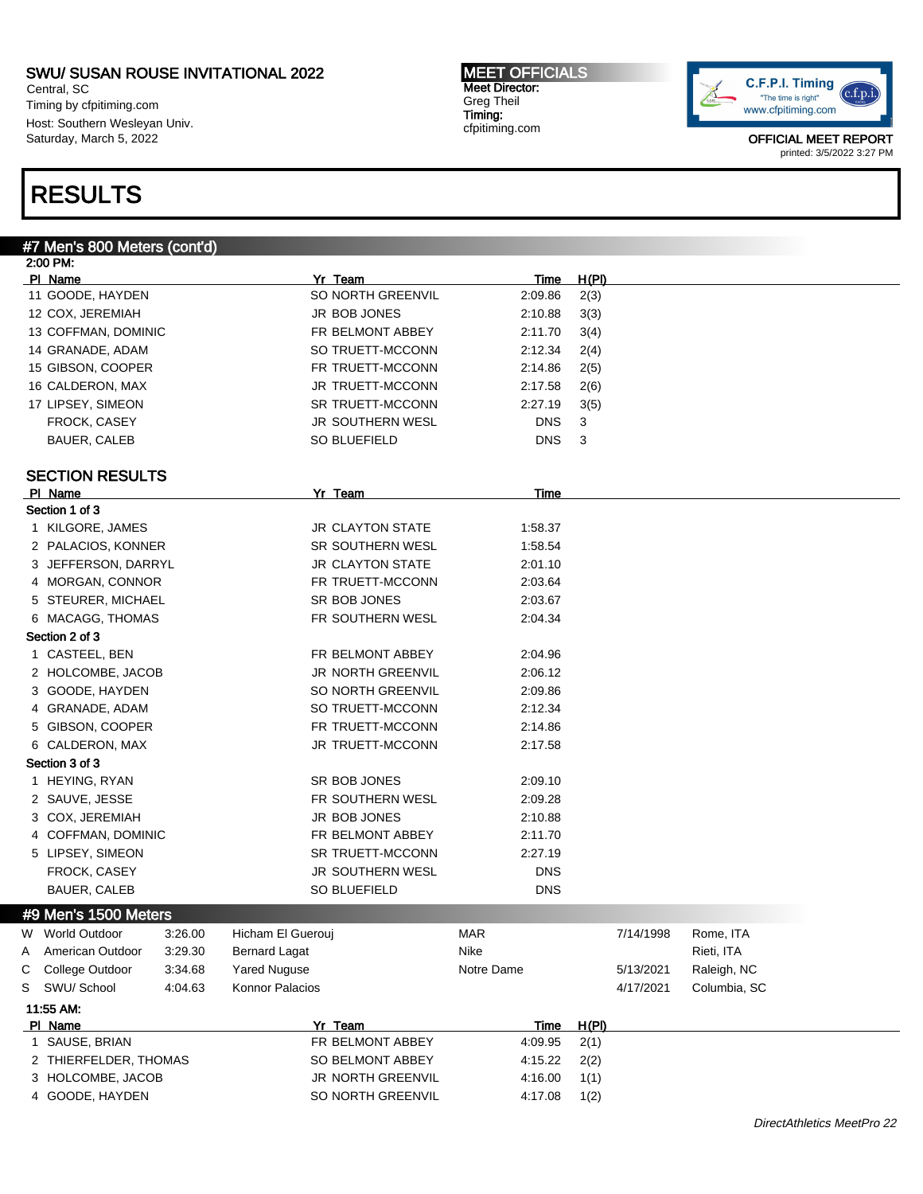Central, SC Timing by cfpitiming.com Host: Southern Wesleyan Univ. Saturday, March 5, 2022

# RESULTS

#### MEET OFFICIALS Meet Director: Greg Theil Timing: cfpitiming.com



|   | #7 Men's 800 Meters (cont'd) |         |                      |                          |             |       |           |              |
|---|------------------------------|---------|----------------------|--------------------------|-------------|-------|-----------|--------------|
|   | 2:00 PM:                     |         |                      |                          |             |       |           |              |
|   | PI Name                      |         |                      | Yr Team                  | <b>Time</b> | H(PI) |           |              |
|   | 11 GOODE, HAYDEN             |         |                      | SO NORTH GREENVIL        | 2:09.86     | 2(3)  |           |              |
|   | 12 COX, JEREMIAH             |         |                      | JR BOB JONES             | 2:10.88     | 3(3)  |           |              |
|   | 13 COFFMAN, DOMINIC          |         |                      | FR BELMONT ABBEY         | 2:11.70     | 3(4)  |           |              |
|   | 14 GRANADE, ADAM             |         |                      | SO TRUETT-MCCONN         | 2:12.34     | 2(4)  |           |              |
|   | 15 GIBSON, COOPER            |         |                      | FR TRUETT-MCCONN         | 2:14.86     | 2(5)  |           |              |
|   | 16 CALDERON, MAX             |         |                      | JR TRUETT-MCCONN         | 2:17.58     | 2(6)  |           |              |
|   | 17 LIPSEY, SIMEON            |         |                      | SR TRUETT-MCCONN         | 2:27.19     | 3(5)  |           |              |
|   | FROCK, CASEY                 |         |                      | JR SOUTHERN WESL         | <b>DNS</b>  | 3     |           |              |
|   | BAUER, CALEB                 |         |                      | SO BLUEFIELD             | <b>DNS</b>  | 3     |           |              |
|   |                              |         |                      |                          |             |       |           |              |
|   | <b>SECTION RESULTS</b>       |         |                      |                          |             |       |           |              |
|   | PI Name                      |         |                      | Yr Team                  | Time        |       |           |              |
|   | Section 1 of 3               |         |                      |                          |             |       |           |              |
|   | 1 KILGORE, JAMES             |         |                      | JR CLAYTON STATE         | 1:58.37     |       |           |              |
|   | 2 PALACIOS, KONNER           |         |                      | SR SOUTHERN WESL         | 1:58.54     |       |           |              |
|   | 3 JEFFERSON, DARRYL          |         |                      | <b>JR CLAYTON STATE</b>  | 2:01.10     |       |           |              |
|   | 4 MORGAN, CONNOR             |         |                      | FR TRUETT-MCCONN         | 2:03.64     |       |           |              |
|   | 5 STEURER, MICHAEL           |         |                      | SR BOB JONES             | 2:03.67     |       |           |              |
|   | 6 MACAGG, THOMAS             |         |                      | FR SOUTHERN WESL         | 2:04.34     |       |           |              |
|   | Section 2 of 3               |         |                      |                          |             |       |           |              |
|   | 1 CASTEEL, BEN               |         |                      | FR BELMONT ABBEY         | 2:04.96     |       |           |              |
|   | 2 HOLCOMBE, JACOB            |         |                      | <b>JR NORTH GREENVIL</b> | 2:06.12     |       |           |              |
|   | 3 GOODE, HAYDEN              |         |                      | SO NORTH GREENVIL        | 2:09.86     |       |           |              |
|   | 4 GRANADE, ADAM              |         |                      | SO TRUETT-MCCONN         | 2:12.34     |       |           |              |
|   | 5 GIBSON, COOPER             |         |                      | FR TRUETT-MCCONN         | 2:14.86     |       |           |              |
|   | 6 CALDERON, MAX              |         |                      | JR TRUETT-MCCONN         | 2:17.58     |       |           |              |
|   | Section 3 of 3               |         |                      |                          |             |       |           |              |
|   | 1 HEYING, RYAN               |         |                      | SR BOB JONES             | 2:09.10     |       |           |              |
|   | 2 SAUVE, JESSE               |         |                      | FR SOUTHERN WESL         | 2:09.28     |       |           |              |
|   | 3 COX, JEREMIAH              |         |                      | JR BOB JONES             | 2:10.88     |       |           |              |
|   | 4 COFFMAN, DOMINIC           |         |                      | FR BELMONT ABBEY         | 2:11.70     |       |           |              |
|   | 5 LIPSEY, SIMEON             |         |                      | SR TRUETT-MCCONN         | 2:27.19     |       |           |              |
|   | FROCK, CASEY                 |         |                      | JR SOUTHERN WESL         | <b>DNS</b>  |       |           |              |
|   | BAUER, CALEB                 |         |                      | SO BLUEFIELD             | <b>DNS</b>  |       |           |              |
|   | #9 Men's 1500 Meters         |         |                      |                          |             |       |           |              |
| W | <b>World Outdoor</b>         | 3:26.00 | Hicham El Guerouj    |                          | <b>MAR</b>  |       | 7/14/1998 | Rome, ITA    |
| A | American Outdoor             | 3:29.30 | <b>Bernard Lagat</b> |                          | Nike        |       |           | Rieti, ITA   |
| С | College Outdoor              | 3:34.68 | <b>Yared Nuguse</b>  |                          | Notre Dame  |       | 5/13/2021 | Raleigh, NC  |
| S | SWU/ School                  | 4:04.63 | Konnor Palacios      |                          |             |       | 4/17/2021 | Columbia, SC |
|   | 11:55 AM:                    |         |                      |                          |             |       |           |              |
|   | PI Name                      |         |                      | Yr Team                  | Time        | H(PI) |           |              |
|   | 1 SAUSE, BRIAN               |         |                      | FR BELMONT ABBEY         | 4:09.95     | 2(1)  |           |              |
|   | 2 THIERFELDER, THOMAS        |         |                      | SO BELMONT ABBEY         | 4:15.22     | 2(2)  |           |              |
|   | 3 HOLCOMBE, JACOB            |         |                      | JR NORTH GREENVIL        | 4:16.00     | 1(1)  |           |              |
|   | 4 GOODE, HAYDEN              |         |                      | SO NORTH GREENVIL        | 4:17.08     | 1(2)  |           |              |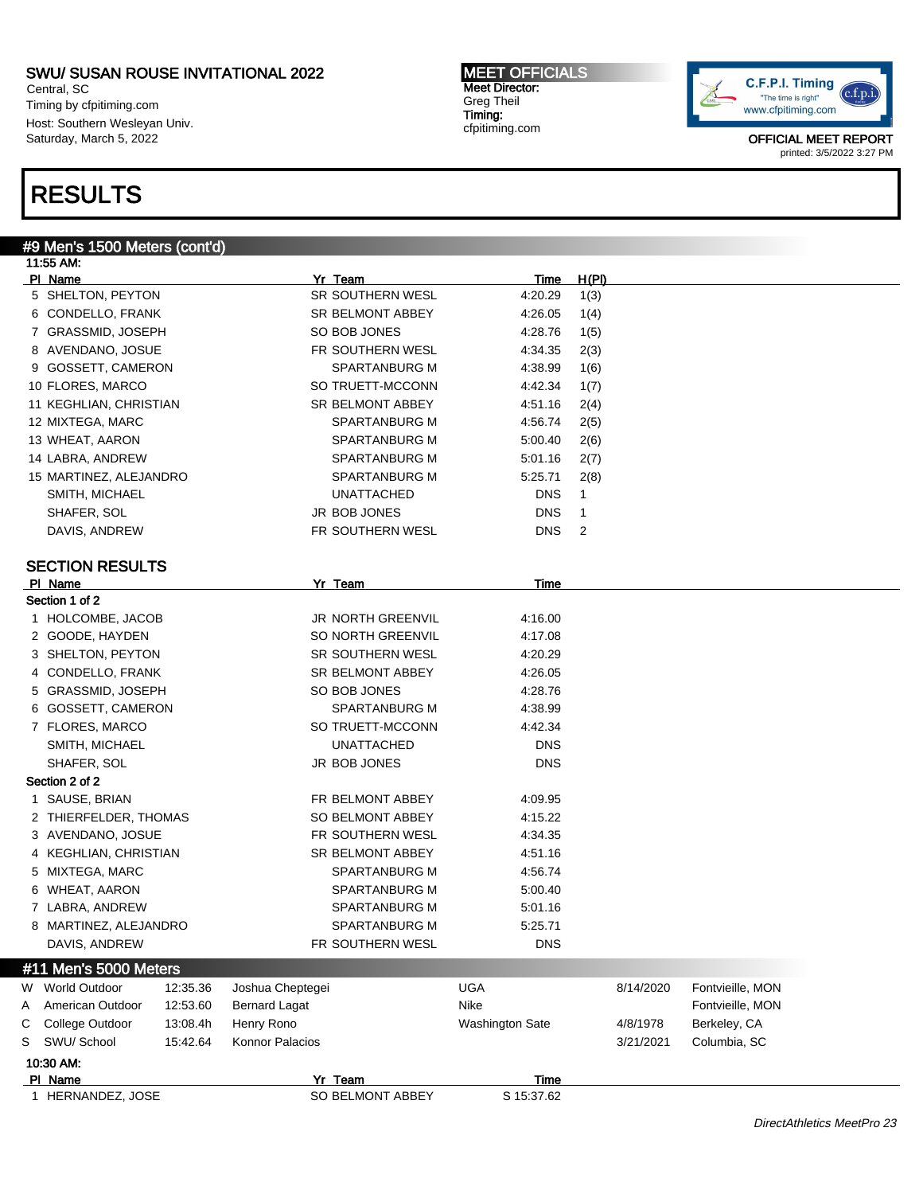Central, SC Timing by cfpitiming.com Host: Southern Wesleyan Univ. Saturday, March 5, 2022

# RESULTS

# #9 Men's 1500 Meters (cont'd)

|   | 11:55 AM:                        |                          |                        |              |                  |  |
|---|----------------------------------|--------------------------|------------------------|--------------|------------------|--|
|   | PI Name                          | Yr Team                  | <u>Time</u>            | <u>H(PI)</u> |                  |  |
|   | 5 SHELTON, PEYTON                | SR SOUTHERN WESL         | 4:20.29                | 1(3)         |                  |  |
|   | 6 CONDELLO, FRANK                | SR BELMONT ABBEY         | 4:26.05                | 1(4)         |                  |  |
|   | 7 GRASSMID, JOSEPH               | SO BOB JONES             | 4:28.76                | 1(5)         |                  |  |
|   | 8 AVENDANO, JOSUE                | FR SOUTHERN WESL         | 4:34.35                | 2(3)         |                  |  |
|   | 9 GOSSETT, CAMERON               | SPARTANBURG M            | 4:38.99                | 1(6)         |                  |  |
|   | 10 FLORES, MARCO                 | SO TRUETT-MCCONN         | 4:42.34                | 1(7)         |                  |  |
|   | 11 KEGHLIAN, CHRISTIAN           | SR BELMONT ABBEY         | 4:51.16                | 2(4)         |                  |  |
|   | 12 MIXTEGA, MARC                 | SPARTANBURG M            | 4:56.74                | 2(5)         |                  |  |
|   | 13 WHEAT, AARON                  | SPARTANBURG M            | 5:00.40                | 2(6)         |                  |  |
|   | 14 LABRA, ANDREW                 | SPARTANBURG M            | 5:01.16                | 2(7)         |                  |  |
|   | 15 MARTINEZ, ALEJANDRO           | SPARTANBURG M            | 5:25.71                | 2(8)         |                  |  |
|   | SMITH, MICHAEL                   | UNATTACHED               | <b>DNS</b>             | 1            |                  |  |
|   | SHAFER, SOL                      | JR BOB JONES             | <b>DNS</b>             | 1            |                  |  |
|   | DAVIS, ANDREW                    | FR SOUTHERN WESL         | <b>DNS</b>             | 2            |                  |  |
|   |                                  |                          |                        |              |                  |  |
|   | <b>SECTION RESULTS</b>           |                          |                        |              |                  |  |
|   | PI Name                          | Yr Team                  | Time                   |              |                  |  |
|   | Section 1 of 2                   |                          |                        |              |                  |  |
|   | 1 HOLCOMBE, JACOB                | <b>JR NORTH GREENVIL</b> | 4:16.00                |              |                  |  |
|   | 2 GOODE, HAYDEN                  | SO NORTH GREENVIL        | 4:17.08                |              |                  |  |
|   | 3 SHELTON, PEYTON                | <b>SR SOUTHERN WESL</b>  | 4:20.29                |              |                  |  |
|   | 4 CONDELLO, FRANK                | <b>SR BELMONT ABBEY</b>  | 4:26.05                |              |                  |  |
|   | 5 GRASSMID, JOSEPH               | SO BOB JONES             | 4:28.76                |              |                  |  |
|   | 6 GOSSETT, CAMERON               | SPARTANBURG M            | 4:38.99                |              |                  |  |
|   | 7 FLORES, MARCO                  | SO TRUETT-MCCONN         | 4:42.34                |              |                  |  |
|   | SMITH, MICHAEL                   | UNATTACHED               | <b>DNS</b>             |              |                  |  |
|   | SHAFER, SOL                      | JR BOB JONES             | <b>DNS</b>             |              |                  |  |
|   | Section 2 of 2                   |                          |                        |              |                  |  |
|   | 1 SAUSE, BRIAN                   | FR BELMONT ABBEY         | 4:09.95                |              |                  |  |
|   | 2 THIERFELDER, THOMAS            | SO BELMONT ABBEY         | 4:15.22                |              |                  |  |
|   | 3 AVENDANO, JOSUE                | FR SOUTHERN WESL         | 4:34.35                |              |                  |  |
|   | 4 KEGHLIAN, CHRISTIAN            | SR BELMONT ABBEY         | 4:51.16                |              |                  |  |
|   | 5 MIXTEGA, MARC                  | SPARTANBURG M            | 4:56.74                |              |                  |  |
|   | 6 WHEAT, AARON                   | SPARTANBURG M            | 5:00.40                |              |                  |  |
|   | 7 LABRA, ANDREW                  | SPARTANBURG M            | 5:01.16                |              |                  |  |
|   | 8 MARTINEZ, ALEJANDRO            | SPARTANBURG M            | 5:25.71                |              |                  |  |
|   | DAVIS, ANDREW                    | FR SOUTHERN WESL         | <b>DNS</b>             |              |                  |  |
|   |                                  |                          |                        |              |                  |  |
|   | #11 Men's 5000 Meters            |                          |                        |              |                  |  |
| W | <b>World Outdoor</b><br>12:35.36 | Joshua Cheptegei         | <b>UGA</b>             | 8/14/2020    | Fontvieille, MON |  |
| Α | American Outdoor<br>12:53.60     | <b>Bernard Lagat</b>     | Nike                   |              | Fontvieille, MON |  |
| С | 13:08.4h<br>College Outdoor      | Henry Rono               | <b>Washington Sate</b> | 4/8/1978     | Berkeley, CA     |  |
| S | SWU/ School<br>15:42.64          | Konnor Palacios          |                        | 3/21/2021    | Columbia, SC     |  |
|   | 10:30 AM:                        |                          |                        |              |                  |  |
|   | PI Name                          | Yr Team                  | Time                   |              |                  |  |
|   | 1 HERNANDEZ, JOSE                | SO BELMONT ABBEY         | S 15:37.62             |              |                  |  |

MEET OFFICIALS Meet Director: Greg Theil Timing: cfpitiming.com

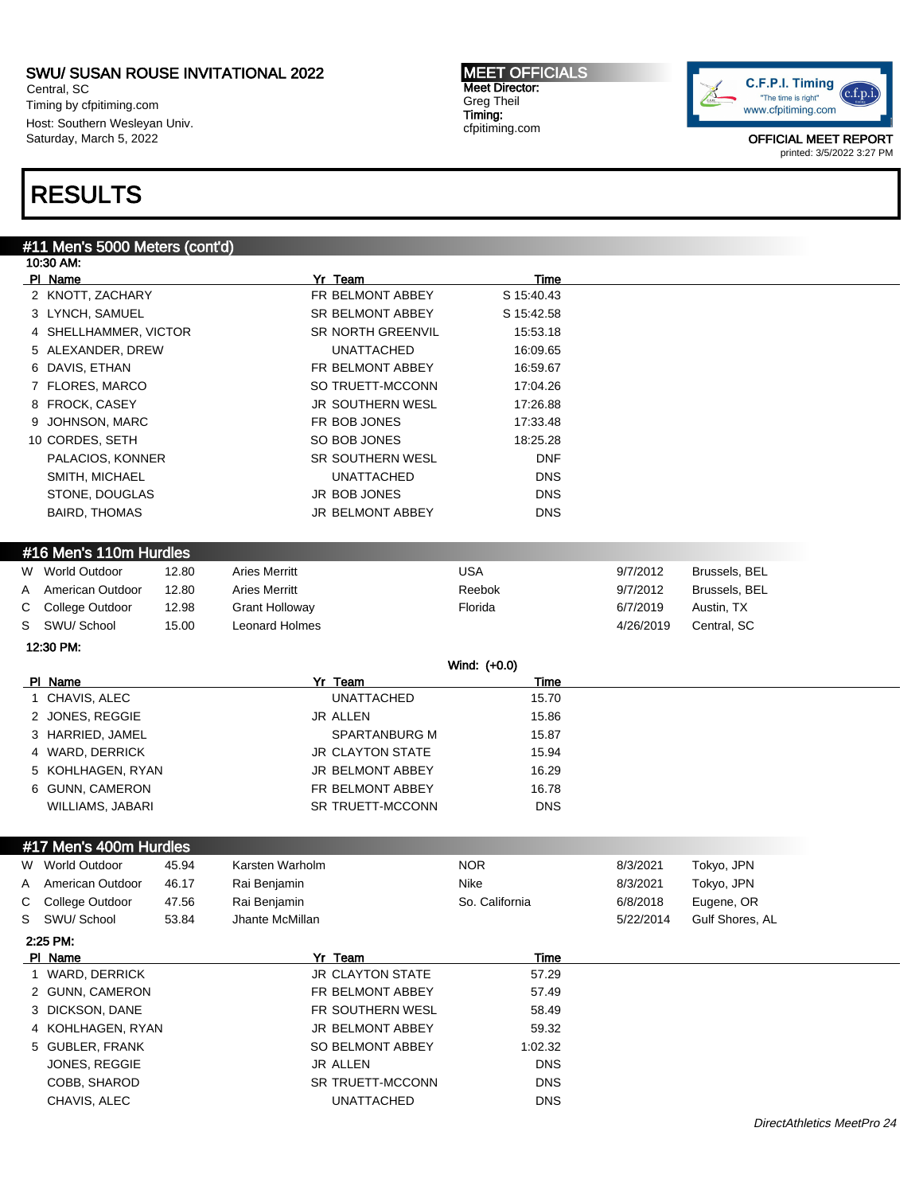Central, SC Timing by cfpitiming.com Host: Southern Wesleyan Univ. Saturday, March 5, 2022

#### MEET OFFICIALS Meet Director: Greg Theil Timing: cfpitiming.com



OFFICIAL MEET REPORT printed: 3/5/2022 3:27 PM

# RESULTS

### #11 Men's 5000 Meters (cont'd)

|   | 10:30 AM:              |       |                       |                         |                |           |                 |  |
|---|------------------------|-------|-----------------------|-------------------------|----------------|-----------|-----------------|--|
|   | PI Name                |       |                       | Yr_Team                 | <b>Time</b>    |           |                 |  |
|   | 2 KNOTT, ZACHARY       |       |                       | FR BELMONT ABBEY        | S 15:40.43     |           |                 |  |
|   | 3 LYNCH, SAMUEL        |       |                       | SR BELMONT ABBEY        | S 15:42.58     |           |                 |  |
|   | 4 SHELLHAMMER, VICTOR  |       |                       | SR NORTH GREENVIL       | 15:53.18       |           |                 |  |
|   | 5 ALEXANDER, DREW      |       |                       | <b>UNATTACHED</b>       | 16:09.65       |           |                 |  |
|   | 6 DAVIS, ETHAN         |       |                       | FR BELMONT ABBEY        | 16:59.67       |           |                 |  |
|   | 7 FLORES, MARCO        |       |                       | SO TRUETT-MCCONN        | 17:04.26       |           |                 |  |
|   | 8 FROCK, CASEY         |       |                       | JR SOUTHERN WESL        | 17:26.88       |           |                 |  |
| 9 | JOHNSON, MARC          |       |                       | FR BOB JONES            | 17:33.48       |           |                 |  |
|   | 10 CORDES, SETH        |       |                       | SO BOB JONES            | 18:25.28       |           |                 |  |
|   | PALACIOS, KONNER       |       |                       | SR SOUTHERN WESL        | <b>DNF</b>     |           |                 |  |
|   | SMITH, MICHAEL         |       |                       | <b>UNATTACHED</b>       | <b>DNS</b>     |           |                 |  |
|   | STONE, DOUGLAS         |       |                       | JR BOB JONES            | <b>DNS</b>     |           |                 |  |
|   | <b>BAIRD, THOMAS</b>   |       |                       | JR BELMONT ABBEY        | <b>DNS</b>     |           |                 |  |
|   |                        |       |                       |                         |                |           |                 |  |
|   |                        |       |                       |                         |                |           |                 |  |
|   | #16 Men's 110m Hurdles |       |                       |                         |                |           |                 |  |
| W | World Outdoor          | 12.80 | <b>Aries Merritt</b>  |                         | <b>USA</b>     | 9/7/2012  | Brussels, BEL   |  |
| Α | American Outdoor       | 12.80 | <b>Aries Merritt</b>  |                         | Reebok         | 9/7/2012  | Brussels, BEL   |  |
| С | College Outdoor        | 12.98 | <b>Grant Holloway</b> |                         | Florida        | 6/7/2019  | Austin, TX      |  |
| S | SWU/ School            | 15.00 | <b>Leonard Holmes</b> |                         |                | 4/26/2019 | Central, SC     |  |
|   | 12:30 PM:              |       |                       |                         |                |           |                 |  |
|   |                        |       |                       |                         | Wind: (+0.0)   |           |                 |  |
|   | PI Name                |       |                       | Yr Team                 | Time           |           |                 |  |
|   | 1 CHAVIS, ALEC         |       |                       | <b>UNATTACHED</b>       | 15.70          |           |                 |  |
|   | 2 JONES, REGGIE        |       |                       | JR ALLEN                | 15.86          |           |                 |  |
|   | 3 HARRIED, JAMEL       |       |                       | <b>SPARTANBURG M</b>    | 15.87          |           |                 |  |
|   | 4 WARD, DERRICK        |       |                       | <b>JR CLAYTON STATE</b> | 15.94          |           |                 |  |
|   | 5 KOHLHAGEN, RYAN      |       |                       | JR BELMONT ABBEY        | 16.29          |           |                 |  |
|   | 6 GUNN, CAMERON        |       |                       | FR BELMONT ABBEY        | 16.78          |           |                 |  |
|   | WILLIAMS, JABARI       |       |                       | SR TRUETT-MCCONN        | <b>DNS</b>     |           |                 |  |
|   |                        |       |                       |                         |                |           |                 |  |
|   | #17 Men's 400m Hurdles |       |                       |                         |                |           |                 |  |
| W | <b>World Outdoor</b>   | 45.94 | Karsten Warholm       |                         | <b>NOR</b>     | 8/3/2021  | Tokyo, JPN      |  |
| Α | American Outdoor       | 46.17 | Rai Benjamin          |                         | Nike           | 8/3/2021  | Tokyo, JPN      |  |
| С | College Outdoor        | 47.56 | Rai Benjamin          |                         | So. California | 6/8/2018  | Eugene, OR      |  |
| S | SWU/ School            | 53.84 | Jhante McMillan       |                         |                | 5/22/2014 | Gulf Shores, AL |  |
|   | 2:25 PM:               |       |                       |                         |                |           |                 |  |
|   | PI Name                |       |                       | Yr Team                 | Time           |           |                 |  |
|   | 1 WARD, DERRICK        |       |                       | JR CLAYTON STATE        | 57.29          |           |                 |  |
|   | 2 GUNN, CAMERON        |       |                       | FR BELMONT ABBEY        | 57.49          |           |                 |  |
|   | 3 DICKSON, DANE        |       |                       | FR SOUTHERN WESL        | 58.49          |           |                 |  |
|   | 4 KOHLHAGEN, RYAN      |       |                       | JR BELMONT ABBEY        | 59.32          |           |                 |  |
|   | 5 GUBLER, FRANK        |       |                       | SO BELMONT ABBEY        | 1:02.32        |           |                 |  |
|   | JONES, REGGIE          |       |                       | JR ALLEN                | <b>DNS</b>     |           |                 |  |
|   | COBB, SHAROD           |       |                       | SR TRUETT-MCCONN        | <b>DNS</b>     |           |                 |  |
|   | CHAVIS, ALEC           |       |                       | <b>UNATTACHED</b>       | <b>DNS</b>     |           |                 |  |
|   |                        |       |                       |                         |                |           |                 |  |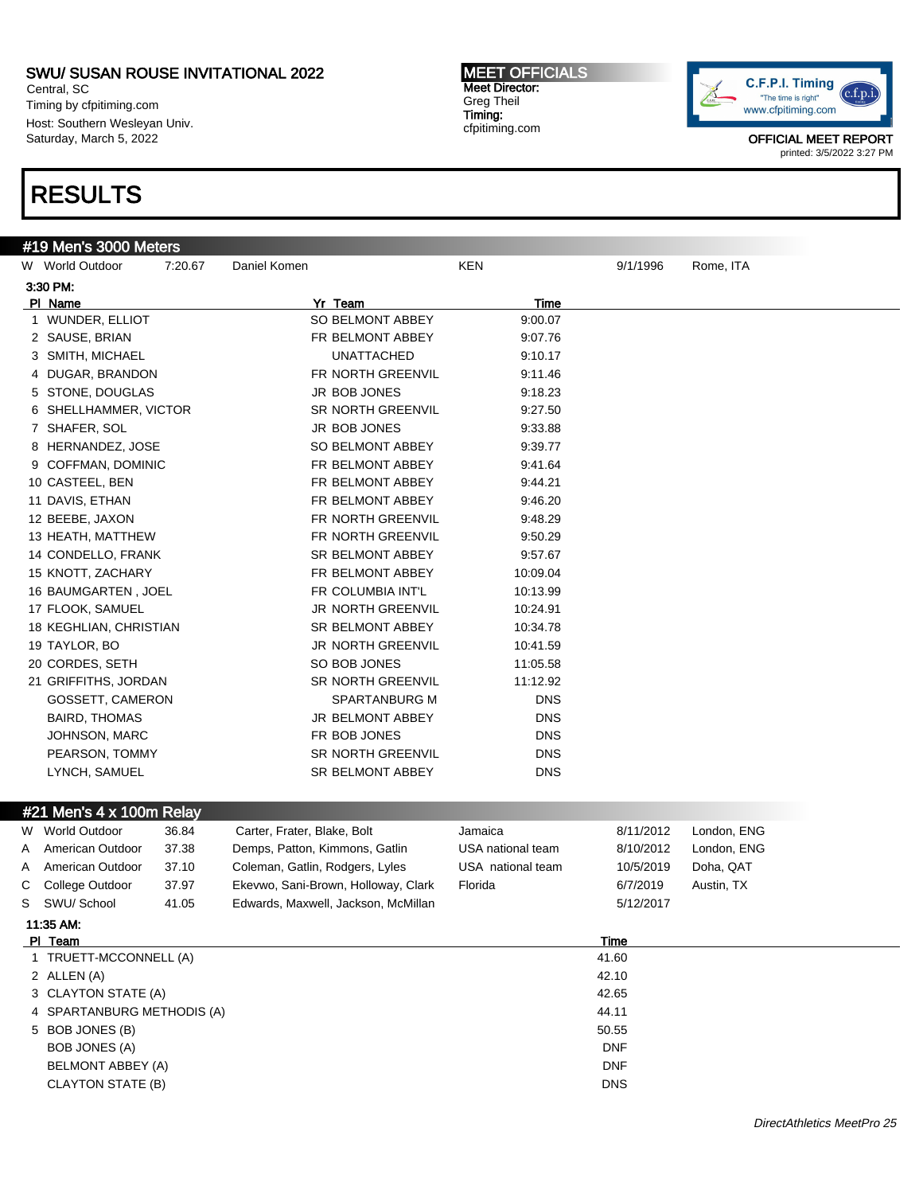Central, SC Timing by cfpitiming.com Host: Southern Wesleyan Univ. Saturday, March 5, 2022

# RESULTS

### #19 Men's 3000 Meters

| W World Outdoor        | 7:20.67 | Daniel Komen             | <b>KEN</b> | 9/1/1996 | Rome, ITA |
|------------------------|---------|--------------------------|------------|----------|-----------|
| 3:30 PM:               |         |                          |            |          |           |
| PI Name                |         | Yr Team                  | Time       |          |           |
| 1 WUNDER, ELLIOT       |         | SO BELMONT ABBEY         | 9:00.07    |          |           |
| 2 SAUSE, BRIAN         |         | FR BELMONT ABBEY         | 9:07.76    |          |           |
| 3 SMITH, MICHAEL       |         | <b>UNATTACHED</b>        | 9:10.17    |          |           |
| 4 DUGAR, BRANDON       |         | FR NORTH GREENVIL        | 9:11.46    |          |           |
| 5 STONE, DOUGLAS       |         | <b>JR BOB JONES</b>      | 9:18.23    |          |           |
| 6 SHELLHAMMER, VICTOR  |         | <b>SR NORTH GREENVIL</b> | 9:27.50    |          |           |
| 7 SHAFER, SOL          |         | <b>JR BOB JONES</b>      | 9:33.88    |          |           |
| 8 HERNANDEZ, JOSE      |         | SO BELMONT ABBEY         | 9:39.77    |          |           |
| 9 COFFMAN, DOMINIC     |         | FR BELMONT ABBEY         | 9:41.64    |          |           |
| 10 CASTEEL, BEN        |         | FR BELMONT ABBEY         | 9:44.21    |          |           |
| 11 DAVIS, ETHAN        |         | FR BELMONT ABBEY         | 9:46.20    |          |           |
| 12 BEEBE, JAXON        |         | FR NORTH GREENVIL        | 9:48.29    |          |           |
| 13 HEATH, MATTHEW      |         | FR NORTH GREENVIL        | 9:50.29    |          |           |
| 14 CONDELLO, FRANK     |         | <b>SR BELMONT ABBEY</b>  | 9:57.67    |          |           |
| 15 KNOTT, ZACHARY      |         | FR BELMONT ABBEY         | 10:09.04   |          |           |
| 16 BAUMGARTEN, JOEL    |         | FR COLUMBIA INT'L        | 10:13.99   |          |           |
| 17 FLOOK, SAMUEL       |         | JR NORTH GREENVIL        | 10:24.91   |          |           |
| 18 KEGHLIAN, CHRISTIAN |         | SR BELMONT ABBEY         | 10:34.78   |          |           |
| 19 TAYLOR, BO          |         | <b>JR NORTH GREENVIL</b> | 10:41.59   |          |           |
| 20 CORDES, SETH        |         | SO BOB JONES             | 11:05.58   |          |           |
| 21 GRIFFITHS, JORDAN   |         | <b>SR NORTH GREENVIL</b> | 11:12.92   |          |           |
| GOSSETT, CAMERON       |         | <b>SPARTANBURG M</b>     | <b>DNS</b> |          |           |
| <b>BAIRD, THOMAS</b>   |         | <b>JR BELMONT ABBEY</b>  | <b>DNS</b> |          |           |
| <b>JOHNSON, MARC</b>   |         | FR BOB JONES             | <b>DNS</b> |          |           |
| PEARSON, TOMMY         |         | <b>SR NORTH GREENVIL</b> | <b>DNS</b> |          |           |
| LYNCH, SAMUEL          |         | <b>SR BELMONT ABBEY</b>  | <b>DNS</b> |          |           |

### #21 Men's 4 x 100m Relay

| World Outdoor     | 36.84                                                             | Carter, Frater, Blake, Bolt                                              | Jamaica                    | 8/11/2012  | London, ENG |
|-------------------|-------------------------------------------------------------------|--------------------------------------------------------------------------|----------------------------|------------|-------------|
| American Outdoor  | 37.38                                                             | Demps, Patton, Kimmons, Gatlin                                           | USA national team          | 8/10/2012  | London, ENG |
| American Outdoor  | 37.10                                                             | Coleman, Gatlin, Rodgers, Lyles                                          | USA national team          | 10/5/2019  | Doha, QAT   |
| College Outdoor   | 37.97                                                             | Ekevwo, Sani-Brown, Holloway, Clark                                      | Florida                    | 6/7/2019   | Austin, TX  |
| SWU/ School       | 41.05                                                             | Edwards, Maxwell, Jackson, McMillan                                      |                            | 5/12/2017  |             |
|                   |                                                                   |                                                                          |                            |            |             |
|                   |                                                                   |                                                                          |                            | Time       |             |
|                   |                                                                   |                                                                          |                            | 41.60      |             |
|                   |                                                                   |                                                                          |                            | 42.10      |             |
|                   |                                                                   |                                                                          |                            | 42.65      |             |
|                   |                                                                   |                                                                          |                            | 44.11      |             |
|                   |                                                                   |                                                                          |                            | 50.55      |             |
|                   |                                                                   |                                                                          |                            | <b>DNF</b> |             |
| BOB JONES (A)     |                                                                   |                                                                          |                            |            |             |
| BELMONT ABBEY (A) |                                                                   |                                                                          |                            | <b>DNF</b> |             |
|                   | W.<br>C<br>11:35 AM:<br>PI Team<br>2 ALLEN (A)<br>5 BOB JONES (B) | #Z I MENS 4 X TUUM RERIGY<br>TRUETT-MCCONNELL (A)<br>3 CLAYTON STATE (A) | 4 SPARTANBURG METHODIS (A) |            |             |

MEET OFFICIALS Meet Director: Greg Theil Timing: cfpitiming.com

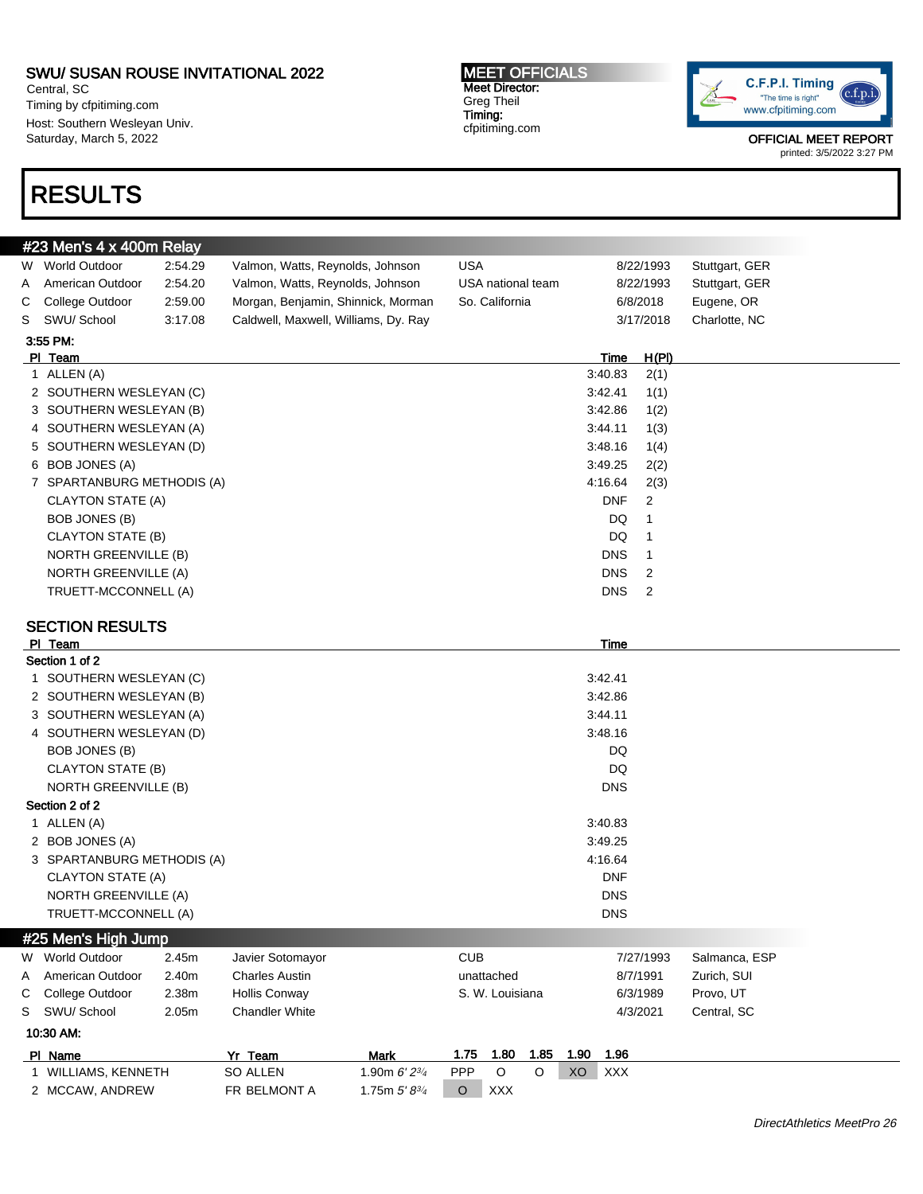Central, SC Timing by cfpitiming.com Host: Southern Wesleyan Univ. Saturday, March 5, 2022

# RESULTS

MEET OFFICIALS Meet Director: Greg Theil Timing: cfpitiming.com



OFFICIAL MEET REPORT

# printed: 3/5/2022 3:27 PM

|   | #23 Men's 4 x 400m Relay    |         |                                      |                    |            |                   |         |      |            |                |                |  |
|---|-----------------------------|---------|--------------------------------------|--------------------|------------|-------------------|---------|------|------------|----------------|----------------|--|
|   | W World Outdoor             | 2:54.29 | Valmon, Watts, Reynolds, Johnson     |                    | <b>USA</b> |                   |         |      |            | 8/22/1993      | Stuttgart, GER |  |
| A | American Outdoor            | 2:54.20 | Valmon, Watts, Reynolds, Johnson     |                    |            | USA national team |         |      |            | 8/22/1993      | Stuttgart, GER |  |
| С | College Outdoor             | 2:59.00 | Morgan, Benjamin, Shinnick, Morman   |                    |            | So. California    |         |      |            | 6/8/2018       | Eugene, OR     |  |
| S | SWU/ School                 | 3:17.08 | Caldwell, Maxwell, Williams, Dy. Ray |                    |            |                   |         |      |            | 3/17/2018      | Charlotte, NC  |  |
|   | 3:55 PM:                    |         |                                      |                    |            |                   |         |      |            |                |                |  |
|   | PI Team                     |         |                                      |                    |            |                   |         |      | Time       | <u>H(PI)</u>   |                |  |
|   | 1 ALLEN (A)                 |         |                                      |                    |            |                   |         |      | 3:40.83    | 2(1)           |                |  |
|   | 2 SOUTHERN WESLEYAN (C)     |         |                                      |                    |            |                   |         |      | 3:42.41    | 1(1)           |                |  |
|   | 3 SOUTHERN WESLEYAN (B)     |         |                                      |                    |            |                   |         |      | 3:42.86    | 1(2)           |                |  |
|   | 4 SOUTHERN WESLEYAN (A)     |         |                                      |                    |            |                   |         |      | 3:44.11    | 1(3)           |                |  |
|   | 5 SOUTHERN WESLEYAN (D)     |         |                                      |                    |            |                   |         |      | 3:48.16    | 1(4)           |                |  |
|   | 6 BOB JONES (A)             |         |                                      |                    |            |                   |         |      | 3:49.25    | 2(2)           |                |  |
|   | 7 SPARTANBURG METHODIS (A)  |         |                                      |                    |            |                   |         |      | 4:16.64    | 2(3)           |                |  |
|   | <b>CLAYTON STATE (A)</b>    |         |                                      |                    |            |                   |         |      | <b>DNF</b> | 2              |                |  |
|   | BOB JONES (B)               |         |                                      |                    |            |                   |         |      | DQ         | 1              |                |  |
|   | CLAYTON STATE (B)           |         |                                      |                    |            |                   |         |      | DQ         | 1              |                |  |
|   | NORTH GREENVILLE (B)        |         |                                      |                    |            |                   |         |      | <b>DNS</b> | 1              |                |  |
|   | <b>NORTH GREENVILLE (A)</b> |         |                                      |                    |            |                   |         |      | <b>DNS</b> | 2              |                |  |
|   | TRUETT-MCCONNELL (A)        |         |                                      |                    |            |                   |         |      | <b>DNS</b> | $\overline{2}$ |                |  |
|   |                             |         |                                      |                    |            |                   |         |      |            |                |                |  |
|   | <b>SECTION RESULTS</b>      |         |                                      |                    |            |                   |         |      |            |                |                |  |
|   | PI Team                     |         |                                      |                    |            |                   |         |      | Time       |                |                |  |
|   | Section 1 of 2              |         |                                      |                    |            |                   |         |      |            |                |                |  |
|   | 1 SOUTHERN WESLEYAN (C)     |         |                                      |                    |            |                   |         |      | 3:42.41    |                |                |  |
|   | 2 SOUTHERN WESLEYAN (B)     |         |                                      |                    |            |                   |         |      | 3:42.86    |                |                |  |
|   | 3 SOUTHERN WESLEYAN (A)     |         |                                      |                    |            |                   |         |      | 3:44.11    |                |                |  |
|   | 4 SOUTHERN WESLEYAN (D)     |         |                                      |                    |            |                   |         |      | 3:48.16    |                |                |  |
|   | BOB JONES (B)               |         |                                      |                    |            |                   |         |      | DQ         |                |                |  |
|   | CLAYTON STATE (B)           |         |                                      |                    |            |                   |         |      | DQ         |                |                |  |
|   | NORTH GREENVILLE (B)        |         |                                      |                    |            |                   |         |      | <b>DNS</b> |                |                |  |
|   | Section 2 of 2              |         |                                      |                    |            |                   |         |      |            |                |                |  |
|   | 1 ALLEN (A)                 |         |                                      |                    |            |                   |         |      | 3:40.83    |                |                |  |
|   | 2 BOB JONES (A)             |         |                                      |                    |            |                   |         |      | 3:49.25    |                |                |  |
|   | 3 SPARTANBURG METHODIS (A)  |         |                                      |                    |            |                   |         |      | 4:16.64    |                |                |  |
|   | CLAYTON STATE (A)           |         |                                      |                    |            |                   |         |      | <b>DNF</b> |                |                |  |
|   | <b>NORTH GREENVILLE (A)</b> |         |                                      |                    |            |                   |         |      | <b>DNS</b> |                |                |  |
|   | TRUETT-MCCONNELL (A)        |         |                                      |                    |            |                   |         |      | <b>DNS</b> |                |                |  |
|   | #25 Men's High Jump         |         |                                      |                    |            |                   |         |      |            |                |                |  |
|   | W World Outdoor             | 2.45m   | Javier Sotomayor                     |                    | <b>CUB</b> |                   |         |      |            | 7/27/1993      | Salmanca, ESP  |  |
| Α | American Outdoor            | 2.40m   | <b>Charles Austin</b>                |                    |            | unattached        |         |      |            | 8/7/1991       | Zurich, SUI    |  |
| С | College Outdoor             | 2.38m   | Hollis Conway                        |                    |            | S. W. Louisiana   |         |      |            | 6/3/1989       | Provo, UT      |  |
| S | SWU/ School                 | 2.05m   | <b>Chandler White</b>                |                    |            |                   |         |      |            | 4/3/2021       | Central, SC    |  |
|   |                             |         |                                      |                    |            |                   |         |      |            |                |                |  |
|   | 10:30 AM:                   |         |                                      |                    |            |                   |         |      |            |                |                |  |
|   | PI Name                     |         | Yr Team                              | <b>Mark</b>        | 1.75       | 1.80              | 1.85    | 1.90 | 1.96       |                |                |  |
|   | 1 WILLIAMS, KENNETH         |         | SO ALLEN                             | 1.90m 6' 23/4      | PPP        | $\mathsf O$       | $\circ$ | XO   | <b>XXX</b> |                |                |  |
|   | 2 MCCAW, ANDREW             |         | FR BELMONT A                         | 1.75m $5' 8^{3/4}$ | $\circ$    | XXX               |         |      |            |                |                |  |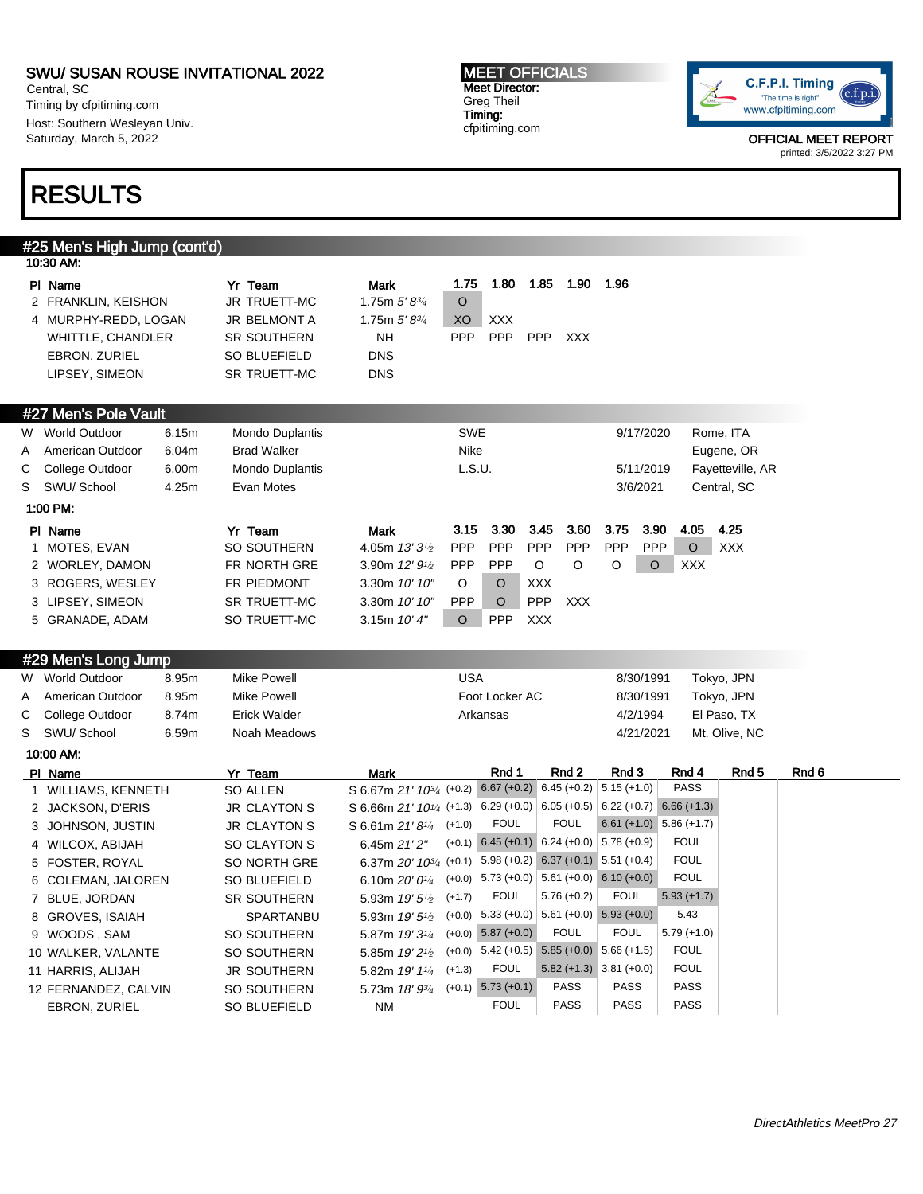Central, SC Timing by cfpitiming.com Host: Southern Wesleyan Univ. Saturday, March 5, 2022

#### MEET OFFICIALS Meet Director: Greg Theil Timing: cfpitiming.com



OFFICIAL MEET REPORT printed: 3/5/2022 3:27 PM

# RESULTS

# #25 Men's High Jump (cont'd)

|   | 10:30 AM:                |       |                     |                                                                          |            |                        |                                                    |                           |                           |                  |       |
|---|--------------------------|-------|---------------------|--------------------------------------------------------------------------|------------|------------------------|----------------------------------------------------|---------------------------|---------------------------|------------------|-------|
|   | PI Name                  |       | Yr Team             | Mark                                                                     | 1.75       | 1.80                   | 1.85<br>1.90                                       | 1.96                      |                           |                  |       |
|   | 2 FRANKLIN, KEISHON      |       | JR TRUETT-MC        | 1.75m $5'8^{3/4}$                                                        | $\circ$    |                        |                                                    |                           |                           |                  |       |
|   | 4 MURPHY-REDD, LOGAN     |       | JR BELMONT A        | 1.75m $5'8^{3/4}$                                                        | XO         | <b>XXX</b>             |                                                    |                           |                           |                  |       |
|   | <b>WHITTLE, CHANDLER</b> |       | <b>SR SOUTHERN</b>  | <b>NH</b>                                                                | <b>PPP</b> | <b>PPP</b>             | PPP<br><b>XXX</b>                                  |                           |                           |                  |       |
|   | <b>EBRON, ZURIEL</b>     |       | SO BLUEFIELD        | <b>DNS</b>                                                               |            |                        |                                                    |                           |                           |                  |       |
|   | LIPSEY, SIMEON           |       | SR TRUETT-MC        | <b>DNS</b>                                                               |            |                        |                                                    |                           |                           |                  |       |
|   |                          |       |                     |                                                                          |            |                        |                                                    |                           |                           |                  |       |
|   | #27 Men's Pole Vault     |       |                     |                                                                          |            |                        |                                                    |                           |                           |                  |       |
| W | World Outdoor            | 6.15m | Mondo Duplantis     |                                                                          | <b>SWE</b> |                        |                                                    | 9/17/2020                 |                           | Rome, ITA        |       |
| A | American Outdoor         | 6.04m | <b>Brad Walker</b>  |                                                                          | Nike       |                        |                                                    |                           |                           | Eugene, OR       |       |
| С | College Outdoor          | 6.00m | Mondo Duplantis     |                                                                          | L.S.U.     |                        |                                                    | 5/11/2019                 |                           | Fayetteville, AR |       |
| S | SWU/ School              | 4.25m | Evan Motes          |                                                                          |            |                        |                                                    | 3/6/2021                  |                           | Central, SC      |       |
|   | 1:00 PM:                 |       |                     |                                                                          |            |                        |                                                    |                           |                           |                  |       |
|   | PI Name                  |       | Yr Team             | <b>Mark</b>                                                              | 3.15       | 3.30                   | 3.45<br>3.60                                       | 3.75<br>3.90              | 4.05                      | 4.25             |       |
|   | 1 MOTES, EVAN            |       | SO SOUTHERN         | 4.05m 13' 3 <sup>1</sup> / <sub>2</sub>                                  | <b>PPP</b> | <b>PPP</b>             | PPP<br><b>PPP</b>                                  | PPP<br><b>PPP</b>         | $\circ$                   | <b>XXX</b>       |       |
|   | 2 WORLEY, DAMON          |       | FR NORTH GRE        | 3.90m 12' 9 <sup>1</sup> / <sub>2</sub>                                  | <b>PPP</b> | <b>PPP</b>             | O<br>O                                             | $\circ$<br>O              | <b>XXX</b>                |                  |       |
|   | 3 ROGERS, WESLEY         |       | FR PIEDMONT         | 3.30m 10' 10"                                                            | O          | O                      | <b>XXX</b>                                         |                           |                           |                  |       |
|   | 3 LIPSEY, SIMEON         |       | <b>SR TRUETT-MC</b> | 3.30m 10' 10"                                                            | <b>PPP</b> | $\circ$                | PPP<br><b>XXX</b>                                  |                           |                           |                  |       |
|   | 5 GRANADE, ADAM          |       | SO TRUETT-MC        | 3.15m $10'4''$                                                           | $\circ$    | <b>PPP</b>             | <b>XXX</b>                                         |                           |                           |                  |       |
|   | #29 Men's Long Jump      |       |                     |                                                                          |            |                        |                                                    |                           |                           |                  |       |
|   | W World Outdoor          | 8.95m | <b>Mike Powell</b>  |                                                                          | <b>USA</b> |                        |                                                    | 8/30/1991                 |                           | Tokyo, JPN       |       |
| Α | American Outdoor         | 8.95m | <b>Mike Powell</b>  |                                                                          |            | Foot Locker AC         |                                                    | 8/30/1991                 |                           | Tokyo, JPN       |       |
| С | College Outdoor          | 8.74m | <b>Erick Walder</b> |                                                                          |            | Arkansas               |                                                    | 4/2/1994                  |                           | El Paso, TX      |       |
| S | SWU/ School              | 6.59m | Noah Meadows        |                                                                          |            |                        |                                                    | 4/21/2021                 |                           | Mt. Olive, NC    |       |
|   | 10:00 AM:                |       |                     |                                                                          |            |                        |                                                    |                           |                           |                  |       |
|   | PI Name                  |       | Yr Team             | Mark                                                                     |            | Rnd 1                  | Rnd 2                                              | Rnd 3                     | Rnd 4                     | Rnd 5            | Rnd 6 |
|   | 1 WILLIAMS, KENNETH      |       | <b>SO ALLEN</b>     | S 6.67m 21' 10 <sup>3/4</sup> (+0.2) 6.67 (+0.2) 6.45 (+0.2) 5.15 (+1.0) |            |                        |                                                    |                           | <b>PASS</b>               |                  |       |
|   | 2 JACKSON, D'ERIS        |       | <b>JR CLAYTON S</b> | S 6.66m 21' 10 <sup>1/4</sup> (+1.3) 6.29 (+0.0) 6.05 (+0.5) 6.22 (+0.7) |            |                        |                                                    |                           | $6.66 (+1.3)$             |                  |       |
|   | 3 JOHNSON, JUSTIN        |       | <b>JR CLAYTON S</b> | S 6.61m 21'81/4                                                          | $(+1.0)$   | <b>FOUL</b>            | <b>FOUL</b>                                        |                           | $6.61 (+1.0) 5.86 (+1.7)$ |                  |       |
|   | 4 WILCOX, ABIJAH         |       | SO CLAYTON S        | 6.45m 21' 2"                                                             |            |                        | $(+0.1)$ 6.45 (+0.1) 6.24 (+0.0) 5.78 (+0.9)       |                           | <b>FOUL</b>               |                  |       |
|   | 5 FOSTER, ROYAL          |       | SO NORTH GRE        | 6.37m 20' 1034 (+0.1) 5.98 (+0.2) 6.37 (+0.1) 5.51 (+0.4)                |            |                        |                                                    |                           | <b>FOUL</b>               |                  |       |
|   | 6 COLEMAN, JALOREN       |       | SO BLUEFIELD        | 6.10m $20'0^{1/4}$                                                       |            |                        | $(+0.0)$ 5.73 $(+0.0)$ 5.61 $(+0.0)$ 6.10 $(+0.0)$ |                           | <b>FOUL</b>               |                  |       |
|   | 7 BLUE, JORDAN           |       | SR SOUTHERN         | 5.93m 19' 5 <sup>1</sup> / <sub>2</sub>                                  | $(+1.7)$   | <b>FOUL</b>            | $5.76 (+0.2)$                                      | <b>FOUL</b>               | $5.93 (+1.7)$             |                  |       |
|   | 8 GROVES, ISAIAH         |       | SPARTANBU           | 5.93m 19' 5 <sup>1</sup> /2                                              |            |                        | $(+0.0)$ 5.33 $(+0.0)$ 5.61 $(+0.0)$ 5.93 $(+0.0)$ |                           | 5.43                      |                  |       |
|   | 9 WOODS, SAM             |       | SO SOUTHERN         | 5.87m 19' 31/4                                                           | $(+0.0)$   | $5.87 (+0.0)$          | <b>FOUL</b>                                        | <b>FOUL</b>               | $5.79(+1.0)$              |                  |       |
|   | 10 WALKER, VALANTE       |       | SO SOUTHERN         | 5.85m 19' 2 <sup>1</sup> / <sub>2</sub>                                  |            |                        | $(+0.0)$ 5.42 (+0.5) 5.85 (+0.0) 5.66 (+1.5)       |                           | <b>FOUL</b>               |                  |       |
|   | 11 HARRIS, ALIJAH        |       | JR SOUTHERN         | 5.82m 19' 11/4                                                           | $(+1.3)$   | <b>FOUL</b>            |                                                    | $5.82 (+1.3)$ 3.81 (+0.0) | <b>FOUL</b>               |                  |       |
|   | 12 FERNANDEZ, CALVIN     |       | SO SOUTHERN         | 5.73m 18' 93/4                                                           |            | $(+0.1)$ 5.73 $(+0.1)$ | <b>PASS</b>                                        | <b>PASS</b>               | <b>PASS</b>               |                  |       |
|   | EBRON, ZURIEL            |       | SO BLUEFIELD        | <b>NM</b>                                                                |            | <b>FOUL</b>            | <b>PASS</b>                                        | <b>PASS</b>               | <b>PASS</b>               |                  |       |
|   |                          |       |                     |                                                                          |            |                        |                                                    |                           |                           |                  |       |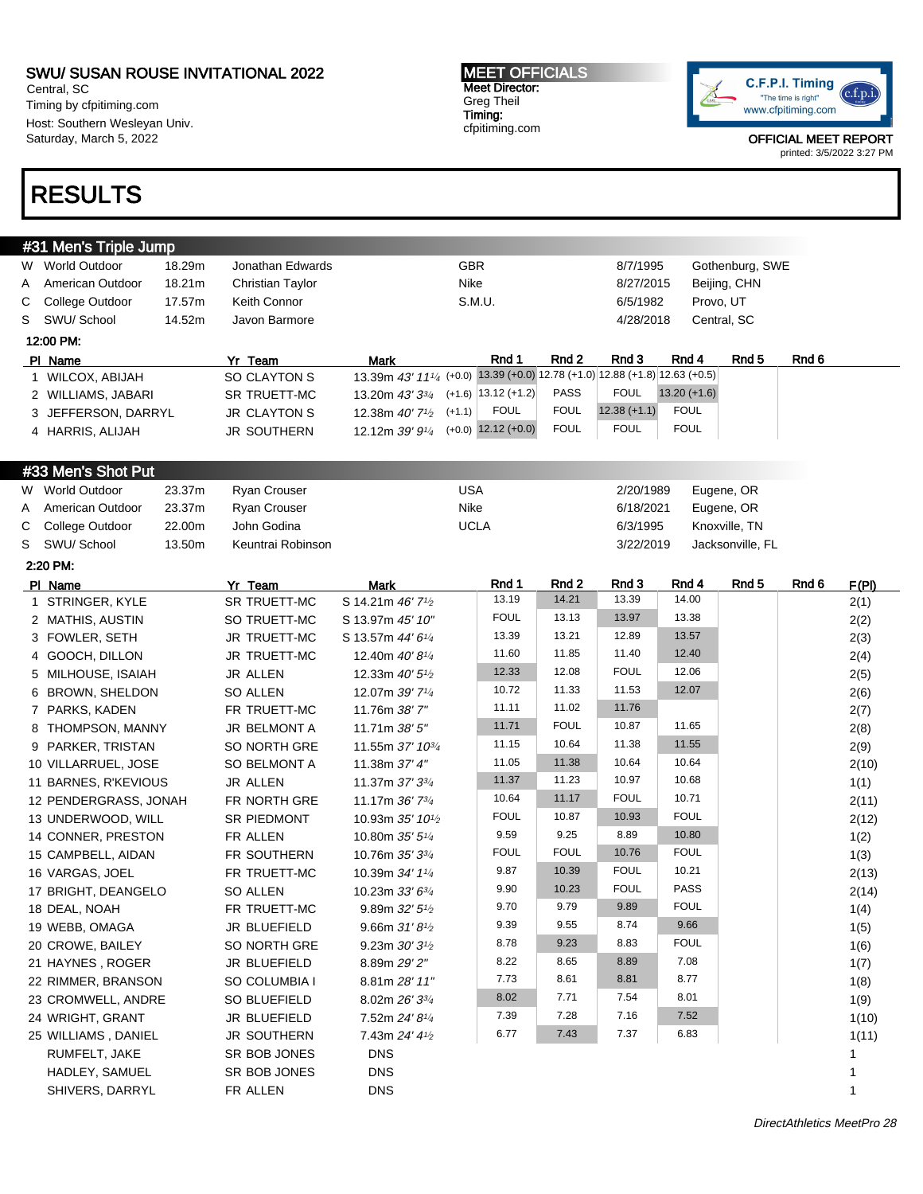Central, SC Timing by cfpitiming.com Host: Southern Wesleyan Univ. Saturday, March 5, 2022

# RESULTS

#### MEET OFFICIALS Meet Director: Greg Theil Timing: cfpitiming.com

C.F.P.I. Timing  $(c.f.p.i$ "The time is right" www.cfpitiming.com

|   | #31 Men's Triple Jump |        |                     |                                                                                                      |             |             |                |                |                  |       |       |
|---|-----------------------|--------|---------------------|------------------------------------------------------------------------------------------------------|-------------|-------------|----------------|----------------|------------------|-------|-------|
|   | W World Outdoor       | 18.29m | Jonathan Edwards    |                                                                                                      | GBR         |             | 8/7/1995       |                | Gothenburg, SWE  |       |       |
| A | American Outdoor      | 18.21m | Christian Taylor    |                                                                                                      | Nike        |             | 8/27/2015      |                | Beijing, CHN     |       |       |
| С | College Outdoor       | 17.57m | Keith Connor        |                                                                                                      | S.M.U.      |             | 6/5/1982       |                | Provo, UT        |       |       |
| S | SWU/ School           | 14.52m | Javon Barmore       |                                                                                                      |             |             | 4/28/2018      |                | Central, SC      |       |       |
|   | 12:00 PM:             |        |                     |                                                                                                      |             |             |                |                |                  |       |       |
|   | PI Name               |        | Yr Team             | <b>Mark</b>                                                                                          | Rnd 1       | Rnd 2       | Rnd 3          | Rnd 4          | Rnd <sub>5</sub> | Rnd 6 |       |
|   | 1 WILCOX, ABIJAH      |        | SO CLAYTON S        | 13.39m 43' 11 <sup>1</sup> / <sub>4</sub> (+0.0) 13.39 (+0.0) 12.78 (+1.0) 12.88 (+1.8) 12.63 (+0.5) |             |             |                |                |                  |       |       |
|   | 2 WILLIAMS, JABARI    |        | <b>SR TRUETT-MC</b> | 13.20m $43'3^{3/4}$ (+1.6) 13.12 (+1.2)                                                              |             | <b>PASS</b> | <b>FOUL</b>    | $13.20 (+1.6)$ |                  |       |       |
|   | 3 JEFFERSON, DARRYL   |        | <b>JR CLAYTON S</b> | 12.38m $40'$ $7\frac{1}{2}$ (+1.1)                                                                   | <b>FOUL</b> | <b>FOUL</b> | $12.38 (+1.1)$ | <b>FOUL</b>    |                  |       |       |
|   | 4 HARRIS, ALIJAH      |        | <b>JR SOUTHERN</b>  | 12.12m 39' 9 <sup>1</sup> / <sub>4</sub> (+0.0) 12.12 (+0.0)                                         |             | <b>FOUL</b> | <b>FOUL</b>    | <b>FOUL</b>    |                  |       |       |
|   |                       |        |                     |                                                                                                      |             |             |                |                |                  |       |       |
|   | #33 Men's Shot Put    |        |                     |                                                                                                      |             |             |                |                |                  |       |       |
|   | W World Outdoor       | 23.37m | Ryan Crouser        |                                                                                                      | <b>USA</b>  |             | 2/20/1989      |                | Eugene, OR       |       |       |
| Α | American Outdoor      | 23.37m | Ryan Crouser        |                                                                                                      | Nike        |             | 6/18/2021      |                | Eugene, OR       |       |       |
| С | College Outdoor       | 22.00m | John Godina         |                                                                                                      | <b>UCLA</b> |             | 6/3/1995       |                | Knoxville, TN    |       |       |
| S | SWU/ School           | 13.50m | Keuntrai Robinson   |                                                                                                      |             |             | 3/22/2019      |                | Jacksonville, FL |       |       |
|   | 2:20 PM:              |        |                     |                                                                                                      |             |             |                |                |                  |       |       |
|   | PI Name               |        | Yr Team             | <b>Mark</b>                                                                                          | Rnd 1       | Rnd 2       | Rnd 3          | Rnd 4          | Rnd <sub>5</sub> | Rnd 6 | F(PI) |
|   | 1 STRINGER, KYLE      |        | SR TRUETT-MC        | S 14.21m 46' 71/2                                                                                    | 13.19       | 14.21       | 13.39          | 14.00          |                  |       | 2(1)  |
|   | 2 MATHIS, AUSTIN      |        | SO TRUETT-MC        | S 13.97m 45' 10"                                                                                     | <b>FOUL</b> | 13.13       | 13.97          | 13.38          |                  |       | 2(2)  |
|   | 3 FOWLER, SETH        |        | JR TRUETT-MC        | S 13.57m 44' 61/4                                                                                    | 13.39       | 13.21       | 12.89          | 13.57          |                  |       | 2(3)  |
|   | 4 GOOCH, DILLON       |        | JR TRUETT-MC        | 12.40m 40' 81/4                                                                                      | 11.60       | 11.85       | 11.40          | 12.40          |                  |       | 2(4)  |
|   | 5 MILHOUSE, ISAIAH    |        | JR ALLEN            | 12.33m 40' 5 <sup>1/2</sup>                                                                          | 12.33       | 12.08       | <b>FOUL</b>    | 12.06          |                  |       | 2(5)  |
|   | 6 BROWN, SHELDON      |        | SO ALLEN            | 12.07m 39' 71/4                                                                                      | 10.72       | 11.33       | 11.53          | 12.07          |                  |       | 2(6)  |
|   | 7 PARKS, KADEN        |        | FR TRUETT-MC        | 11.76m 38' 7"                                                                                        | 11.11       | 11.02       | 11.76          |                |                  |       | 2(7)  |
|   | 8 THOMPSON, MANNY     |        | JR BELMONT A        | 11.71m 38' 5"                                                                                        | 11.71       | <b>FOUL</b> | 10.87          | 11.65          |                  |       | 2(8)  |
|   | 9 PARKER, TRISTAN     |        | SO NORTH GRE        | 11.55m 37' 10 <sup>3/4</sup>                                                                         | 11.15       | 10.64       | 11.38          | 11.55          |                  |       | 2(9)  |
|   | 10 VILLARRUEL, JOSE   |        | SO BELMONT A        | 11.38m 37' 4"                                                                                        | 11.05       | 11.38       | 10.64          | 10.64          |                  |       | 2(10) |
|   | 11 BARNES, R'KEVIOUS  |        | JR ALLEN            | 11.37m 37' 33/4                                                                                      | 11.37       | 11.23       | 10.97          | 10.68          |                  |       | 1(1)  |
|   | 12 PENDERGRASS, JONAH |        | FR NORTH GRE        | 11.17m 36' 73/4                                                                                      | 10.64       | 11.17       | <b>FOUL</b>    | 10.71          |                  |       | 2(11) |
|   | 13 UNDERWOOD, WILL    |        | SR PIEDMONT         | 10.93m 35' 10 <sup>1/2</sup>                                                                         | <b>FOUL</b> | 10.87       | 10.93          | <b>FOUL</b>    |                  |       | 2(12) |
|   | 14 CONNER, PRESTON    |        | FR ALLEN            | 10.80m 35' 51/4                                                                                      | 9.59        | 9.25        | 8.89           | 10.80          |                  |       | 1(2)  |
|   | 15 CAMPBELL, AIDAN    |        | FR SOUTHERN         | 10.76m 35' 33/4                                                                                      | <b>FOUL</b> | <b>FOUL</b> | 10.76          | <b>FOUL</b>    |                  |       | 1(3)  |
|   | 16 VARGAS, JOEL       |        | FR TRUETT-MC        | 10.39m 34' 11/4                                                                                      | 9.87        | 10.39       | <b>FOUL</b>    | 10.21          |                  |       | 2(13) |
|   | 17 BRIGHT, DEANGELO   |        | <b>SO ALLEN</b>     | 10.23m 33' 63/4                                                                                      | 9.90        | 10.23       | <b>FOUL</b>    | PASS           |                  |       | 2(14) |
|   | 18 DEAL, NOAH         |        | FR TRUETT-MC        | 9.89m 32' 51/2                                                                                       | 9.70        | 9.79        | 9.89           | <b>FOUL</b>    |                  |       | 1(4)  |
|   | 19 WEBB, OMAGA        |        | JR BLUEFIELD        | 9.66m $31'8'$                                                                                        | 9.39        | 9.55        | 8.74           | 9.66           |                  |       | 1(5)  |
|   | 20 CROWE, BAILEY      |        | SO NORTH GRE        | 9.23m $30'3^{1/2}$                                                                                   | 8.78        | 9.23        | 8.83           | <b>FOUL</b>    |                  |       | 1(6)  |
|   | 21 HAYNES, ROGER      |        | JR BLUEFIELD        | 8.89m 29' 2"                                                                                         | 8.22        | 8.65        | 8.89           | 7.08           |                  |       | 1(7)  |
|   | 22 RIMMER, BRANSON    |        | SO COLUMBIA I       | 8.81m 28' 11"                                                                                        | 7.73        | 8.61        | 8.81           | 8.77           |                  |       | 1(8)  |
|   | 23 CROMWELL, ANDRE    |        | SO BLUEFIELD        | 8.02m 26' 33/4                                                                                       | 8.02        | 7.71        | 7.54           | 8.01           |                  |       | 1(9)  |
|   | 24 WRIGHT, GRANT      |        | JR BLUEFIELD        | 7.52m 24' 81/4                                                                                       | 7.39        | 7.28        | 7.16           | 7.52           |                  |       | 1(10) |
|   | 25 WILLIAMS, DANIEL   |        | JR SOUTHERN         | 7.43m 24' 41/2                                                                                       | 6.77        | 7.43        | 7.37           | 6.83           |                  |       | 1(11) |
|   | RUMFELT, JAKE         |        | SR BOB JONES        | <b>DNS</b>                                                                                           |             |             |                |                |                  |       | 1     |
|   | HADLEY, SAMUEL        |        | SR BOB JONES        | <b>DNS</b>                                                                                           |             |             |                |                |                  |       | 1     |
|   | SHIVERS, DARRYL       |        | FR ALLEN            | <b>DNS</b>                                                                                           |             |             |                |                |                  |       | 1     |
|   |                       |        |                     |                                                                                                      |             |             |                |                |                  |       |       |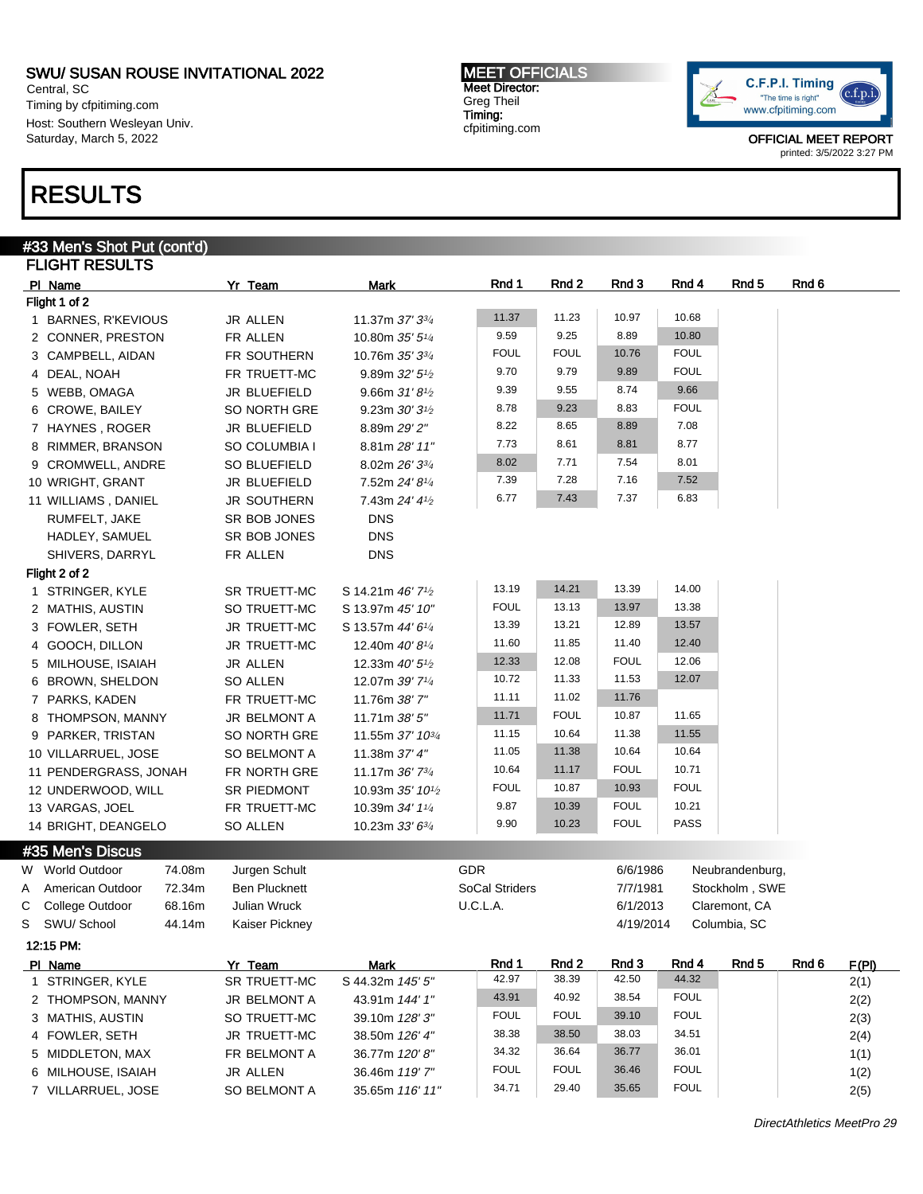Central, SC Timing by cfpitiming.com Host: Southern Wesleyan Univ. Saturday, March 5, 2022

# RESULTS

#### #33 Men's Shot Put (cont'd) FLIGHT RESULTS PI Name Yr Team Mark Rnd 1 Rnd 2 Rnd 3 Rnd 4 Rnd 5 Rnd 6 Flight 1 of 2 1 BARNES, R'KEVIOUS JR ALLEN 11.37m 37' 33/<sup>4</sup> 11.37 11.23 10.97 10.68 2 CONNER, PRESTON FR ALLEN 10.80m 35' 51/<sup>4</sup> 9.59 9.25 8.89 10.80 3 CAMPBELL, AIDAN FR SOUTHERN 10.76m 35' 33/4 FOUL FOUL 10.76 FOUL 4 DEAL, NOAH FR TRUETT-MC 9.89m 32' 5<sup>1</sup>/2 9.70 9.79 9.89 FOUL 5 WEBB, OMAGA **JR BLUEFIELD** 9.66m 31' 8<sup>1</sup>/<sub>2</sub> 9.39 9.55 8.74 9.66 6 CROWE, BAILEY SO NORTH GRE 9.23m 30' 3<sup>1/2</sup> 8.78 9.23 8.83 FOUL 7 HAYNES, ROGER JR BLUEFIELD 8.89m 29' 2" 8.22 8.65 8.89 7.08 8 RIMMER, BRANSON SO COLUMBIA I 8.81m 28' 11" 7.73 8.61 8.81 8.77 9 CROMWELL, ANDRE SO BLUEFIELD 8.02m 26' 33/4 8.02 7.71 7.54 8.01 10 WRIGHT, GRANT JR BLUEFIELD 7.52m 24' 8<sup>1/4</sup> 7.39 7.28 7.16 7.52 11 WILLIAMS, DANIEL JR SOUTHERN 7.43m 24' 41/2 6.77 7.43 7.37 6.83 RUMFELT, JAKE SR BOB JONES DNS HADLEY, SAMUEL SR BOB JONES DNS SHIVERS, DARRYL FR ALLEN DNS Flight 2 of 2 1 STRINGER, KYLE SR TRUETT-MC S 14.21m 46' 7<sup>1/2</sup> 13.19 14.21 13.39 14.00 2 MATHIS, AUSTIN SO TRUETT-MC S 13.97m 45' 10" FOUL 13.13 13.97 13.38 3 FOWLER, SETH JR TRUETT-MC S 13.57m 44' 61/<sup>4</sup> 13.39 13.21 12.89 13.57 4 GOOCH, DILLON JR TRUETT-MC 12.40m 40' 81/<sup>4</sup> 11.60 11.85 11.40 12.40 5 MILHOUSE, ISAIAH JR ALLEN 12.33m 40' 5<sup>1</sup>/2 12.33 12.08 FOUL 12.06 6 BROWN, SHELDON SO ALLEN 12.07m 39' 71/<sup>4</sup> 10.72 11.33 11.53 12.07 7 PARKS, KADEN FR TRUETT-MC 11.76m 38' 7" 11.11 11.02 11.76 8 THOMPSON, MANNY JR BELMONT A 11.71m 38' 5" 11.71 FOUL 10.87 11.65 9 PARKER, TRISTAN SO NORTH GRE 11.55m 37' 103/4 11.15 10.64 11.38 11.55 10 VILLARRUEL, JOSE SO BELMONT A 11.38m 37' 4" 11.05 11.38 10.64 10.64 11 PENDERGRASS, JONAH FR NORTH GRE 11.17m 36' 73/<sup>4</sup> 10.64 11.17 FOUL 10.71 12 UNDERWOOD, WILL SR PIEDMONT 10.93m 35' 10<sup>1</sup>/2 FOUL 10.87 10.93 FOUL 13 VARGAS, JOEL FR TRUETT-MC 10.39m 34' 11/4 9.87 10.39 FOUL 10.21 14 BRIGHT, DEANGELO SO ALLEN 10.23m 33' 63/4 9.90 10.23 FOUL PASS #35 Men's Discus W World Outdoor and 74.08m Jurgen Schult GUR GUR GOR GIG 6/6/1986 Neubrandenburg, A American Outdoor 72.34m Ben Plucknett SoCal Striders SoCal Striders 7/7/1981 Stockholm , SWE C College Outdoor 68.16m Julian Wruck C COLLA. U.C.L.A. 6/1/2013 Claremont, CA S SWU/ School 44.14m Kaiser Pickney 4/19/2014 Columbia, SC 12:15 PM: Pl Name **Yr Team Mark Rnd 1 Rnd 2 Rnd 3 Rnd 4 Rnd 5** Rnd 6 F(PI) 1 STRINGER, KYLE SR TRUETT-MC S 44.32m 145' 5' 42.97 38.39 42.50 44.32 2(1) 2 THOMPSON, MANNY JR BELMONT A 43.91m 144' 1" 43.91 40.92 38.54 FOUL 2(2) 3 MATHIS, AUSTIN SO TRUETT-MC  $39.10$ m  $128'3''$  FOUL FOUL 39.10 FOUL 39.10  $10^{10}$ 4 FOWLER, SETH JR TRUETT-MC 38.50m 126' 4" 38.38 38.50 38.03 34.51 2(4) 5 MIDDLETON, MAX FR BELMONT A 36.77m 120' 8" 34.32 36.64 36.77 36.01 1(1)

6 MILHOUSE, ISAIAH JR ALLEN 36.46m 119' 7" FOUL FOUL 36.46 FOUL 1(2)

7 VILLARRUEL, JOSE SO BELMONT A 35.65m 116' 11"

MEET OFFICIALS Meet Director: Greg Theil Timing: cfpitiming.com



OFFICIAL MEET REPORT printed: 3/5/2022 3:27 PM

34.71 29.40 35.65 FOUL 2(5)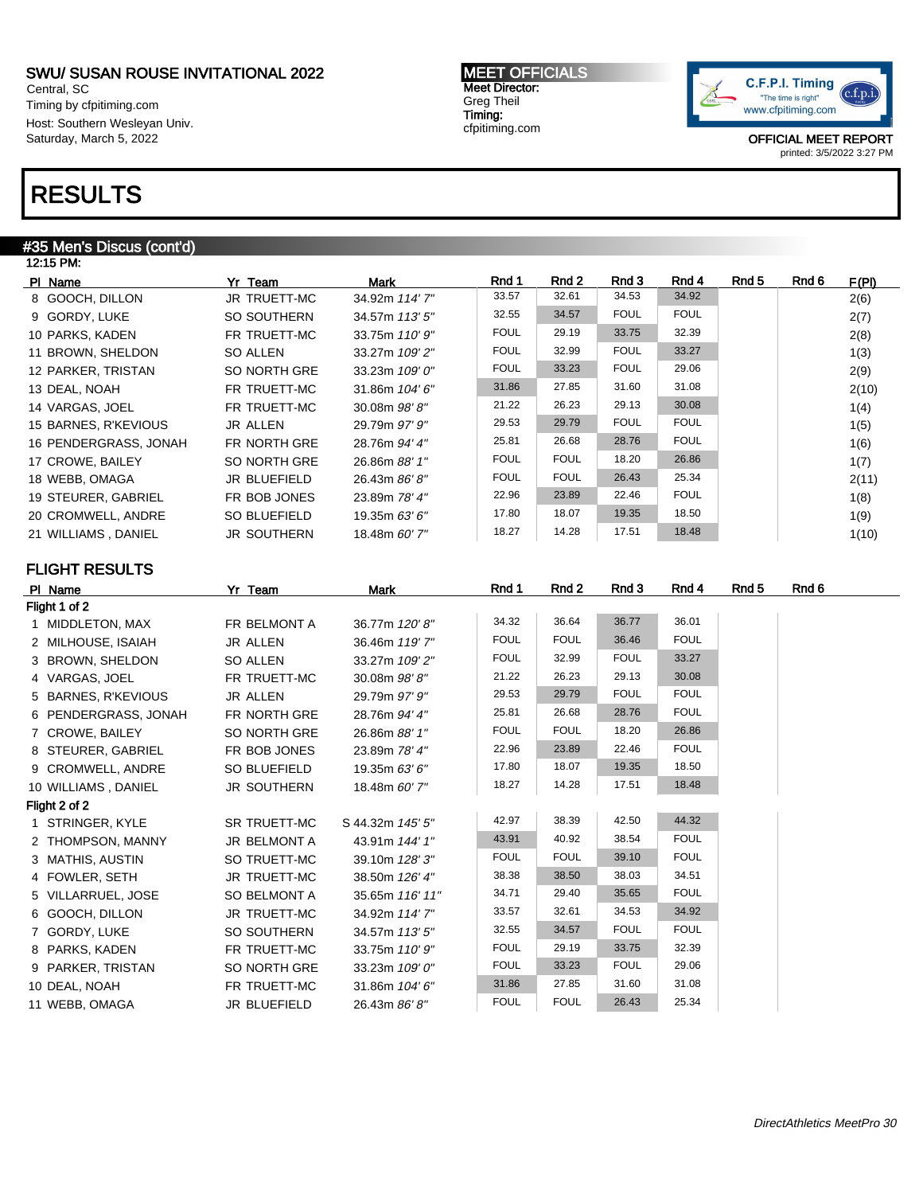Central, SC Timing by cfpitiming.com Host: Southern Wesleyan Univ. Saturday, March 5, 2022

# RESULTS

### #35 Men's Discus (cont'd)

| 12:15 PM:             |                    |                |             |             |             |             |       |       |       |
|-----------------------|--------------------|----------------|-------------|-------------|-------------|-------------|-------|-------|-------|
| PI Name               | Yr Team            | Mark           | Rnd 1       | Rnd 2       | Rnd 3       | Rnd 4       | Rnd 5 | Rnd 6 | F(PI) |
| 8 GOOCH, DILLON       | JR TRUETT-MC       | 34.92m 114' 7" | 33.57       | 32.61       | 34.53       | 34.92       |       |       | 2(6)  |
| 9 GORDY, LUKE         | SO SOUTHERN        | 34.57m 113' 5" | 32.55       | 34.57       | <b>FOUL</b> | <b>FOUL</b> |       |       | 2(7)  |
| 10 PARKS, KADEN       | FR TRUETT-MC       | 33.75m 110' 9" | <b>FOUL</b> | 29.19       | 33.75       | 32.39       |       |       | 2(8)  |
| 11 BROWN, SHELDON     | SO ALLEN           | 33.27m 109' 2" | <b>FOUL</b> | 32.99       | <b>FOUL</b> | 33.27       |       |       | 1(3)  |
| 12 PARKER, TRISTAN    | SO NORTH GRE       | 33.23m 109' 0" | <b>FOUL</b> | 33.23       | <b>FOUL</b> | 29.06       |       |       | 2(9)  |
| 13 DEAL, NOAH         | FR TRUETT-MC       | 31.86m 104'6"  | 31.86       | 27.85       | 31.60       | 31.08       |       |       | 2(10) |
| 14 VARGAS, JOEL       | FR TRUETT-MC       | 30.08m 98'8"   | 21.22       | 26.23       | 29.13       | 30.08       |       |       | 1(4)  |
| 15 BARNES, R'KEVIOUS  | <b>JR ALLEN</b>    | 29.79m 97' 9"  | 29.53       | 29.79       | <b>FOUL</b> | <b>FOUL</b> |       |       | 1(5)  |
| 16 PENDERGRASS, JONAH | FR NORTH GRE       | 28.76m 94' 4"  | 25.81       | 26.68       | 28.76       | <b>FOUL</b> |       |       | 1(6)  |
| 17 CROWE, BAILEY      | SO NORTH GRE       | 26.86m 88' 1"  | <b>FOUL</b> | <b>FOUL</b> | 18.20       | 26.86       |       |       | 1(7)  |
| 18 WEBB, OMAGA        | JR BLUEFIELD       | 26.43m 86'8"   | <b>FOUL</b> | <b>FOUL</b> | 26.43       | 25.34       |       |       | 2(11) |
| 19 STEURER, GABRIEL   | FR BOB JONES       | 23.89m 78' 4"  | 22.96       | 23.89       | 22.46       | <b>FOUL</b> |       |       | 1(8)  |
| 20 CROMWELL, ANDRE    | SO BLUEFIELD       | 19.35m 63' 6"  | 17.80       | 18.07       | 19.35       | 18.50       |       |       | 1(9)  |
| 21 WILLIAMS, DANIEL   | <b>JR SOUTHERN</b> | 18.48m 60' 7"  | 18.27       | 14.28       | 17.51       | 18.48       |       |       | 1(10) |

### FLIGHT RESULTS

| PI Name              | Yr Team            | <b>Mark</b>      | Rnd 1       | Rnd 2       | Rnd 3       | Rnd 4       | Rnd 5 | Rnd 6 |
|----------------------|--------------------|------------------|-------------|-------------|-------------|-------------|-------|-------|
| Flight 1 of 2        |                    |                  |             |             |             |             |       |       |
| 1 MIDDLETON, MAX     | FR BELMONT A       | 36.77m 120'8"    | 34.32       | 36.64       | 36.77       | 36.01       |       |       |
| 2 MILHOUSE, ISAIAH   | JR ALLEN           | 36.46m 119' 7"   | <b>FOUL</b> | <b>FOUL</b> | 36.46       | <b>FOUL</b> |       |       |
| 3 BROWN, SHELDON     | SO ALLEN           | 33.27m 109' 2"   | <b>FOUL</b> | 32.99       | <b>FOUL</b> | 33.27       |       |       |
| 4 VARGAS, JOEL       | FR TRUETT-MC       | 30.08m 98'8"     | 21.22       | 26.23       | 29.13       | 30.08       |       |       |
| 5 BARNES, R'KEVIOUS  | JR ALLEN           | 29.79m 97' 9"    | 29.53       | 29.79       | <b>FOUL</b> | <b>FOUL</b> |       |       |
| 6 PENDERGRASS, JONAH | FR NORTH GRE       | 28.76m 94' 4"    | 25.81       | 26.68       | 28.76       | <b>FOUL</b> |       |       |
| 7 CROWE, BAILEY      | SO NORTH GRE       | 26.86m 88' 1"    | <b>FOUL</b> | <b>FOUL</b> | 18.20       | 26.86       |       |       |
| 8 STEURER, GABRIEL   | FR BOB JONES       | 23.89m 78' 4"    | 22.96       | 23.89       | 22.46       | <b>FOUL</b> |       |       |
| 9 CROMWELL, ANDRE    | SO BLUEFIELD       | 19.35m 63' 6"    | 17.80       | 18.07       | 19.35       | 18.50       |       |       |
| 10 WILLIAMS, DANIEL  | <b>JR SOUTHERN</b> | 18.48m 60' 7"    | 18.27       | 14.28       | 17.51       | 18.48       |       |       |
| Flight 2 of 2        |                    |                  |             |             |             |             |       |       |
| 1 STRINGER, KYLE     | SR TRUETT-MC       | S 44.32m 145' 5" | 42.97       | 38.39       | 42.50       | 44.32       |       |       |
| 2 THOMPSON, MANNY    | JR BELMONT A       | 43.91m 144' 1"   | 43.91       | 40.92       | 38.54       | <b>FOUL</b> |       |       |
| 3 MATHIS, AUSTIN     | SO TRUETT-MC       | 39.10m 128'3"    | <b>FOUL</b> | <b>FOUL</b> | 39.10       | <b>FOUL</b> |       |       |
| 4 FOWLER, SETH       | JR TRUETT-MC       | 38.50m 126' 4"   | 38.38       | 38.50       | 38.03       | 34.51       |       |       |
| 5 VILLARRUEL, JOSE   | SO BELMONT A       | 35.65m 116' 11"  | 34.71       | 29.40       | 35.65       | <b>FOUL</b> |       |       |
| 6 GOOCH, DILLON      | JR TRUETT-MC       | 34.92m 114' 7"   | 33.57       | 32.61       | 34.53       | 34.92       |       |       |
| 7 GORDY, LUKE        | SO SOUTHERN        | 34.57m 113' 5"   | 32.55       | 34.57       | <b>FOUL</b> | <b>FOUL</b> |       |       |
| 8 PARKS, KADEN       | FR TRUETT-MC       | 33.75m 110' 9"   | <b>FOUL</b> | 29.19       | 33.75       | 32.39       |       |       |
| 9 PARKER, TRISTAN    | SO NORTH GRE       | 33.23m 109' 0"   | <b>FOUL</b> | 33.23       | <b>FOUL</b> | 29.06       |       |       |
| 10 DEAL, NOAH        | FR TRUETT-MC       | 31.86m 104'6"    | 31.86       | 27.85       | 31.60       | 31.08       |       |       |
| 11 WEBB, OMAGA       | JR BLUEFIELD       | 26.43m 86' 8"    | <b>FOUL</b> | <b>FOUL</b> | 26.43       | 25.34       |       |       |

MEET OFFICIALS Meet Director: Greg Theil Timing: cfpitiming.com

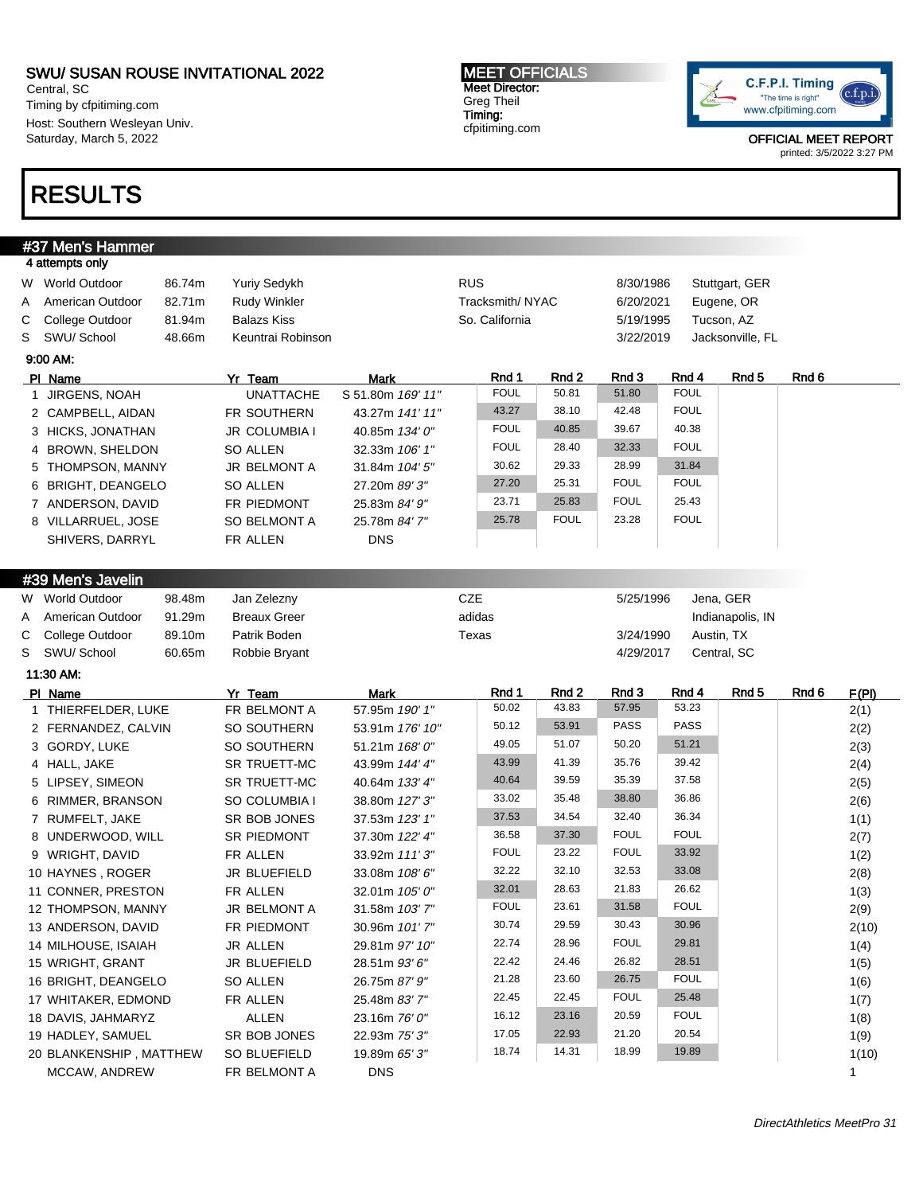Central, SC Timing by cfpitiming.com Host: Southern Wesleyan Univ. Saturday, March 5, 2022

# RESULTS

#### MEET OFFICIALS Meet Director: Greg Theil Timing: cfpitiming.com



|                 | #37 Men's Hammer        |        |                     |                   |                 |                |             |             |             |                  |       |  |
|-----------------|-------------------------|--------|---------------------|-------------------|-----------------|----------------|-------------|-------------|-------------|------------------|-------|--|
| 4 attempts only |                         |        |                     |                   |                 |                |             |             |             |                  |       |  |
| W World Outdoor |                         | 86.74m | Yuriy Sedykh        |                   | <b>RUS</b>      |                |             | 8/30/1986   |             | Stuttgart, GER   |       |  |
| Α               | American Outdoor        | 82.71m | <b>Rudy Winkler</b> |                   | Tracksmith/NYAC |                |             | 6/20/2021   |             | Eugene, OR       |       |  |
| С               | College Outdoor         | 81.94m | <b>Balazs Kiss</b>  |                   |                 | So. California |             | 5/19/1995   |             | Tucson, AZ       |       |  |
| S               | SWU/ School             | 48.66m | Keuntrai Robinson   |                   |                 |                |             | 3/22/2019   |             | Jacksonville, FL |       |  |
| 9:00 AM:        |                         |        |                     |                   |                 |                |             |             |             |                  |       |  |
| PI Name         |                         |        | Yr Team             | <b>Mark</b>       |                 | Rnd 1          | Rnd 2       | Rnd 3       | Rnd 4       | Rnd <sub>5</sub> | Rnd 6 |  |
|                 | 1 JIRGENS, NOAH         |        | <b>UNATTACHE</b>    | S 51.80m 169' 11" |                 | <b>FOUL</b>    | 50.81       | 51.80       | <b>FOUL</b> |                  |       |  |
|                 | 2 CAMPBELL, AIDAN       |        | FR SOUTHERN         | 43.27m 141' 11"   |                 | 43.27          | 38.10       | 42.48       | <b>FOUL</b> |                  |       |  |
|                 | 3 HICKS, JONATHAN       |        | JR COLUMBIA I       | 40.85m 134' 0"    |                 | <b>FOUL</b>    | 40.85       | 39.67       | 40.38       |                  |       |  |
|                 | 4 BROWN, SHELDON        |        | <b>SO ALLEN</b>     | 32.33m 106' 1"    |                 | <b>FOUL</b>    | 28.40       | 32.33       | <b>FOUL</b> |                  |       |  |
|                 | 5 THOMPSON, MANNY       |        | JR BELMONT A        | 31.84m 104' 5"    |                 | 30.62          | 29.33       | 28.99       | 31.84       |                  |       |  |
|                 | 6 BRIGHT, DEANGELO      |        | <b>SO ALLEN</b>     | 27.20m 89' 3"     |                 | 27.20          | 25.31       | <b>FOUL</b> | <b>FOUL</b> |                  |       |  |
|                 | 7 ANDERSON, DAVID       |        | FR PIEDMONT         | 25.83m 84' 9"     |                 | 23.71          | 25.83       | <b>FOUL</b> | 25.43       |                  |       |  |
|                 | 8 VILLARRUEL, JOSE      |        | SO BELMONT A        | 25.78m 84' 7"     |                 | 25.78          | <b>FOUL</b> | 23.28       | <b>FOUL</b> |                  |       |  |
|                 | SHIVERS, DARRYL         |        | FR ALLEN            | <b>DNS</b>        |                 |                |             |             |             |                  |       |  |
|                 |                         |        |                     |                   |                 |                |             |             |             |                  |       |  |
|                 | #39 Men's Javelin       |        |                     |                   |                 |                |             |             |             |                  |       |  |
| W               | World Outdoor           | 98.48m | Jan Zelezny         |                   | <b>CZE</b>      |                |             | 5/25/1996   |             | Jena, GER        |       |  |
| A               | American Outdoor        | 91.29m | <b>Breaux Greer</b> |                   | adidas          |                |             |             |             | Indianapolis, IN |       |  |
| С               | College Outdoor         | 89.10m | Patrik Boden        |                   | Texas           |                |             | 3/24/1990   |             | Austin, TX       |       |  |
| S               | SWU/ School             | 60.65m | Robbie Bryant       |                   |                 |                |             | 4/29/2017   |             | Central, SC      |       |  |
| 11:30 AM:       |                         |        |                     |                   |                 |                |             |             |             |                  |       |  |
| PI Name         |                         |        | Yr Team             | <b>Mark</b>       |                 | Rnd 1          | Rnd 2       | Rnd 3       | Rnd 4       | Rnd 5            | Rnd 6 |  |
|                 | 1 THIERFELDER, LUKE     |        | FR BELMONT A        | 57.95m 190' 1"    |                 | 50.02          | 43.83       | 57.95       | 53.23       |                  |       |  |
|                 | 2 FERNANDEZ, CALVIN     |        | SO SOUTHERN         | 53.91m 176' 10"   |                 | 50.12          | 53.91       | <b>PASS</b> | <b>PASS</b> |                  |       |  |
|                 | 3 GORDY, LUKE           |        | SO SOUTHERN         | 51.21m 168' 0"    |                 | 49.05          | 51.07       | 50.20       | 51.21       |                  |       |  |
| 4 HALL, JAKE    |                         |        | SR TRUETT-MC        | 43.99m 144' 4"    |                 | 43.99          | 41.39       | 35.76       | 39.42       |                  |       |  |
|                 | 5 LIPSEY, SIMEON        |        | SR TRUETT-MC        | 40.64m 133' 4"    |                 | 40.64          | 39.59       | 35.39       | 37.58       |                  |       |  |
|                 | 6 RIMMER, BRANSON       |        | SO COLUMBIA I       | 38.80m 127' 3"    |                 | 33.02          | 35.48       | 38.80       | 36.86       |                  |       |  |
|                 | 7 RUMFELT, JAKE         |        | SR BOB JONES        | 37.53m 123' 1"    |                 | 37.53          | 34.54       | 32.40       | 36.34       |                  |       |  |
|                 | 8 UNDERWOOD, WILL       |        | SR PIEDMONT         | 37.30m 122' 4"    |                 | 36.58          | 37.30       | <b>FOUL</b> | <b>FOUL</b> |                  |       |  |
|                 | 9 WRIGHT, DAVID         |        | FR ALLEN            | 33.92m 111'3"     |                 | <b>FOUL</b>    | 23.22       | <b>FOUL</b> | 33.92       |                  |       |  |
|                 | 10 HAYNES, ROGER        |        | JR BLUEFIELD        | 33.08m 108' 6"    |                 | 32.22          | 32.10       | 32.53       | 33.08       |                  |       |  |
|                 | 11 CONNER, PRESTON      |        | FR ALLEN            | 32.01m 105' 0"    |                 | 32.01          | 28.63       | 21.83       | 26.62       |                  |       |  |
|                 | 12 THOMPSON, MANNY      |        | JR BELMONT A        | 31.58m 103'7"     |                 | <b>FOUL</b>    | 23.61       | 31.58       | <b>FOUL</b> |                  |       |  |
|                 | 13 ANDERSON, DAVID      |        | FR PIEDMONT         | 30.96m 101'7"     |                 | 30.74          | 29.59       | 30.43       | 30.96       |                  |       |  |
|                 | 14 MILHOUSE, ISAIAH     |        | JR ALLEN            | 29.81m 97' 10"    |                 | 22.74          | 28.96       | <b>FOUL</b> | 29.81       |                  |       |  |
|                 | 15 WRIGHT, GRANT        |        | JR BLUEFIELD        | 28.51m 93' 6"     |                 | 22.42          | 24.46       | 26.82       | 28.51       |                  |       |  |
|                 | 16 BRIGHT, DEANGELO     |        | SO ALLEN            | 26.75m 87' 9"     |                 | 21.28          | 23.60       | 26.75       | <b>FOUL</b> |                  |       |  |
|                 | 17 WHITAKER, EDMOND     |        | FR ALLEN            | 25.48m 83'7"      |                 | 22.45          | 22.45       | <b>FOUL</b> | 25.48       |                  |       |  |
|                 | 18 DAVIS, JAHMARYZ      |        | <b>ALLEN</b>        | 23.16m 76' 0"     |                 | 16.12          | 23.16       | 20.59       | <b>FOUL</b> |                  |       |  |
|                 | 19 HADLEY, SAMUEL       |        | SR BOB JONES        | 22.93m 75' 3"     |                 | 17.05          | 22.93       | 21.20       | 20.54       |                  |       |  |
|                 | 20 BLANKENSHIP, MATTHEW |        | SO BLUEFIELD        | 19.89m 65'3"      |                 | 18.74          | 14.31       | 18.99       | 19.89       |                  |       |  |
|                 | MCCAW, ANDREW           |        | FR BELMONT A        | <b>DNS</b>        |                 |                |             |             |             |                  |       |  |